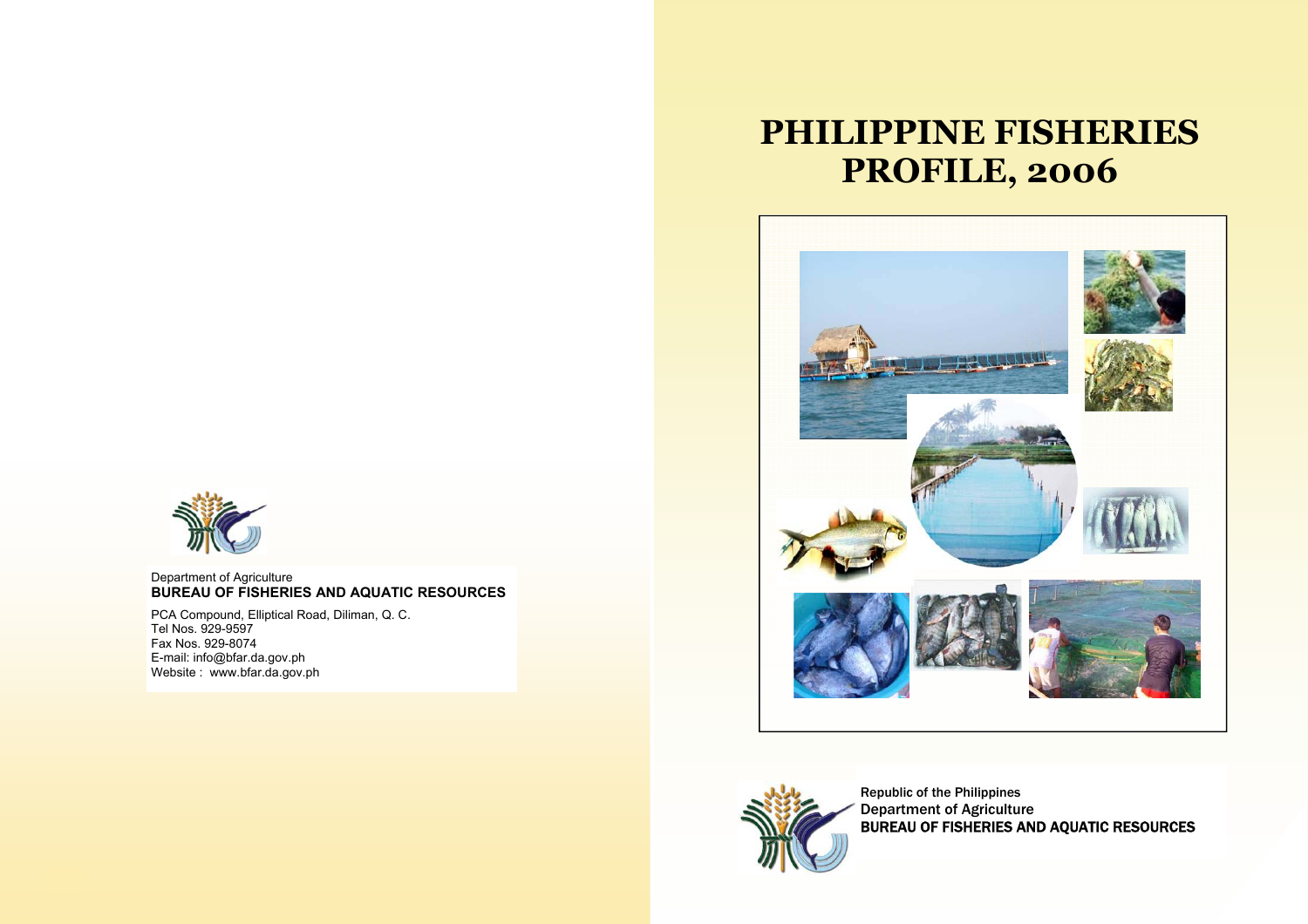

Department of Agriculture **BUREAU OF FISHERIES AND AQUATIC RESOURCES**

PCA Compound, Elliptical Road, Diliman, Q. C. Tel Nos. 929-9597 Fax Nos. 929-8074 E-mail: info@bfar.da.gov.ph Website : www.bfar.da.gov.ph

# **PHILIPPINE FISHERIES PROFILE, 2006**





Republic of the Philippines Department of Agriculture BUREAU OF FISHERIES AND AQUATIC RESOURCES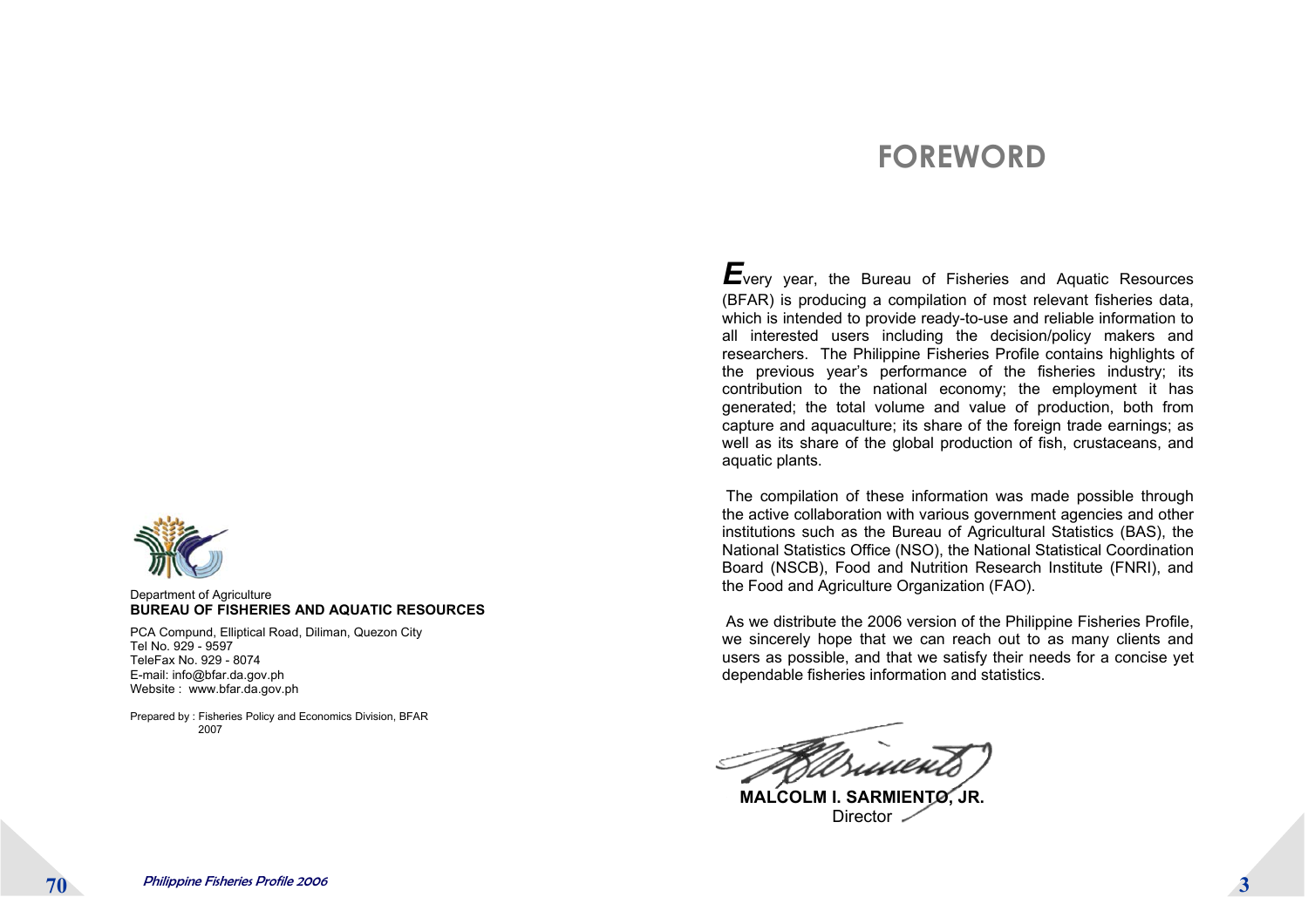# **FOREWORD**

*E*very year, the Bureau of Fisheries and Aquatic Resources (BFAR) is producing a compilation of most relevant fisheries data, which is intended to provide ready-to-use and reliable information to all interested users including the decision/policy makers and researchers. The Philippine Fisheries Profile contains highlights of the previous year's performance of the fisheries industry; its contribution to the national economy; the employment it has generated; the total volume and value of production, both from capture and aquaculture; its share of the foreign trade earnings; as well as its share of the global production of fish, crustaceans, and aquatic plants.

The compilation of these information was made possible through the active collaboration with various government agencies and other institutions such as the Bureau of Agricultural Statistics (BAS), the National Statistics Office (NSO), the National Statistical Coordination Board (NSCB), Food and Nutrition Research Institute (FNRI), and the Food and Agriculture Organization (FAO).

As we distribute the 2006 version of the Philippine Fisheries Profile, we sincerely hope that we can reach out to as many clients and users as possible, and that we satisfy their needs for a concise yet dependable fisheries information and statistics.

**MALCOLM I. SARMIENTO, JR.**  Director



#### Department of Agriculture **BUREAU OF FISHERIES AND AQUATIC RESOURCES**

PCA Compund, Elliptical Road, Diliman, Quezon City Tel No. 929 - 9597 TeleFax No. 929 - 8074 E-mail: info@bfar.da.gov.ph Website : www.bfar.da.gov.ph

Prepared by : Fisheries Policy and Economics Division, BFAR 2007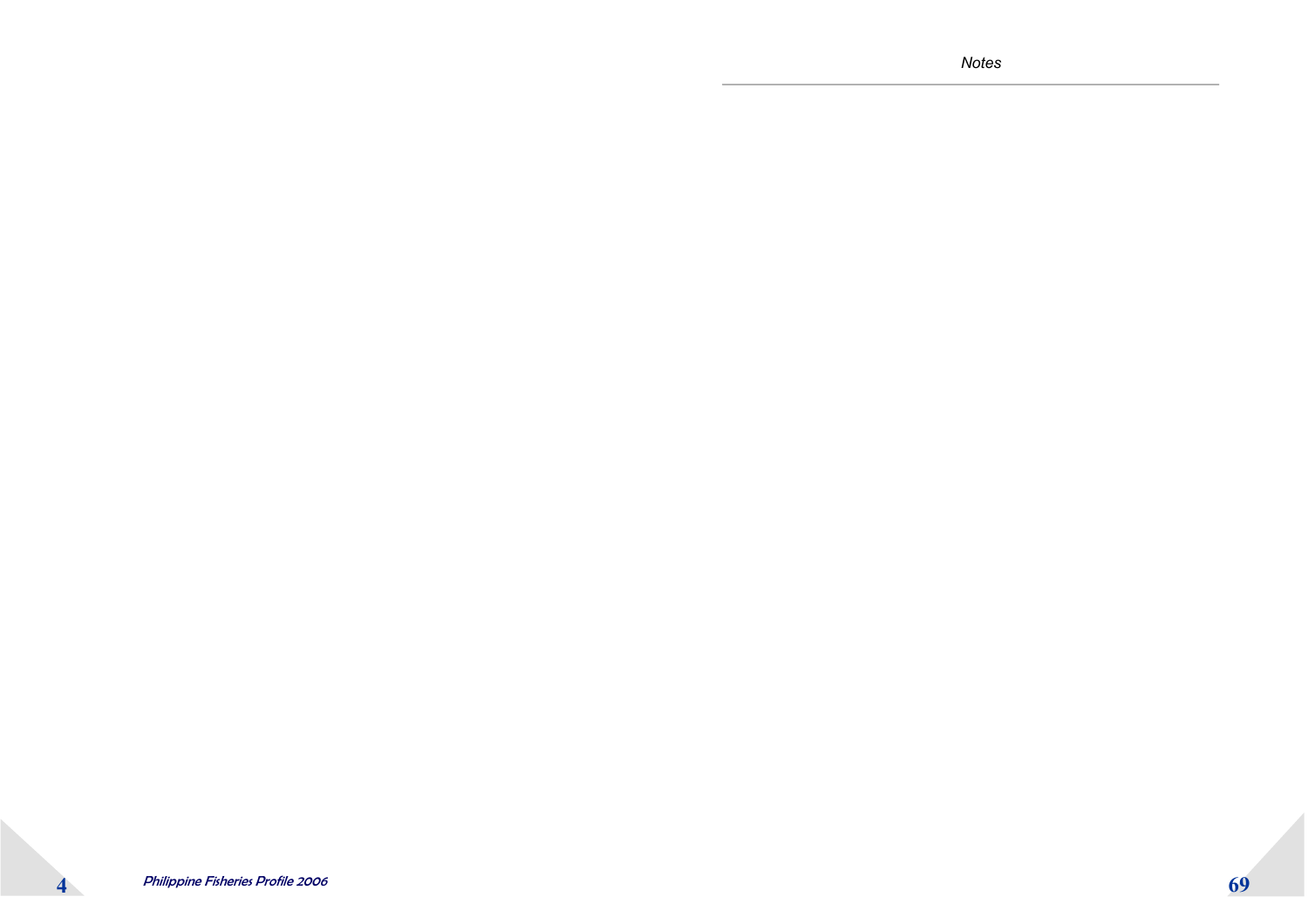*Notes*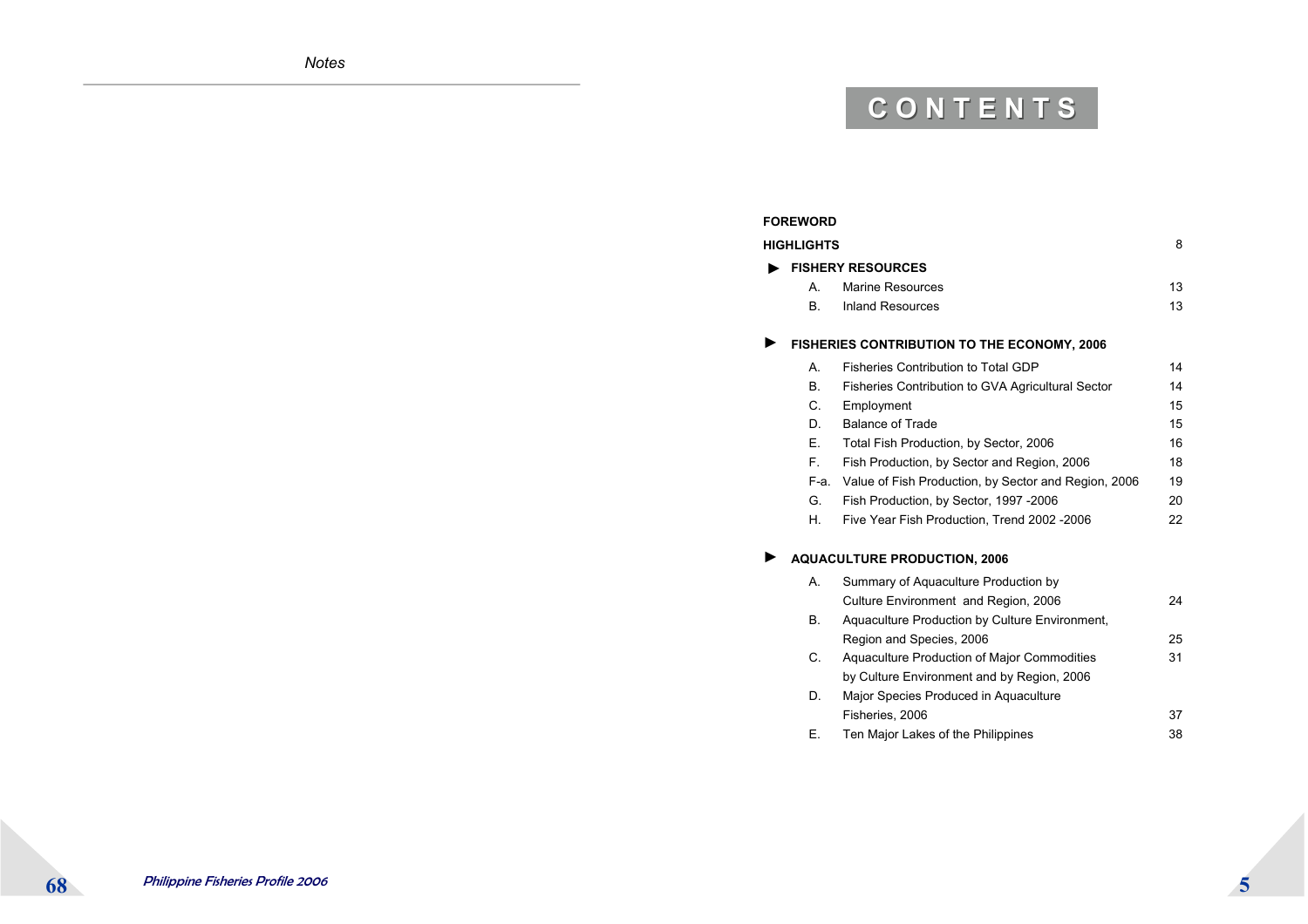# **C O N T E N T S C O N T E N T S**

#### **FOREWORD**

| <b>HIGHLIGHTS</b> |    | 8                 |                 |
|-------------------|----|-------------------|-----------------|
|                   |    | EISHERY RESOURCES |                 |
|                   | A  | Marine Resources  | 13              |
|                   | B. | Inland Resources  | 13 <sup>1</sup> |

#### ► **FISHERIES CONTRIBUTION TO THE ECONOMY, 2006**

| А.   | <b>Fisheries Contribution to Total GDP</b>               | 14 |
|------|----------------------------------------------------------|----|
| В.   | <b>Fisheries Contribution to GVA Agricultural Sector</b> | 14 |
| C.   | Employment                                               | 15 |
| D.   | <b>Balance of Trade</b>                                  | 15 |
| Е.   | Total Fish Production, by Sector, 2006                   | 16 |
| F.   | Fish Production, by Sector and Region, 2006              | 18 |
| F-a. | Value of Fish Production, by Sector and Region, 2006     | 19 |
| G.   | Fish Production, by Sector, 1997 -2006                   | 20 |
| Η.   | Five Year Fish Production, Trend 2002 -2006              | 22 |
|      |                                                          |    |

#### ► **AQUACULTURE PRODUCTION, 2006**

| Α. | Summary of Aquaculture Production by           |    |
|----|------------------------------------------------|----|
|    | Culture Environment and Region, 2006           | 24 |
| В. | Aquaculture Production by Culture Environment, |    |
|    | Region and Species, 2006                       | 25 |
| C. | Aquaculture Production of Major Commodities    | 31 |
|    | by Culture Environment and by Region, 2006     |    |
| D. | Major Species Produced in Aguaculture          |    |
|    | Fisheries, 2006                                | 37 |
| Е. | Ten Major Lakes of the Philippines             | 38 |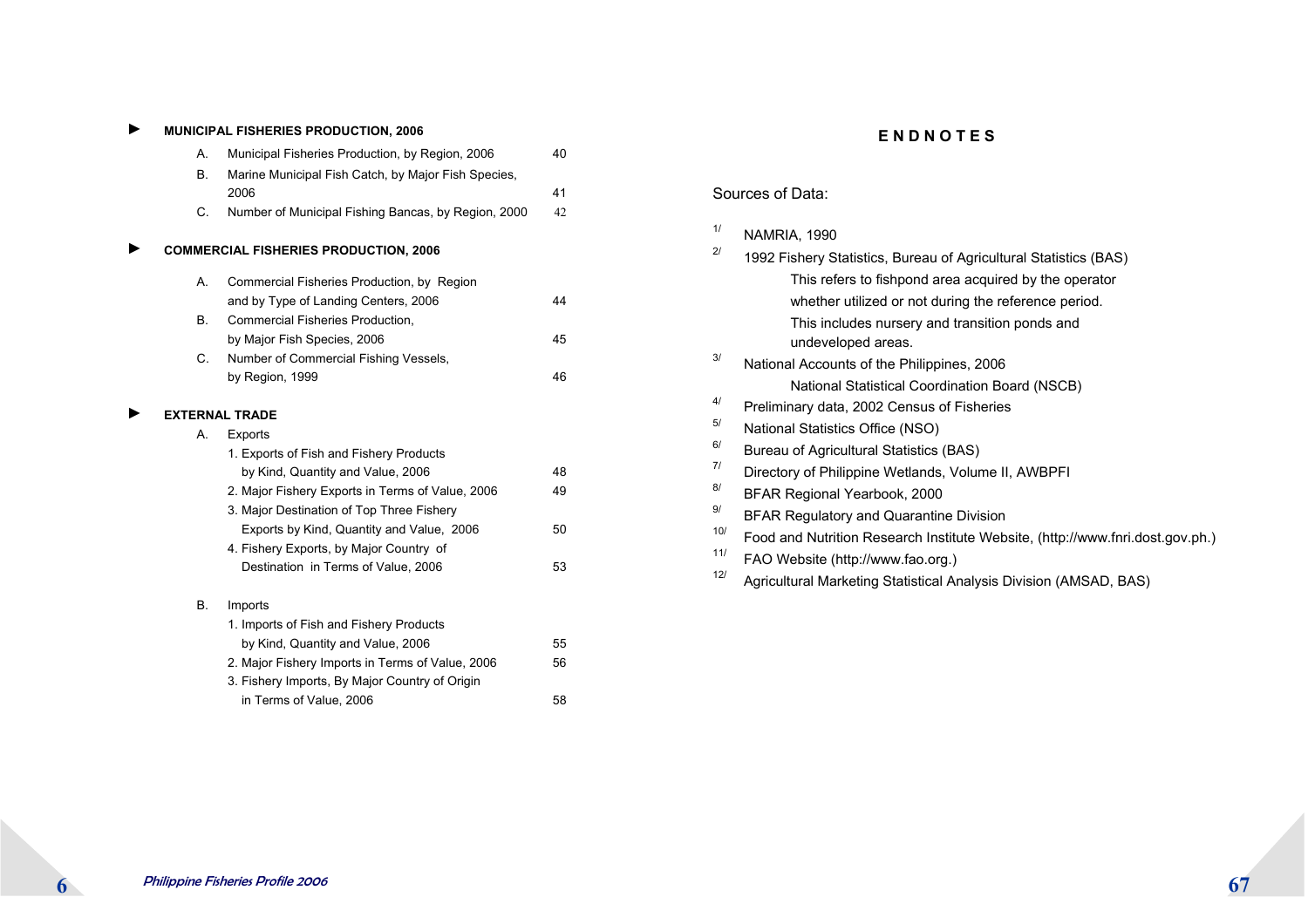|  |  | <b>MUNICIPAL FISHERIES PRODUCTION, 2006</b> |  |
|--|--|---------------------------------------------|--|
|--|--|---------------------------------------------|--|

►

►

| А.        | Municipal Fisheries Production, by Region, 2006             | 40       |
|-----------|-------------------------------------------------------------|----------|
| <b>B.</b> | Marine Municipal Fish Catch, by Major Fish Species,         |          |
| C.        | 2006<br>Number of Municipal Fishing Bancas, by Region, 2000 | 41<br>42 |
|           |                                                             |          |
|           | <b>COMMERCIAL FISHERIES PRODUCTION, 2006</b>                |          |
| А.        | Commercial Fisheries Production, by Region                  |          |
|           | and by Type of Landing Centers, 2006                        | 44       |
| <b>B.</b> | Commercial Fisheries Production,                            |          |
|           | by Major Fish Species, 2006                                 | 45       |
| C.        | Number of Commercial Fishing Vessels,                       |          |
|           | by Region, 1999                                             | 46       |
|           | <b>EXTERNAL TRADE</b>                                       |          |
| А.        | Exports                                                     |          |
|           | 1. Exports of Fish and Fishery Products                     |          |
|           | by Kind, Quantity and Value, 2006                           | 48       |
|           | 2. Major Fishery Exports in Terms of Value, 2006            | 49       |
|           | 3. Major Destination of Top Three Fishery                   |          |
|           | Exports by Kind, Quantity and Value, 2006                   | 50       |
|           | 4. Fishery Exports, by Major Country of                     |          |
|           | Destination in Terms of Value, 2006                         | 53       |
| <b>B.</b> | Imports                                                     |          |
|           | 1. Imports of Fish and Fishery Products                     |          |
|           | by Kind, Quantity and Value, 2006                           | 55       |
|           | 2. Major Fishery Imports in Terms of Value, 2006            | 56       |
|           | 3. Fishery Imports, By Major Country of Origin              |          |
|           | in Terms of Value, 2006                                     | 58       |
|           |                                                             |          |

#### **E N D N O T E S**

| Sources of Data: |
|------------------|
|------------------|

#### $1/$  NAMRIA, 1990

| 21  | 1992 Fishery Statistics, Bureau of Agricultural Statistics (BAS)              |
|-----|-------------------------------------------------------------------------------|
|     | This refers to fishpond area acquired by the operator                         |
|     | whether utilized or not during the reference period.                          |
|     | This includes nursery and transition ponds and                                |
|     | undeveloped areas.                                                            |
| 3/  | National Accounts of the Philippines, 2006                                    |
|     | <b>National Statistical Coordination Board (NSCB)</b>                         |
| 4/  | Preliminary data, 2002 Census of Fisheries                                    |
| 5/  | National Statistics Office (NSO)                                              |
| 6/  | Bureau of Agricultural Statistics (BAS)                                       |
| 71  | Directory of Philippine Wetlands, Volume II, AWBPFI                           |
| 8/  | BFAR Regional Yearbook, 2000                                                  |
| 9/  | <b>BFAR Regulatory and Quarantine Division</b>                                |
| 10/ | Food and Nutrition Research Institute Website, (http://www.fnri.dost.gov.ph.) |
| 11/ | FAO Website (http://www.fao.org.)                                             |
| 12/ | Agricultural Marketing Statistical Analysis Division (AMSAD, BAS)             |

 $6<sup>1</sup>$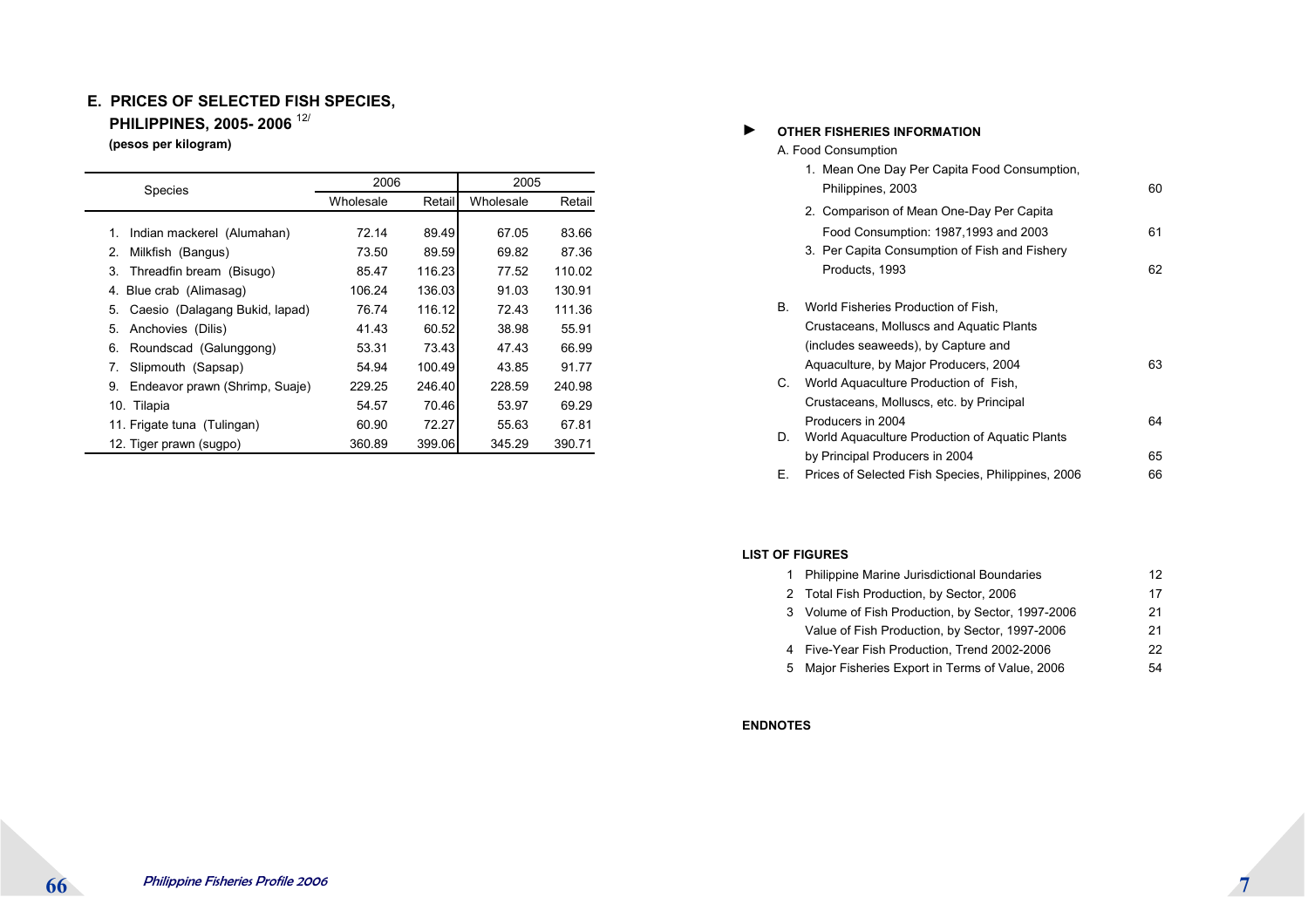#### **E. PRICES OF SELECTED FISH SPECIES,**

**PHILIPPINES, 2005- 2006** 12/

**(pesos per kilogram)**

| Species                              | 2006      |        | 2005      |        |
|--------------------------------------|-----------|--------|-----------|--------|
|                                      | Wholesale | Retail | Wholesale | Retail |
|                                      |           |        |           |        |
| Indian mackerel (Alumahan)<br>1.     | 72.14     | 89.49  | 67.05     | 83.66  |
| 2.<br>Milkfish (Bangus)              | 73.50     | 89.59  | 69.82     | 87.36  |
| 3.<br>Threadfin bream (Bisugo)       | 85.47     | 116.23 | 77.52     | 110.02 |
| Blue crab (Alimasag)<br>4.           | 106.24    | 136.03 | 91.03     | 130.91 |
| Caesio (Dalagang Bukid, lapad)<br>5. | 76.74     | 116.12 | 72.43     | 111.36 |
| 5.<br>Anchovies (Dilis)              | 41.43     | 60.52  | 38.98     | 55.91  |
| 6.<br>Roundscad (Galunggong)         | 53.31     | 73.43  | 47.43     | 66.99  |
| 7.<br>Slipmouth (Sapsap)             | 54.94     | 100.49 | 43.85     | 91.77  |
| 9.<br>Endeavor prawn (Shrimp, Suaje) | 229.25    | 246.40 | 228.59    | 240.98 |
| 10. Tilapia                          | 54.57     | 70.46  | 53.97     | 69.29  |
| 11. Frigate tuna (Tulingan)          | 60.90     | 72.27  | 55.63     | 67.81  |
| 12. Tiger prawn (sugpo)              | 360.89    | 399.06 | 345.29    | 390.71 |

#### ►**OTHER FISHERIES INFORMATION**

#### A. Food Consumption

|    | 1. Mean One Day Per Capita Food Consumption,       |    |
|----|----------------------------------------------------|----|
|    | Philippines, 2003                                  | 60 |
|    | 2. Comparison of Mean One-Day Per Capita           |    |
|    | Food Consumption: 1987,1993 and 2003               | 61 |
|    | 3. Per Capita Consumption of Fish and Fishery      |    |
|    | Products, 1993                                     | 62 |
| В. | World Fisheries Production of Fish,                |    |
|    | Crustaceans, Molluscs and Aquatic Plants           |    |
|    | (includes seaweeds), by Capture and                |    |
|    | Aquaculture, by Major Producers, 2004              | 63 |
| C. | World Aquaculture Production of Fish,              |    |
|    | Crustaceans, Molluscs, etc. by Principal           |    |
|    | Producers in 2004                                  | 64 |
| D. | World Aquaculture Production of Aquatic Plants     |    |
|    | by Principal Producers in 2004                     | 65 |
| Е. | Prices of Selected Fish Species, Philippines, 2006 | 66 |

#### **LIST OF FIGURES**

| $\mathbf{1}$ | Philippine Marine Jurisdictional Boundaries       | 12. |
|--------------|---------------------------------------------------|-----|
|              | 2 Total Fish Production, by Sector, 2006          | 17  |
|              | 3 Volume of Fish Production, by Sector, 1997-2006 | 21  |
|              | Value of Fish Production, by Sector, 1997-2006    | 21  |
|              | 4 Five-Year Fish Production, Trend 2002-2006      | 22  |
| 5            | Major Fisheries Export in Terms of Value, 2006    | 54. |

#### **ENDNOTES**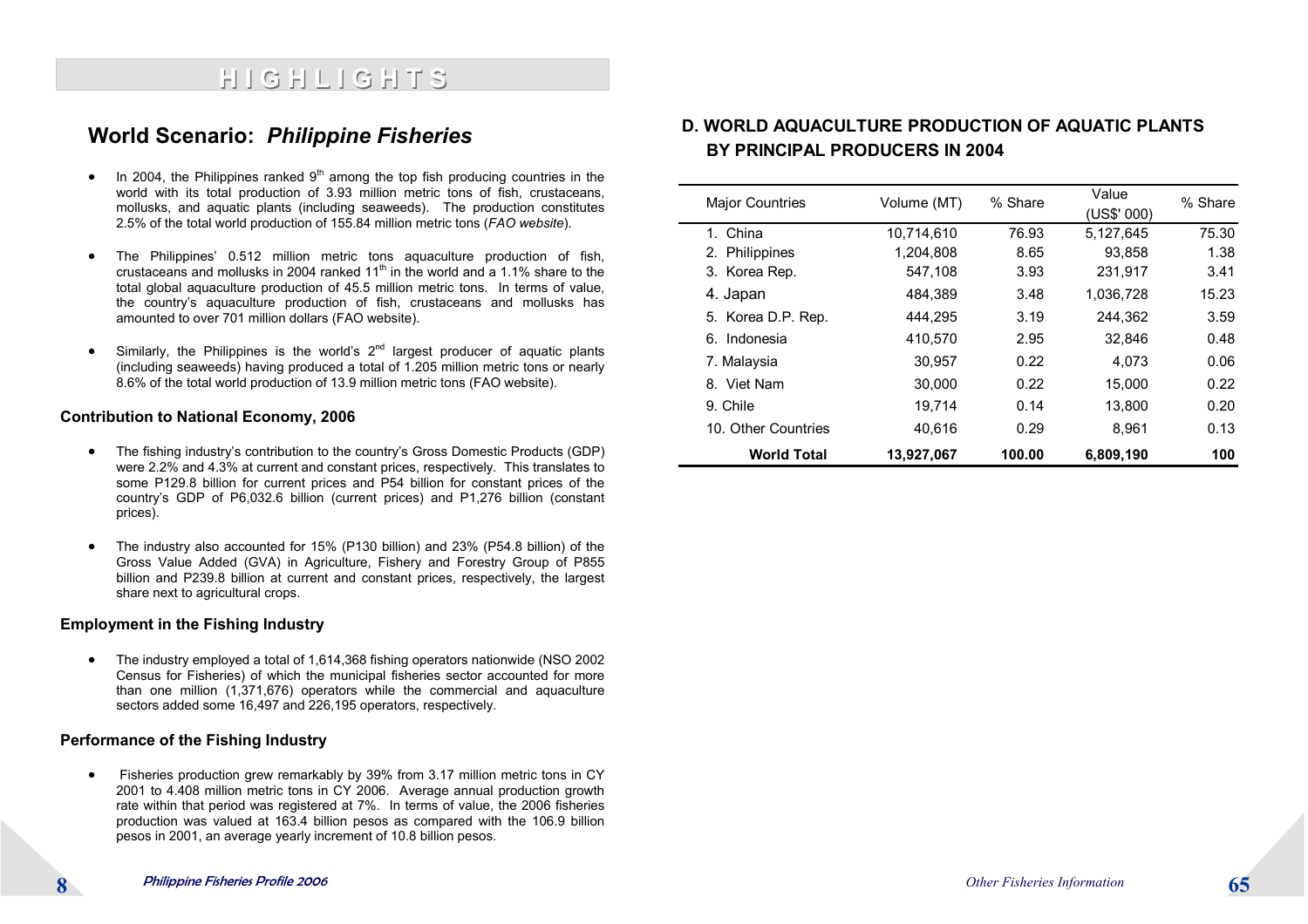#### **World Scenario:** *Philippine Fisheries*

- In 2004, the Philippines ranked  $9<sup>th</sup>$  among the top fish producing countries in the world with its total production of 3.93 million metric tons of fish, crustaceans, mollusks, and aquatic plants (including seaweeds). The production constitutes 2.5% of the total world production of 155.84 million metric tons (*FAO website*).
- The Philippines' 0.512 million metric tons aquaculture production of fish, crustaceans and mollusks in 2004 ranked 11<sup>th</sup> in the world and a 1.1% share to the total global aquaculture production of 45.5 million metric tons. In terms of value, the country's aquaculture production of fish, crustaceans and mollusks has amounted to over 701 million dollars (FAO website).
- Similarly, the Philippines is the world's  $2<sup>nd</sup>$  largest producer of aquatic plants (including seaweeds) having produced a total of 1.205 million metric tons or nearly 8.6% of the total world production of 13.9 million metric tons (FAO website).

#### **Contribution to National Economy, 2006**

- The fishing industry's contribution to the country's Gross Domestic Products (GDP) were 2.2% and 4.3% at current and constant prices, respectively. This translates to some P129.8 billion for current prices and P54 billion for constant prices of the country's GDP of P6,032.6 billion (current prices) and P1,276 billion (constant prices).
- The industry also accounted for 15% (P130 billion) and 23% (P54.8 billion) of the Gross Value Added (GVA) in Agriculture, Fishery and Forestry Group of P855 billion and P239.8 billion at current and constant prices, respectively, the largest share next to agricultural crops.

#### **Employment in the Fishing Industry**

• The industry employed a total of 1,614,368 fishing operators nationwide (NSO 2002 Census for Fisheries) of which the municipal fisheries sector accounted for more than one million (1,371,676) operators while the commercial and aquaculture sectors added some 16,497 and 226,195 operators, respectively.

#### **Performance of the Fishing Industry**

• Fisheries production grew remarkably by 39% from 3.17 million metric tons in CY 2001 to 4.408 million metric tons in CY 2006. Average annual production growth rate within that period was registered at 7%. In terms of value, the 2006 fisheries production was valued at 163.4 billion pesos as compared with the 106.9 billion pesos in 2001, an average yearly increment of 10.8 billion pesos.

#### **D. WORLD AQUACULTURE PRODUCTION OF AQUATIC PLANTS BY PRINCIPAL PRODUCERS IN 2004**

| <b>Major Countries</b> | Volume (MT) | % Share | Value<br>(US\$' 000) | % Share |
|------------------------|-------------|---------|----------------------|---------|
| 1. China               | 10,714,610  | 76.93   | 5,127,645            | 75.30   |
| 2. Philippines         | 1.204.808   | 8.65    | 93.858               | 1.38    |
| 3. Korea Rep.          | 547,108     | 3.93    | 231,917              | 3.41    |
| 4. Japan               | 484,389     | 3.48    | 1,036,728            | 15.23   |
| 5. Korea D.P. Rep.     | 444.295     | 3.19    | 244.362              | 3.59    |
| 6. Indonesia           | 410,570     | 2.95    | 32,846               | 0.48    |
| 7. Malaysia            | 30,957      | 0.22    | 4.073                | 0.06    |
| 8. Viet Nam            | 30.000      | 0.22    | 15.000               | 0.22    |
| 9. Chile               | 19.714      | 0.14    | 13.800               | 0.20    |
| 10. Other Countries    | 40.616      | 0.29    | 8.961                | 0.13    |
| <b>World Total</b>     | 13,927,067  | 100.00  | 6,809,190            | 100     |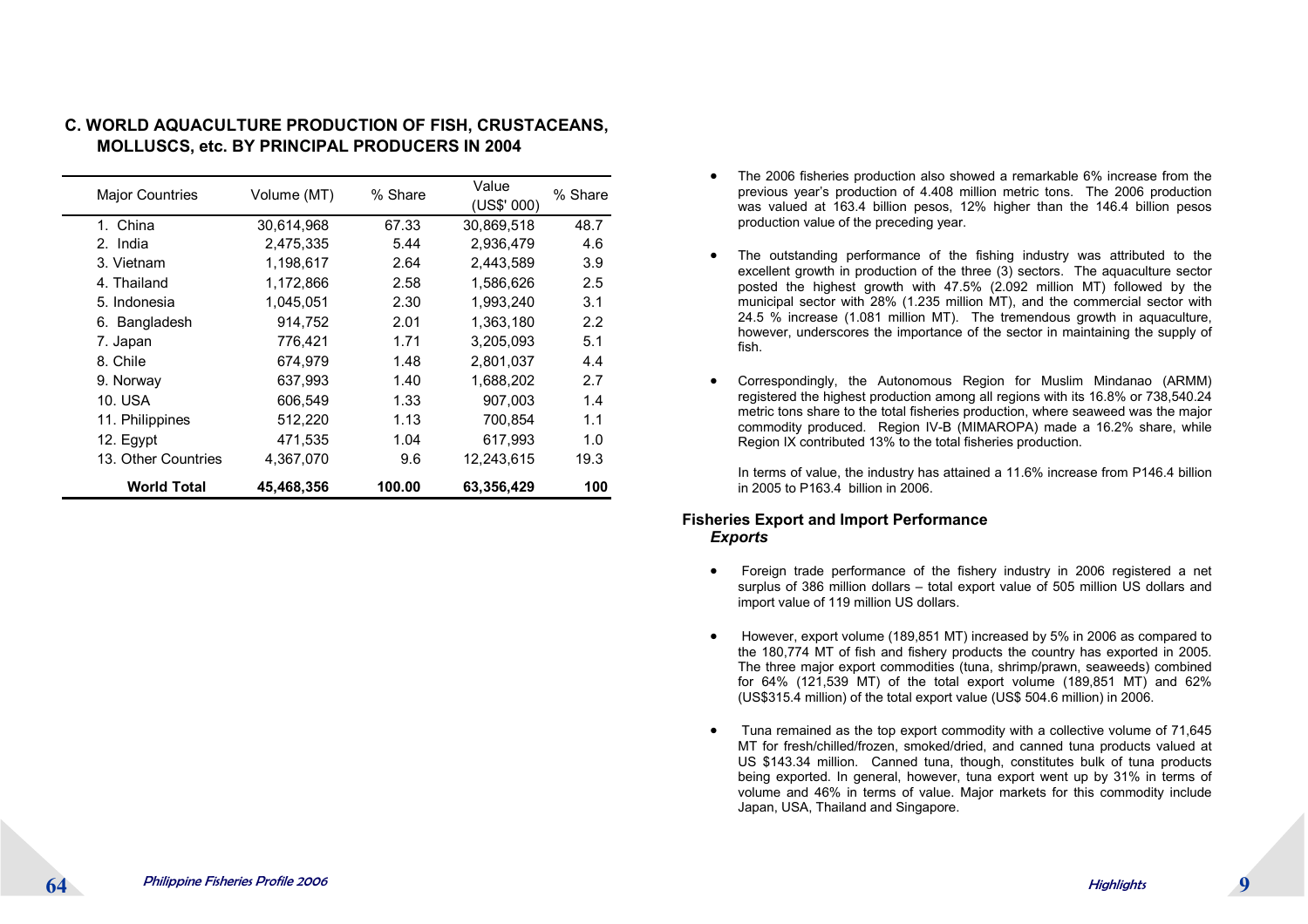| <b>Major Countries</b> | Volume (MT) | % Share | Value<br>(US\$' 000) | % Share |
|------------------------|-------------|---------|----------------------|---------|
| 1. China               | 30,614,968  | 67.33   | 30.869.518           | 48.7    |
| 2. India               | 2,475,335   | 5.44    | 2,936,479            | 4.6     |
| 3. Vietnam             | 1,198,617   | 2.64    | 2,443,589            | 3.9     |
| 4. Thailand            | 1,172,866   | 2.58    | 1,586,626            | 2.5     |
| 5. Indonesia           | 1.045.051   | 2.30    | 1.993.240            | 3.1     |
| 6. Bangladesh          | 914,752     | 2.01    | 1,363,180            | 2.2     |
| 7. Japan               | 776,421     | 1.71    | 3,205,093            | 5.1     |
| 8. Chile               | 674,979     | 1.48    | 2,801,037            | 4.4     |
| 9. Norway              | 637,993     | 1.40    | 1,688,202            | 2.7     |
| 10. USA                | 606.549     | 1.33    | 907.003              | 1.4     |
| 11. Philippines        | 512,220     | 1.13    | 700,854              | 1.1     |
| 12. Egypt              | 471,535     | 1.04    | 617,993              | 1.0     |
| 13. Other Countries    | 4,367,070   | 9.6     | 12,243,615           | 19.3    |
| <b>World Total</b>     | 45,468,356  | 100.00  | 63,356,429           | 100     |

#### **C. WORLD AQUACULTURE PRODUCTION OF FISH, CRUSTACEANS, MOLLUSCS, etc. BY PRINCIPAL PRODUCERS IN 2004**

- The 2006 fisheries production also showed a remarkable 6% increase from the previous year's production of 4.408 million metric tons. The 2006 production was valued at 163.4 billion pesos, 12% higher than the 146.4 billion pesos production value of the preceding year.
- The outstanding performance of the fishing industry was attributed to the excellent growth in production of the three (3) sectors. The aquaculture sector posted the highest growth with 47.5% (2.092 million MT) followed by the municipal sector with 28% (1.235 million MT), and the commercial sector with 24.5 % increase (1.081 million MT). The tremendous growth in aquaculture, however, underscores the importance of the sector in maintaining the supply of fish.
- Correspondingly, the Autonomous Region for Muslim Mindanao (ARMM) registered the highest production among all regions with its 16.8% or 738,540.24 metric tons share to the total fisheries production, where seaweed was the major commodity produced. Region IV-B (MIMAROPA) made a 16.2% share, while Region IX contributed 13% to the total fisheries production.

In terms of value, the industry has attained a 11.6% increase from P146.4 billion in 2005 to P163.4 billion in 2006.

#### **Fisheries Export and Import Performance**  *Exports*

- Foreign trade performance of the fishery industry in 2006 registered a net surplus of 386 million dollars – total export value of 505 million US dollars and import value of 119 million US dollars.
- However, export volume (189,851 MT) increased by 5% in 2006 as compared to the 180,774 MT of fish and fishery products the country has exported in 2005. The three major export commodities (tuna, shrimp/prawn, seaweeds) combined for 64% (121,539 MT) of the total export volume (189,851 MT) and 62% (US\$315.4 million) of the total export value (US\$ 504.6 million) in 2006.
- Tuna remained as the top export commodity with a collective volume of 71,645 MT for fresh/chilled/frozen, smoked/dried, and canned tuna products valued at US \$143.34 million. Canned tuna, though, constitutes bulk of tuna products being exported. In general, however, tuna export went up by 31% in terms of volume and 46% in terms of value. Major markets for this commodity include Japan, USA, Thailand and Singapore.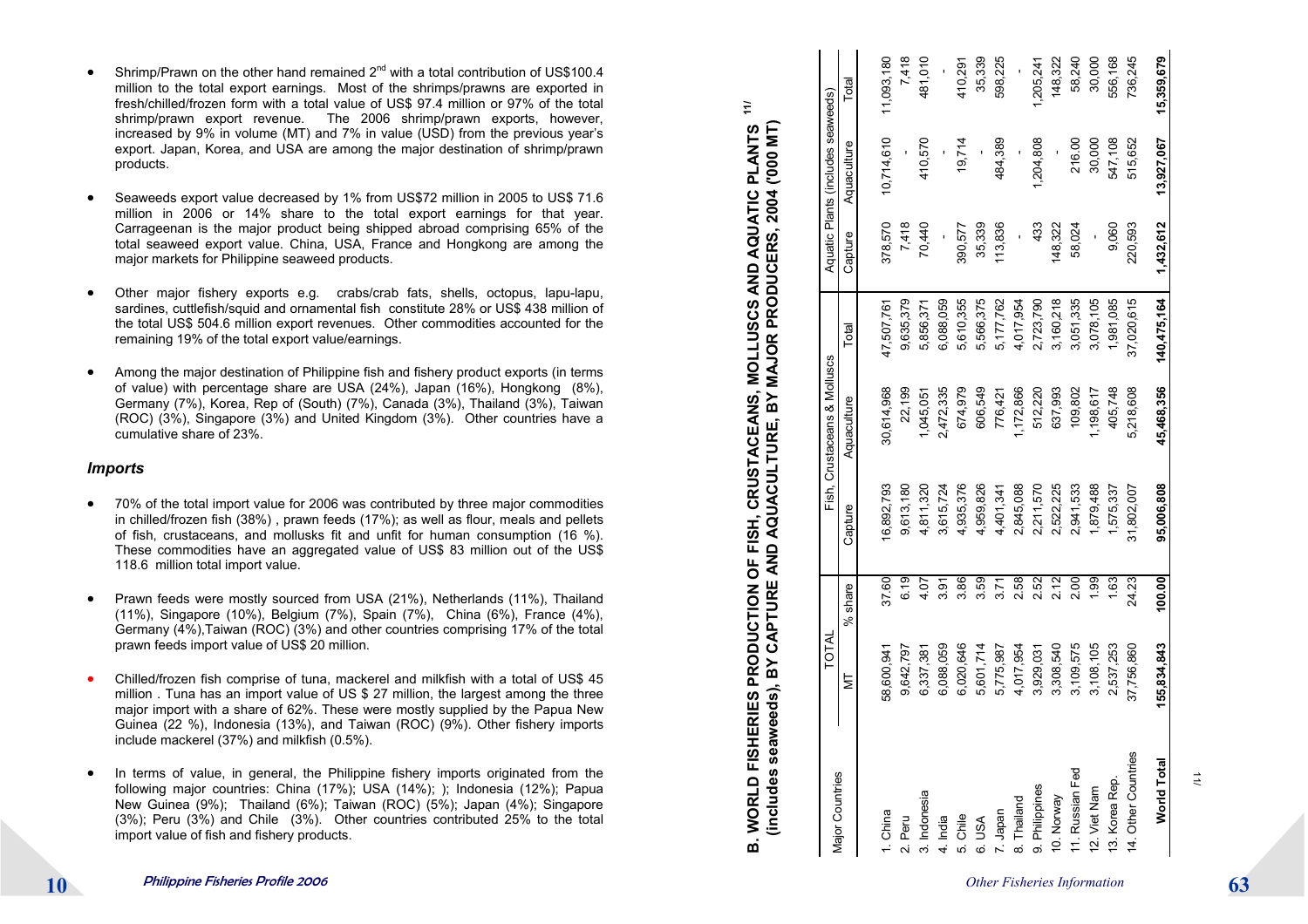- Shrimp/Prawn on the other hand remained  $2^{nd}$  with a total contribution of US\$100.4 million to the total export earnings. Most of the shrimps/prawns are exported in fresh/chilled/frozen form with a total value of US\$ 97.4 million or 97% of the total shrimp/prawn export revenue. The 2006 shrimp/prawn exports, however, increased by 9% in volume (MT) and 7% in value (USD) from the previous year's export. Japan, Korea, and USA are among the major destination of shrimp/prawn products.
- Seaweeds export value decreased by 1% from US\$72 million in 2005 to US\$ 71.6 million in 2006 or 14% share to the total export earnings for that year. Carrageenan is the major product being shipped abroad comprising 65% of the total seaweed export value. China, USA, France and Hongkong are among the major markets for Philippine seaweed products.
- Other major fishery exports e.g. crabs/crab fats, shells, octopus, lapu-lapu, sardines, cuttlefish/squid and ornamental fish constitute 28% or US\$ 438 million of the total US\$ 504.6 million export revenues. Other commodities accounted for the remaining 19% of the total export value/earnings.
- Among the major destination of Philippine fish and fishery product exports (in terms of value) with percentage share are USA (24%), Japan (16%), Hongkong (8%), Germany (7%), Korea, Rep of (South) (7%), Canada (3%), Thailand (3%), Taiwan (ROC) (3%), Singapore (3%) and United Kingdom (3%). Other countries have a cumulative share of 23%.

#### *Imports*

- 70% of the total import value for 2006 was contributed by three major commodities in chilled/frozen fish (38%) , prawn feeds (17%); as well as flour, meals and pellets of fish, crustaceans, and mollusks fit and unfit for human consumption (16 %). These commodities have an aggregated value of US\$ 83 million out of the US\$ 118.6 million total import value.
- Prawn feeds were mostly sourced from USA (21%), Netherlands (11%), Thailand (11%), Singapore (10%), Belgium (7%), Spain (7%), China (6%), France (4%), Germany (4%),Taiwan (ROC) (3%) and other countries comprising 17% of the total prawn feeds import value of US\$ 20 million.
- Chilled/frozen fish comprise of tuna, mackerel and milkfish with a total of US\$ 45 million . Tuna has an import value of US \$ 27 million, the largest among the three major import with a share of 62%. These were mostly supplied by the Papua New Guinea (22 %), Indonesia (13%), and Taiwan (ROC) (9%). Other fishery imports include mackerel (37%) and milkfish (0.5%).
- In terms of value, in general, the Philippine fishery imports originated from the following major countries: China (17%); USA (14%); ); Indonesia (12%); Papua New Guinea (9%); Thailand (6%); Taiwan (ROC) (5%); Japan (4%); Singapore (3%); Peru (3%) and Chile (3%). Other countries contributed 25% to the total import value of fish and fishery products.

# explier total share Capture Capture Capture Aquaculture Capture Aquaculture Aquaculture Total Capture Total Capture Aquaculture Capture Capture Capture Capture Capture Capture Capture Capture Capture Capture Capture Captur PLANTS<br>('000 MT)  **(includes seaweeds), BY CAPTURE AND AQUACULTURE, BY MAJOR PRODUCERS, 2004 ('000 MT) MOLLUSCS AND AQUATIC<br>MAJOR PRODUCERS, 2004 WORLD FISHERIES PRODUCTION OF FISH, CRUSTACEANS,<br>(includes seaweeds), BY CAPTURE AND AQUACULTURE, BY**

**B. WORLD FISHERIES PRODUCTION OF FISH, CRUSTACEANS, MOLLUSCS AND AQUATIC PLANTS 11/**

മ്

 $\tilde{z}$ 

| <b>Major Countries</b> | TOTAL       |         |            | Fish, Crustaceans & Molluscs |             |           | Aquatic Plants (includes seaweeds) |            |
|------------------------|-------------|---------|------------|------------------------------|-------------|-----------|------------------------------------|------------|
|                        | ≌           | % share | Capture    | Aquaculture                  | Total       | Capture   | Aquaculture                        | Total      |
|                        |             |         |            |                              |             |           |                                    |            |
| 1. China               | 58,600,941  | 37.60   | 16,892,793 | 30,614,968                   | 47,507,761  | 378,570   | 10,714,610                         | 11,093,180 |
| 2. Peru                | 9,642,797   | 6.19    | 9,613,180  | 22,199                       | 9,635,379   | 7,418     |                                    | 7,418      |
| 3. Indonesia           | 6,337,381   | 4.07    | 4,811,320  | ,045,05                      | 5,856,371   | 70,440    | 410,570                            | 481,010    |
| 4. India               | 6,088,059   | 3.91    | 3,615,724  | 2,472,335                    | 6,088,059   |           |                                    |            |
| 5. Chile               | 6,020,646   | 3.86    | 4,935,376  | 674,979                      | 5,610,355   | 390,577   | 19,714                             | 410,291    |
| 6. USA                 | 5,601,714   | 3.59    | 4,959,826  | 606,549                      | 5,566,375   | 35,339    |                                    | 35,339     |
| 7. Japan               | 5,775,987   | 3.71    | 4,401,341  | 776,421                      | 5,177,762   | 113,836   | 484,389                            | 598,225    |
| 8. Thailand            | 4,017,954   | 2.58    | 2,845,088  | ,172,866                     | 4,017,954   |           |                                    |            |
| 9. Philippines         | 3,929,031   | 2.52    | 2,211,570  | 512,220                      | 2,723,790   | 433       | 1,204,808                          | 1,205,241  |
| 10. Norway             | 3,308,540   | 2.12    | 2,522,225  | 637,993                      | 3,160,218   | 148,322   |                                    | 148,322    |
| 11. Russian Fed        | 3,109,575   | 2.00    | 2,941,533  | 109,802                      | 3,051,335   | 58,024    | 216.00                             | 58,240     |
| 12. Viet Nam           | 3,108,105   | 1.99    | 1,879,488  | ,198,617                     | 3,078,105   |           | 30,000                             | 30,000     |
| 13. Korea Rep.         | 2,537,253   | 1.63    | 1,575,337  | 405,748                      | 1,981,085   | 9,060     | 547,108                            | 556,168    |
| 14. Other Countries    | 37,756,860  | 24.23   | 31,802,007 | 5,218,608                    | 37,020,615  | 220,593   | 515,652                            | 736,245    |
| World Total            | 155,834,843 | 100.00  | 95,006,808 | 45,468,356                   | 140,475,164 | 1,432,612 | 13,927,067                         | 15,359,679 |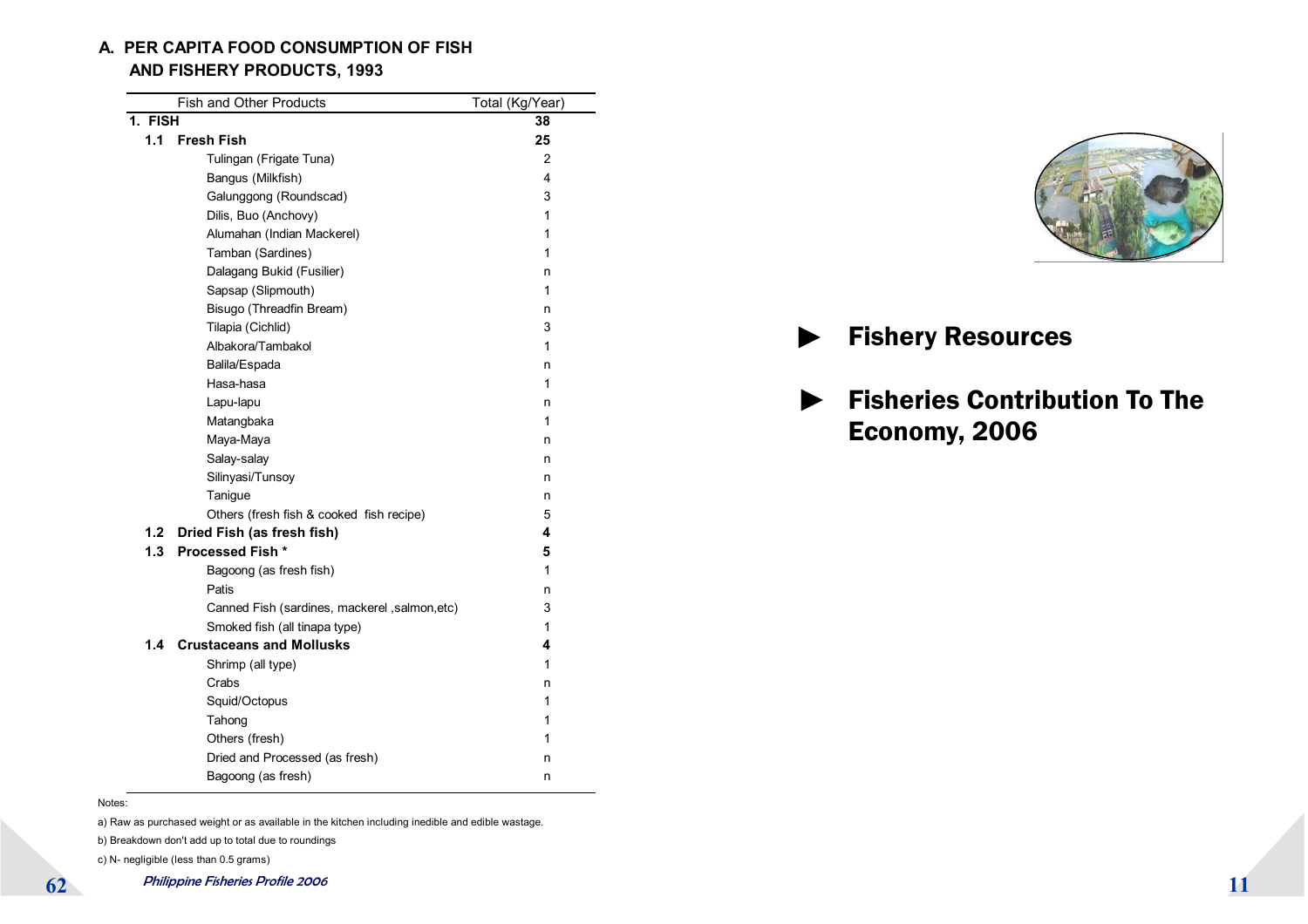#### **A. PER CAPITA FOOD CONSUMPTION OF FISHAND FISHERY PRODUCTS, 1993**

|         | Fish and Other Products                        | Total (Kg/Year) |
|---------|------------------------------------------------|-----------------|
| 1. FISH |                                                | 38              |
| 1.1     | <b>Fresh Fish</b>                              | 25              |
|         | Tulingan (Frigate Tuna)                        | $\overline{2}$  |
|         | Bangus (Milkfish)                              | 4               |
|         | Galunggong (Roundscad)                         | 3               |
|         | Dilis, Buo (Anchovy)                           | 1               |
|         | Alumahan (Indian Mackerel)                     | 1               |
|         | Tamban (Sardines)                              | 1               |
|         | Dalagang Bukid (Fusilier)                      | n               |
|         | Sapsap (Slipmouth)                             | 1               |
|         | Bisugo (Threadfin Bream)                       | n               |
|         | Tilapia (Cichlid)                              | 3               |
|         | Albakora/Tambakol                              | 1               |
|         | Balila/Espada                                  | n               |
|         | Hasa-hasa                                      | 1               |
|         | Lapu-lapu                                      | n               |
|         | Matangbaka                                     | 1               |
|         | Maya-Maya                                      | n               |
|         | Salay-salay                                    | n               |
|         | Silinyasi/Tunsoy                               | n               |
|         | Tanigue                                        | n               |
|         | Others (fresh fish & cooked fish recipe)       | 5               |
| 1.2     | Dried Fish (as fresh fish)                     | 4               |
| 1.3     | <b>Processed Fish *</b>                        | 5               |
|         | Bagoong (as fresh fish)                        | 1               |
|         | Patis                                          | n               |
|         | Canned Fish (sardines, mackerel , salmon, etc) | 3               |
|         | Smoked fish (all tinapa type)                  | 1               |
| 1.4     | <b>Crustaceans and Mollusks</b>                | 4               |
|         | Shrimp (all type)                              | 1               |
|         | Crabs                                          | n               |
|         | Squid/Octopus                                  | 1               |
|         | Tahong                                         | 1               |
|         | Others (fresh)                                 | 1               |
|         | Dried and Processed (as fresh)                 | n               |
|         | Bagoong (as fresh)                             | n               |



#### Fishery Resources ►

Fisheries Contribution To The Economy, 2006 ►

#### Notes:

**62** 

a) Raw as purchased weight or as available in the kitchen including inedible and edible wastage.

b) Breakdown don't add up to total due to roundings

c) N- negligible (less than 0.5 grams)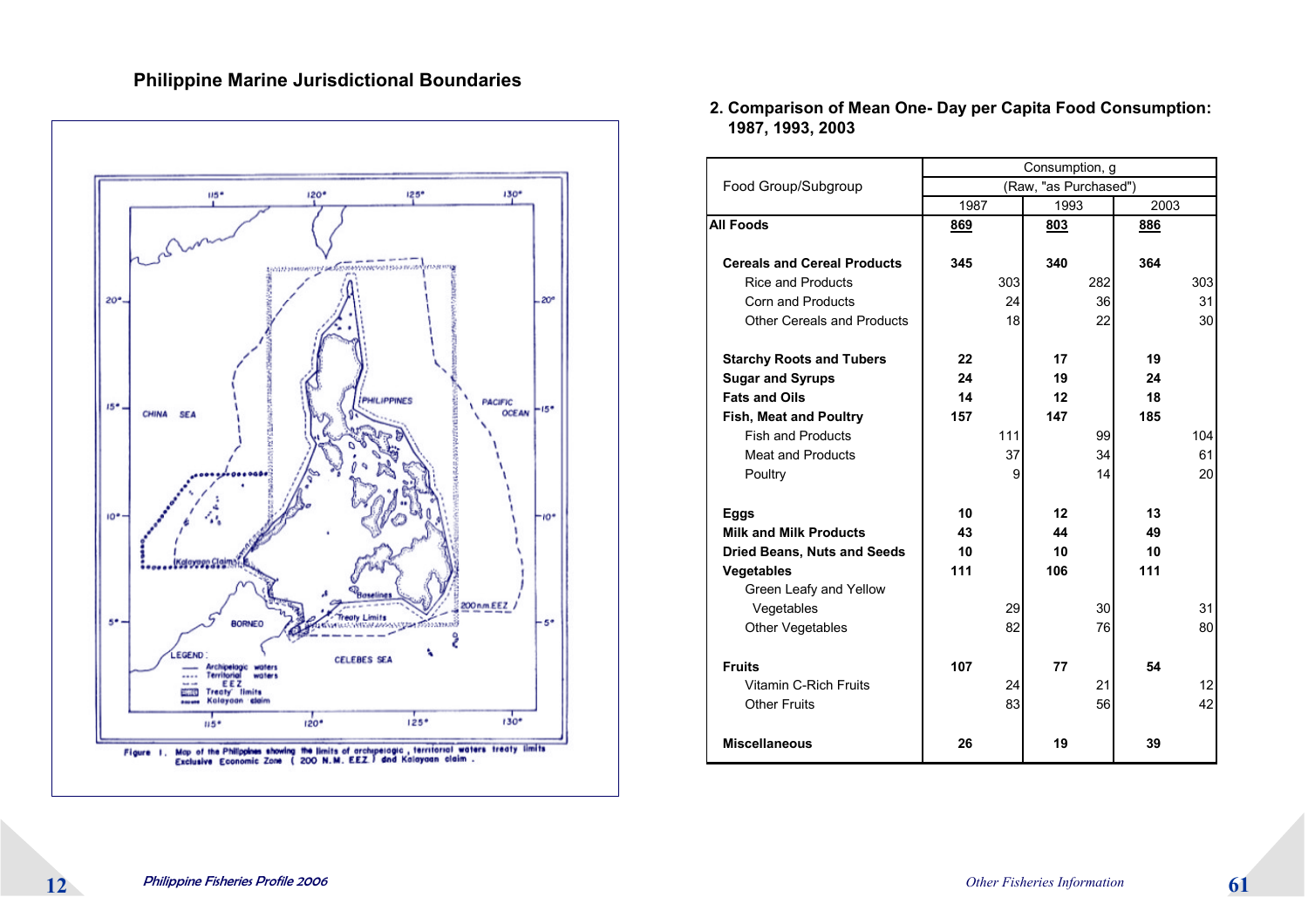



**2. Comparison of Mean One- Day per Capita Food Consumption: 1987, 1993, 2003**

|                                    |      |     | Consumption, g        |          |      |     |
|------------------------------------|------|-----|-----------------------|----------|------|-----|
| Food Group/Subgroup                |      |     | (Raw, "as Purchased") |          |      |     |
|                                    | 1987 |     | 1993                  |          | 2003 |     |
| <b>All Foods</b>                   | 869  |     | 803                   |          | 886  |     |
| <b>Cereals and Cereal Products</b> | 345  |     | 340                   |          | 364  |     |
| <b>Rice and Products</b>           |      | 303 |                       | 282      |      | 303 |
| Corn and Products                  |      | 24  |                       | 36       |      | 31  |
| <b>Other Cereals and Products</b>  |      | 18  |                       | 22       |      | 30  |
| <b>Starchy Roots and Tubers</b>    | 22   |     | 17                    |          | 19   |     |
| <b>Sugar and Syrups</b>            | 24   |     | 19                    |          | 24   |     |
| <b>Fats and Oils</b>               | 14   |     | 12                    |          | 18   |     |
| Fish, Meat and Poultry             | 157  |     | 147                   |          | 185  |     |
| <b>Fish and Products</b>           |      | 111 |                       | 99       |      | 104 |
| <b>Meat and Products</b>           |      | 37  |                       | 34       |      | 61  |
| Poultry                            |      | 9   |                       | 14       |      | 20  |
| <b>Eggs</b>                        | 10   |     | 12                    |          | 13   |     |
| <b>Milk and Milk Products</b>      | 43   |     | 44                    |          | 49   |     |
| <b>Dried Beans, Nuts and Seeds</b> | 10   |     | 10                    |          | 10   |     |
| Vegetables                         | 111  |     | 106                   |          | 111  |     |
| Green Leafy and Yellow             |      | 29  |                       |          |      | 31  |
| Vegetables                         |      | 82  |                       | 30<br>76 |      | 80  |
| Other Vegetables                   |      |     |                       |          |      |     |
| <b>Fruits</b>                      | 107  |     | 77                    |          | 54   |     |
| Vitamin C-Rich Fruits              |      | 24  |                       | 21       |      | 12  |
| <b>Other Fruits</b>                |      | 83  |                       | 56       |      | 42  |
| <b>Miscellaneous</b>               | 26   |     | 19                    |          | 39   |     |

 $12<sup>2</sup>$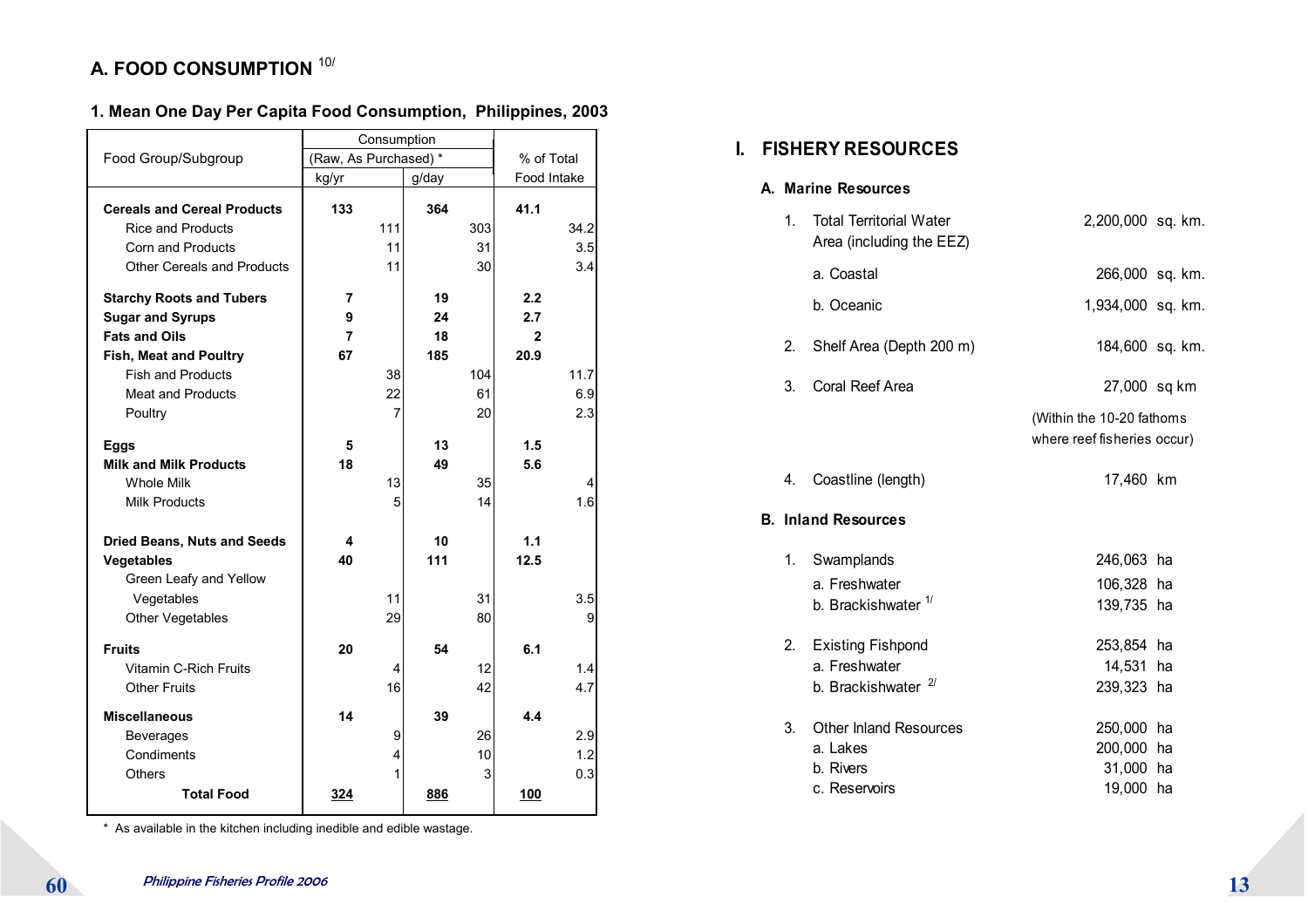## **A. FOOD CONSUMPTION** 10/

#### **1. Mean One Day Per Capita Food Consumption, Philippines, 2003**

|                                    |                       | Consumption    |       |     |              |      |
|------------------------------------|-----------------------|----------------|-------|-----|--------------|------|
| Food Group/Subgroup                | (Raw, As Purchased) * |                |       |     | % of Total   |      |
|                                    | kg/yr                 |                | g/day |     | Food Intake  |      |
| <b>Cereals and Cereal Products</b> | 133                   |                | 364   |     | 41.1         |      |
| <b>Rice and Products</b>           |                       | 111            |       | 303 |              | 34.2 |
| <b>Corn and Products</b>           |                       | 11             |       | 31  |              | 3.5  |
| <b>Other Cereals and Products</b>  |                       | 11             |       | 30  |              | 3.4  |
| <b>Starchy Roots and Tubers</b>    | 7                     |                | 19    |     | 2.2          |      |
| <b>Sugar and Syrups</b>            | 9                     |                | 24    |     | 2.7          |      |
| <b>Fats and Oils</b>               | 7                     |                | 18    |     | $\mathbf{2}$ |      |
| <b>Fish, Meat and Poultry</b>      | 67                    |                | 185   |     | 20.9         |      |
| <b>Fish and Products</b>           |                       | 38             |       | 104 |              | 11.7 |
| <b>Meat and Products</b>           |                       | 22             |       | 61  |              | 6.9  |
| Poultry                            |                       | $\overline{7}$ |       | 20  |              | 2.3  |
| Eggs                               | 5                     |                | 13    |     | 1.5          |      |
| <b>Milk and Milk Products</b>      | 18                    |                | 49    |     | 5.6          |      |
| <b>Whole Milk</b>                  |                       | 13             |       | 35  |              | 4    |
| <b>Milk Products</b>               |                       | 5              |       | 14  |              | 1.6  |
| <b>Dried Beans, Nuts and Seeds</b> | 4                     |                | 10    |     | 1.1          |      |
| Vegetables                         | 40                    |                | 111   |     | 12.5         |      |
| Green Leafy and Yellow             |                       |                |       |     |              |      |
| Vegetables                         |                       | 11             |       | 31  |              | 3.5  |
| Other Vegetables                   |                       | 29             |       | 80  |              | 9    |
| <b>Fruits</b>                      | 20                    |                | 54    |     | 6.1          |      |
| Vitamin C-Rich Fruits              |                       | 4              |       | 12  |              | 1.4  |
| <b>Other Fruits</b>                |                       | 16             |       | 42  |              | 4.7  |
| <b>Miscellaneous</b>               | 14                    |                | 39    |     | 4.4          |      |
| <b>Beverages</b>                   |                       | 9              |       | 26  |              | 2.9  |
| Condiments                         |                       | 4              |       | 10  |              | 1.2  |
| <b>Others</b>                      |                       | 1              |       | 3   |              | 0.3  |
| <b>Total Food</b>                  | 324                   |                | 886   |     | 100          |      |

\* As available in the kitchen including inedible and edible wastage.

#### **I. FISHERY RESOURCES**

#### **A. Marine Resources**

| 1. | <b>Total Territorial Water</b><br>Area (including the EEZ) | 2,200,000 sq. km.           |    |
|----|------------------------------------------------------------|-----------------------------|----|
|    | a. Coastal                                                 | 266,000 sq. km.             |    |
|    | b. Oceanic                                                 | 1,934,000 sq. km.           |    |
| 2. | Shelf Area (Depth 200 m)                                   | 184,600 sq. km.             |    |
| 3. | Coral Reef Area                                            | 27,000 sq km                |    |
|    |                                                            | (Within the 10-20 fathoms)  |    |
|    |                                                            | where reef fisheries occur) |    |
| 4. | Coastline (length)                                         | 17,460 km                   |    |
|    | <b>B. Inland Resources</b>                                 |                             |    |
| 1. | Swamplands                                                 | 246,063 ha                  |    |
|    | a. Freshwater                                              | 106,328 ha                  |    |
|    | b. Brackishwater <sup>1/</sup>                             | 139,735 ha                  |    |
| 2. | <b>Existing Fishpond</b>                                   | 253,854 ha                  |    |
|    | a. Freshwater                                              | 14,531                      | ha |
|    | b. Brackishwater <sup>2/</sup>                             | 239,323 ha                  |    |
| 3. | <b>Other Inland Resources</b>                              | 250,000                     | ha |
|    | a. Lakes                                                   | 200,000 ha                  |    |
|    | b. Rivers                                                  | 31,000                      | ha |
|    | c. Reservoirs                                              | 19,000                      | ha |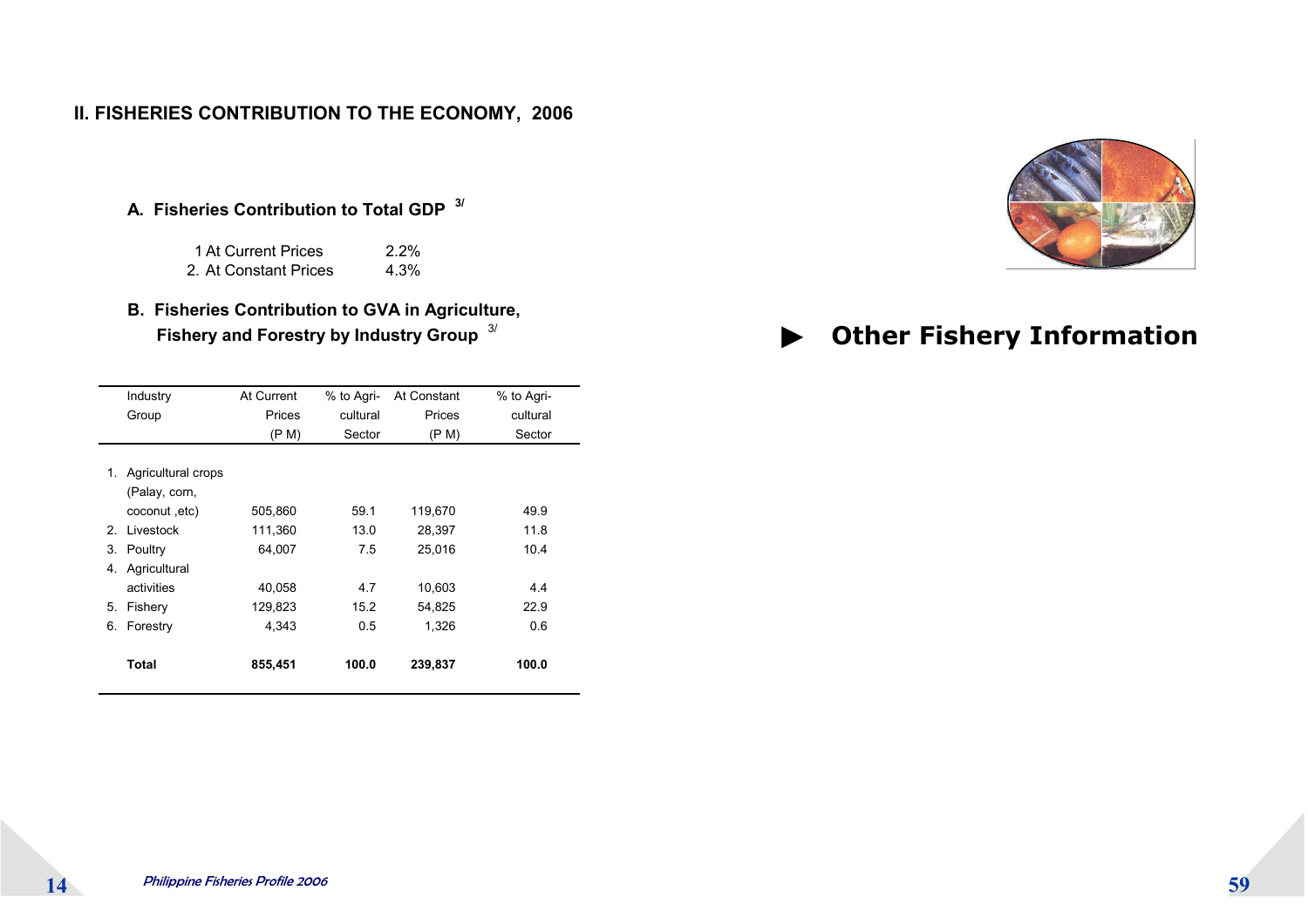#### **II. FISHERIES CONTRIBUTION TO THE ECONOMY, 2006**

#### **A. Fisheries Contribution to Total GDP 3/**

| 1 At Current Prices   | $2.2\%$ |  |
|-----------------------|---------|--|
| 2. At Constant Prices | 4.3%    |  |

#### **B. Fisheries Contribution to GVA in Agriculture, Fishery and Forestry by Industry Group** 3/

|    | Industry              | At Current | % to Agri- | At Constant | % to Agri- |
|----|-----------------------|------------|------------|-------------|------------|
|    | Group                 | Prices     | cultural   | Prices      | cultural   |
|    |                       | (P M)      | Sector     | (P M)       | Sector     |
|    |                       |            |            |             |            |
|    | 1. Agricultural crops |            |            |             |            |
|    | (Palay, corn,         |            |            |             |            |
|    | coconut, etc)         | 505,860    | 59.1       | 119,670     | 49.9       |
| 2  | Livestock             | 111,360    | 13.0       | 28,397      | 11.8       |
| 3. | Poultry               | 64,007     | 7.5        | 25.016      | 10.4       |
|    | 4. Agricultural       |            |            |             |            |
|    | activities            | 40,058     | 4.7        | 10,603      | 4.4        |
| 5. | Fishery               | 129,823    | 15.2       | 54,825      | 22.9       |
| 6. | Forestry              | 4,343      | 0.5        | 1,326       | 0.6        |
|    |                       |            |            |             |            |
|    | Total                 | 855,451    | 100.0      | 239,837     | 100.0      |
|    |                       |            |            |             |            |



#### ►**Other Fishery Information**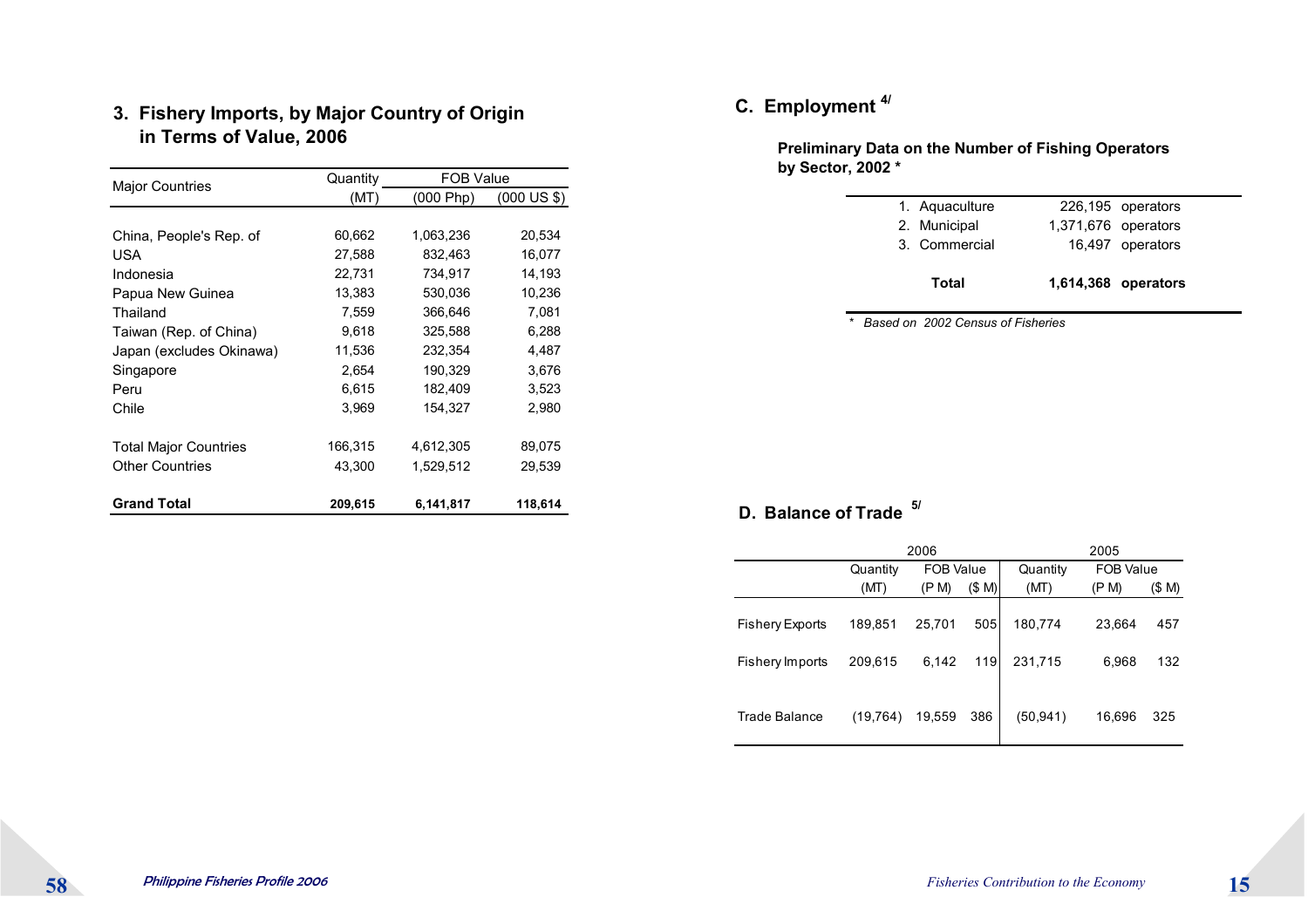#### **3. Fishery Imports, by Major Country of Origin in Terms of Value, 2006**

| <b>Major Countries</b>       | Quantity | FOB Value |                        |
|------------------------------|----------|-----------|------------------------|
|                              | (MT)     | (000 Php) | $(000 \text{ US }$ \$) |
|                              |          |           |                        |
| China, People's Rep. of      | 60,662   | 1,063,236 | 20,534                 |
| USA                          | 27,588   | 832,463   | 16,077                 |
| Indonesia                    | 22,731   | 734,917   | 14,193                 |
| Papua New Guinea             | 13,383   | 530,036   | 10,236                 |
| Thailand                     | 7,559    | 366,646   | 7,081                  |
| Taiwan (Rep. of China)       | 9,618    | 325,588   | 6,288                  |
| Japan (excludes Okinawa)     | 11,536   | 232,354   | 4,487                  |
| Singapore                    | 2,654    | 190,329   | 3,676                  |
| Peru                         | 6,615    | 182,409   | 3,523                  |
| Chile                        | 3,969    | 154,327   | 2,980                  |
|                              |          |           |                        |
| <b>Total Major Countries</b> | 166,315  | 4,612,305 | 89,075                 |
| <b>Other Countries</b>       | 43,300   | 1,529,512 | 29,539                 |
|                              |          |           |                        |
| <b>Grand Total</b>           | 209,615  | 6,141,817 | 118,614                |

# **C. Employment 4/**

**by Sector, 2002 \* Preliminary Data on the Number of Fishing Operators** 

| Total          |                     | 1,614,368 operators |  |
|----------------|---------------------|---------------------|--|
| 3. Commercial  |                     | 16,497 operators    |  |
| 2. Municipal   | 1,371,676 operators |                     |  |
| 1. Aguaculture |                     | 226,195 operators   |  |
|                |                     |                     |  |

*\* Based on 2002 Census of Fisheries*

#### **D. Balance of Trade 5/**

|                 |           | 2006             |      |           | 2005             |        |
|-----------------|-----------|------------------|------|-----------|------------------|--------|
|                 | Quantity  | <b>FOB Value</b> |      | Quantity  | <b>FOB Value</b> |        |
|                 | (MT)      | (P M)            | (SM) | (MT)      | (P M)            | (\$ M) |
| Fishery Exports | 189,851   | 25,701           | 505  | 180,774   | 23,664           | 457    |
| Fishery Imports | 209,615   | 6,142            | 119  | 231,715   | 6,968            | 132    |
| Trade Balance   | (19, 764) | 19,559           | 386  | (50, 941) | 16,696           | 325    |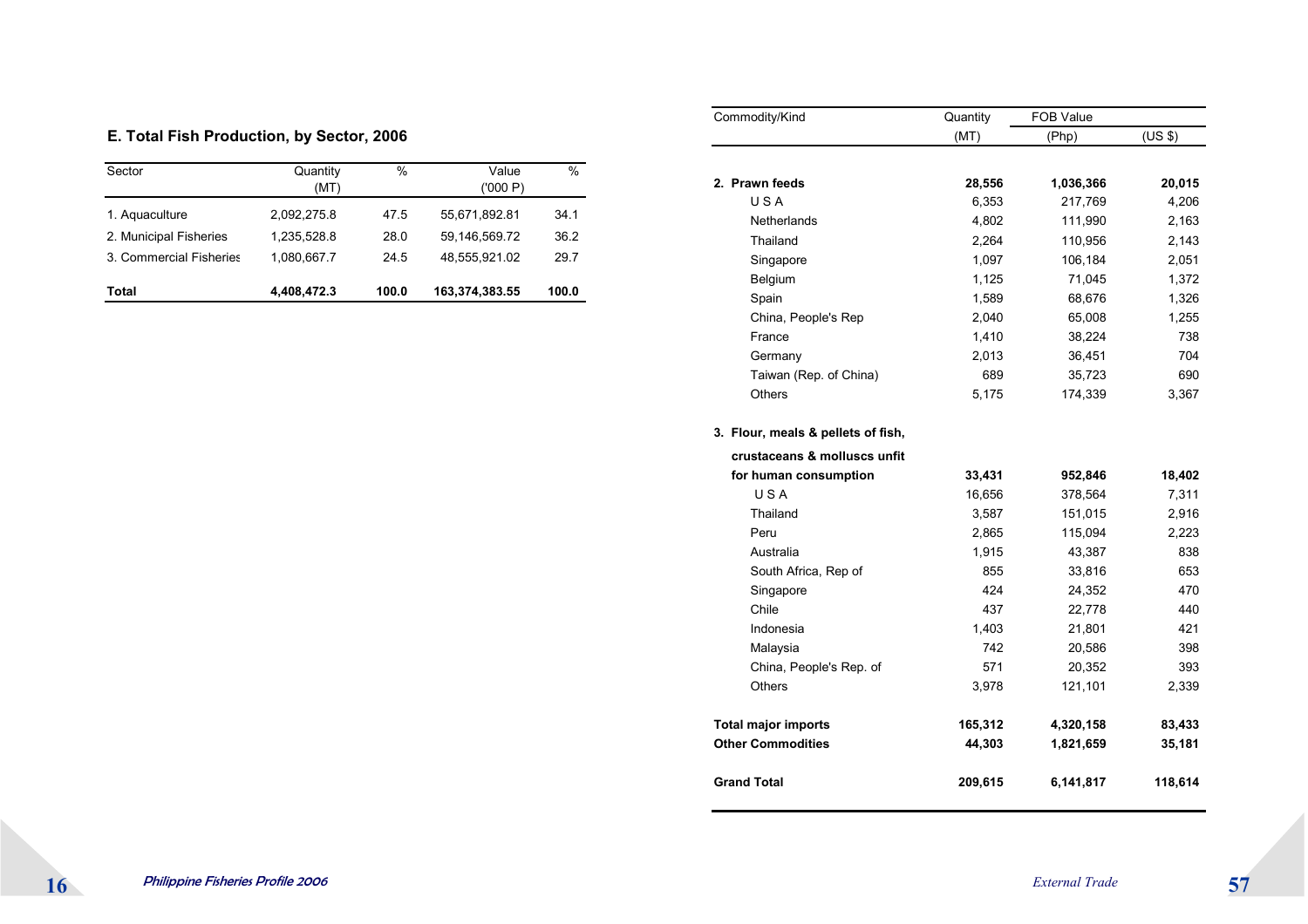|  |  |  | E. Total Fish Production, by Sector, 2006 |  |  |  |
|--|--|--|-------------------------------------------|--|--|--|
|--|--|--|-------------------------------------------|--|--|--|

| Sector                  | Quantity<br>(MT) | %     | Value<br>('000 P) | $\%$  |
|-------------------------|------------------|-------|-------------------|-------|
| 1. Aquaculture          | 2,092,275.8      | 47.5  | 55,671,892.81     | 34.1  |
| 2. Municipal Fisheries  | 1.235.528.8      | 28.0  | 59.146.569.72     | 36.2  |
| 3. Commercial Fisheries | 1.080.667.7      | 24.5  | 48,555,921.02     | 29.7  |
| Total                   | 4,408,472.3      | 100.0 | 163,374,383.55    | 100.0 |

| Commodity/Kind                     | Quantity | FOB Value |         |
|------------------------------------|----------|-----------|---------|
|                                    | (MT)     | (Php)     | (US \$) |
|                                    |          |           |         |
| 2. Prawn feeds                     | 28,556   | 1,036,366 | 20,015  |
| USA                                | 6,353    | 217,769   | 4,206   |
| Netherlands                        | 4,802    | 111,990   | 2,163   |
| Thailand                           | 2,264    | 110,956   | 2,143   |
| Singapore                          | 1,097    | 106,184   | 2,051   |
| Belgium                            | 1,125    | 71,045    | 1,372   |
| Spain                              | 1,589    | 68,676    | 1,326   |
| China, People's Rep                | 2,040    | 65,008    | 1,255   |
| France                             | 1,410    | 38,224    | 738     |
| Germany                            | 2,013    | 36,451    | 704     |
| Taiwan (Rep. of China)             | 689      | 35,723    | 690     |
| <b>Others</b>                      | 5,175    | 174,339   | 3,367   |
| 3. Flour, meals & pellets of fish, |          |           |         |
| crustaceans & molluscs unfit       |          |           |         |
| for human consumption              | 33,431   | 952,846   | 18,402  |
| USA                                | 16,656   | 378,564   | 7,311   |
| Thailand                           | 3,587    | 151,015   | 2,916   |
| Peru                               | 2,865    | 115,094   | 2,223   |
| Australia                          | 1,915    | 43,387    | 838     |
| South Africa, Rep of               | 855      | 33,816    | 653     |
| Singapore                          | 424      | 24,352    | 470     |
| Chile                              | 437      | 22,778    | 440     |
| Indonesia                          | 1,403    | 21,801    | 421     |
| Malaysia                           | 742      | 20,586    | 398     |
| China, People's Rep. of            | 571      | 20,352    | 393     |
| <b>Others</b>                      | 3,978    | 121,101   | 2,339   |
| <b>Total major imports</b>         | 165,312  | 4,320,158 | 83,433  |
| <b>Other Commodities</b>           | 44,303   | 1,821,659 | 35,181  |

**Grand Total 209,615 6,141,817 118,614**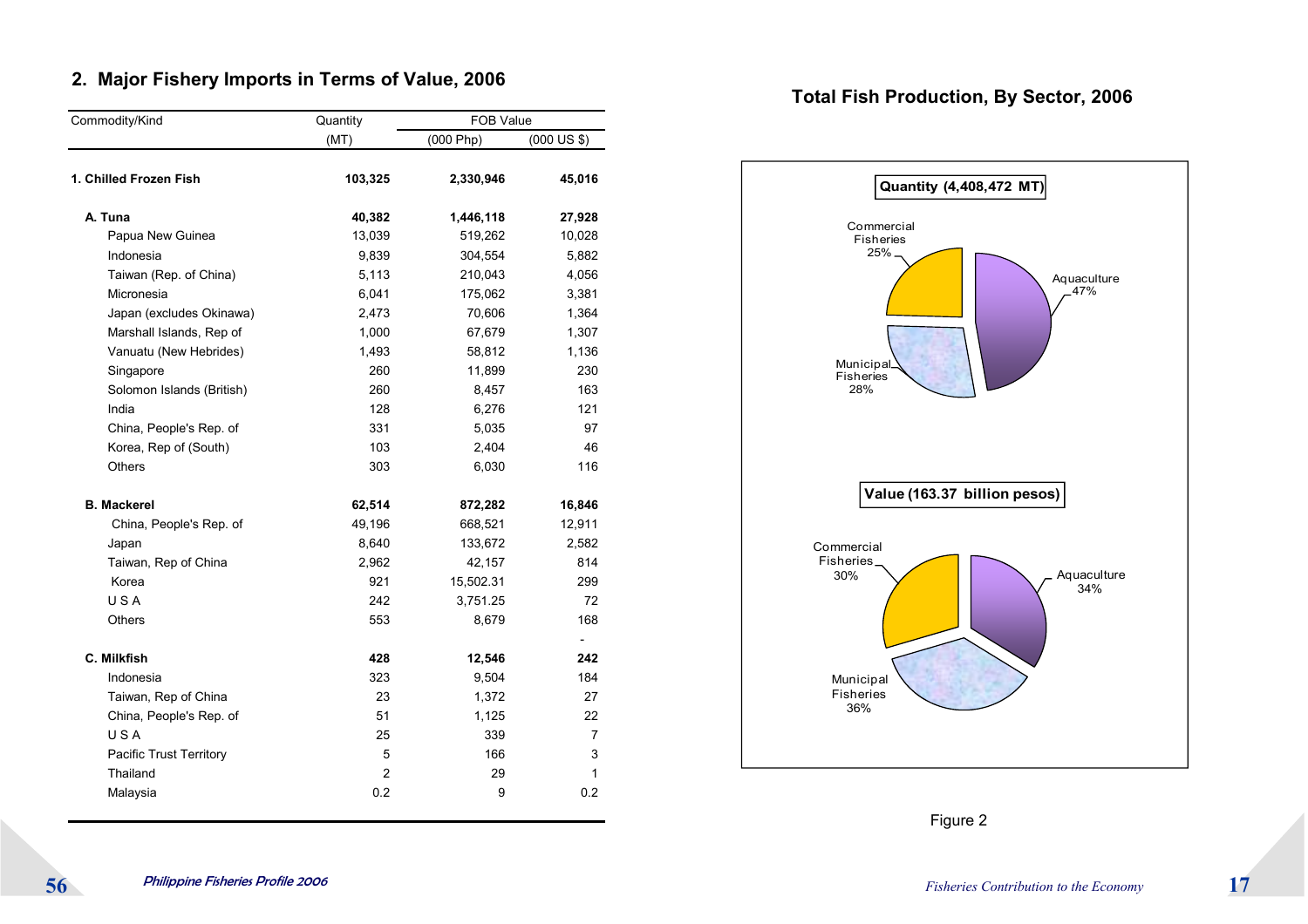#### **2. Major Fishery Imports in Terms of Value, 2006**

| Commodity/Kind            | Quantity | <b>FOB Value</b> |                       |  |
|---------------------------|----------|------------------|-----------------------|--|
|                           | (MT)     | (000 Php)        | $(000 \text{ US } $)$ |  |
| 1. Chilled Frozen Fish    | 103,325  | 2,330,946        | 45,016                |  |
| A. Tuna                   | 40,382   | 1,446,118        | 27,928                |  |
| Papua New Guinea          | 13,039   | 519,262          | 10,028                |  |
| Indonesia                 | 9,839    | 304,554          | 5,882                 |  |
| Taiwan (Rep. of China)    | 5,113    | 210,043          | 4,056                 |  |
| Micronesia                | 6,041    | 175,062          | 3,381                 |  |
| Japan (excludes Okinawa)  | 2,473    | 70,606           | 1,364                 |  |
| Marshall Islands, Rep of  | 1,000    | 67,679           | 1,307                 |  |
| Vanuatu (New Hebrides)    | 1,493    | 58,812           | 1,136                 |  |
| Singapore                 | 260      | 11,899           | 230                   |  |
| Solomon Islands (British) | 260      | 8,457            | 163                   |  |
| India                     | 128      | 6,276            | 121                   |  |
| China, People's Rep. of   | 331      | 5,035            | 97                    |  |
| Korea, Rep of (South)     | 103      | 2,404            | 46                    |  |
| <b>Others</b>             | 303      | 6,030            | 116                   |  |
| <b>B. Mackerel</b>        | 62,514   | 872,282          | 16,846                |  |
| China, People's Rep. of   | 49,196   | 668,521          | 12,911                |  |
| Japan                     | 8,640    | 133,672          | 2,582                 |  |
| Taiwan, Rep of China      | 2,962    | 42,157           | 814                   |  |
| Korea                     | 921      | 15,502.31        | 299                   |  |
| USA                       | 242      | 3,751.25         | 72                    |  |
| Others                    | 553      | 8,679            | 168                   |  |
|                           |          |                  |                       |  |
| C. Milkfish               | 428      | 12,546           | 242                   |  |
| Indonesia                 | 323      | 9,504            | 184                   |  |
| Taiwan, Rep of China      | 23       | 1,372            | 27                    |  |
| China, People's Rep. of   | 51       | 1,125            | 22                    |  |
| USA                       | 25       | 339              | 7                     |  |
| Pacific Trust Territory   | 5        | 166              | 3                     |  |
| Thailand                  | 2        | 29               | 1                     |  |
| Malaysia                  | 0.2      | 9                | 0.2                   |  |

#### **Total Fish Production, By Sector, 2006**



Figure 2

 $56<sup>°</sup>$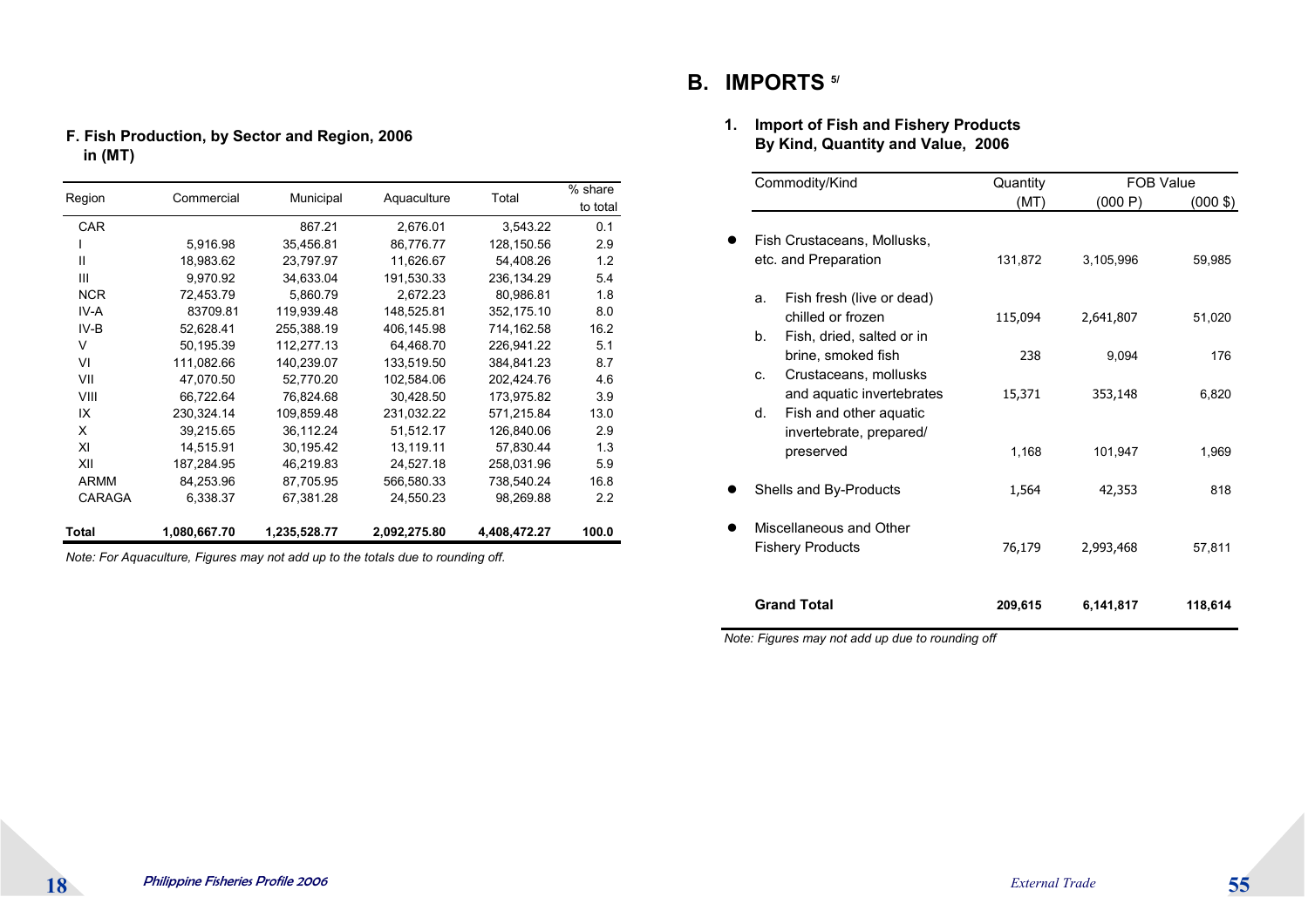#### **F. Fish Production, by Sector and Region, 2006 in (MT)**

| Region     | Commercial   | Municipal    | Aquaculture  | Total        | % share  |
|------------|--------------|--------------|--------------|--------------|----------|
|            |              |              |              |              | to total |
| <b>CAR</b> |              | 867.21       | 2,676.01     | 3,543.22     | 0.1      |
|            | 5,916.98     | 35,456.81    | 86,776.77    | 128,150.56   | 2.9      |
| Ш          | 18,983.62    | 23,797.97    | 11,626.67    | 54,408.26    | 1.2      |
| Ш          | 9,970.92     | 34,633.04    | 191,530.33   | 236,134.29   | 5.4      |
| <b>NCR</b> | 72,453.79    | 5,860.79     | 2,672.23     | 80,986.81    | 1.8      |
| IV-A       | 83709.81     | 119,939.48   | 148,525.81   | 352,175.10   | 8.0      |
| $IV-B$     | 52,628.41    | 255,388.19   | 406,145.98   | 714,162.58   | 16.2     |
| $\vee$     | 50,195.39    | 112,277.13   | 64,468.70    | 226,941.22   | 5.1      |
| VI         | 111,082.66   | 140,239.07   | 133,519.50   | 384,841.23   | 8.7      |
| VII        | 47,070.50    | 52,770.20    | 102,584.06   | 202,424.76   | 4.6      |
| VIII       | 66,722.64    | 76,824.68    | 30,428.50    | 173,975.82   | 3.9      |
| IX         | 230,324.14   | 109,859.48   | 231,032.22   | 571,215.84   | 13.0     |
| X          | 39,215.65    | 36,112.24    | 51,512.17    | 126,840.06   | 2.9      |
| XI         | 14,515.91    | 30,195.42    | 13,119.11    | 57,830.44    | 1.3      |
| XII        | 187,284.95   | 46,219.83    | 24,527.18    | 258,031.96   | 5.9      |
| ARMM       | 84.253.96    | 87.705.95    | 566.580.33   | 738.540.24   | 16.8     |
| CARAGA     | 6,338.37     | 67,381.28    | 24,550.23    | 98,269.88    | 2.2      |
| Total      | 1,080,667.70 | 1,235,528.77 | 2,092,275.80 | 4,408,472.27 | 100.0    |

*Note: For Aquaculture, Figures may not add up to the totals due to rounding off.*

## **B. IMPORTS 5/**

#### **1. Import of Fish and Fishery Products By Kind, Quantity and Value, 2006**

| Commodity/Kind                                                                           | Quantity | <b>FOB Value</b> |                     |  |
|------------------------------------------------------------------------------------------|----------|------------------|---------------------|--|
|                                                                                          | (MT)     | (000 P)          | $(000 \, \text{S})$ |  |
| Fish Crustaceans, Mollusks,<br>etc. and Preparation                                      | 131,872  | 3,105,996        | 59,985              |  |
| Fish fresh (live or dead)<br>a.<br>chilled or frozen<br>Fish, dried, salted or in<br>b.  | 115,094  | 2,641,807        | 51,020              |  |
| brine, smoked fish                                                                       | 238      | 9,094            | 176                 |  |
| Crustaceans, mollusks<br>C.<br>and aquatic invertebrates<br>Fish and other aquatic<br>d. | 15,371   | 353,148          | 6,820               |  |
| invertebrate, prepared/<br>preserved                                                     | 1,168    | 101,947          | 1,969               |  |
| Shells and By-Products                                                                   | 1,564    | 42,353           | 818                 |  |
| Miscellaneous and Other<br><b>Fishery Products</b>                                       | 76,179   | 2,993,468        | 57,811              |  |
| <b>Grand Total</b>                                                                       | 209,615  | 6,141,817        | 118,614             |  |

*Note: Figures may not add up due to rounding off*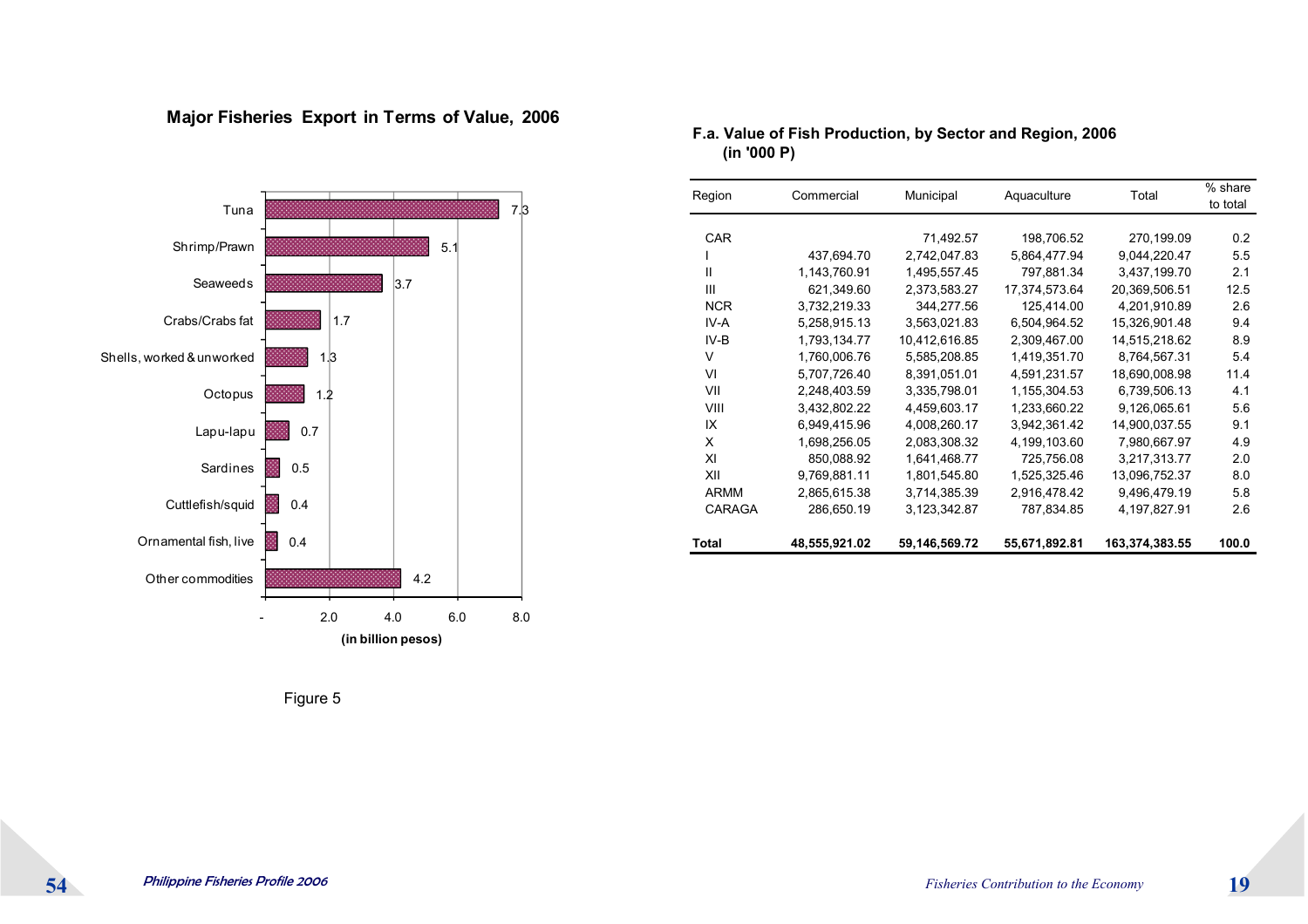

#### **Major Fisheries Export in Terms of Value, 2006**

**F.a. Value of Fish Production, by Sector and Region, 2006 (in '000 P)**

| Region        | Commercial    | Municipal     | Aquaculture   | Total           | % share  |
|---------------|---------------|---------------|---------------|-----------------|----------|
|               |               |               |               |                 | to total |
|               |               |               |               |                 |          |
| <b>CAR</b>    |               | 71,492.57     | 198,706.52    | 270,199.09      | 0.2      |
|               | 437,694.70    | 2,742,047.83  | 5,864,477.94  | 9,044,220.47    | 5.5      |
| Ш             | 1,143,760.91  | 1,495,557.45  | 797,881.34    | 3,437,199.70    | 2.1      |
| Ш             | 621,349.60    | 2,373,583.27  | 17,374,573.64 | 20,369,506.51   | 12.5     |
| <b>NCR</b>    | 3,732,219.33  | 344,277.56    | 125,414.00    | 4,201,910.89    | 2.6      |
| IV-A          | 5,258,915.13  | 3,563,021.83  | 6,504,964.52  | 15,326,901.48   | 9.4      |
| IV-B          | 1,793,134.77  | 10,412,616.85 | 2,309,467.00  | 14,515,218.62   | 8.9      |
| V             | 1,760,006.76  | 5,585,208.85  | 1,419,351.70  | 8,764,567.31    | 5.4      |
| VI            | 5,707,726.40  | 8,391,051.01  | 4,591,231.57  | 18,690,008.98   | 11.4     |
| VII           | 2,248,403.59  | 3,335,798.01  | 1,155,304.53  | 6,739,506.13    | 4.1      |
| VIII          | 3,432,802.22  | 4,459,603.17  | 1,233,660.22  | 9,126,065.61    | 5.6      |
| IX            | 6,949,415.96  | 4,008,260.17  | 3,942,361.42  | 14,900,037.55   | 9.1      |
| X             | 1,698,256.05  | 2,083,308.32  | 4,199,103.60  | 7,980,667.97    | 4.9      |
| XI            | 850,088.92    | 1,641,468.77  | 725,756.08    | 3,217,313.77    | 2.0      |
| XII           | 9,769,881.11  | 1,801,545.80  | 1,525,325.46  | 13,096,752.37   | 8.0      |
| <b>ARMM</b>   | 2,865,615.38  | 3,714,385.39  | 2,916,478.42  | 9,496,479.19    | 5.8      |
| <b>CARAGA</b> | 286,650.19    | 3,123,342.87  | 787,834.85    | 4, 197, 827. 91 | 2.6      |
| Total         | 48,555,921.02 | 59,146,569.72 | 55,671,892.81 | 163,374,383.55  | 100.0    |

Figure 5

54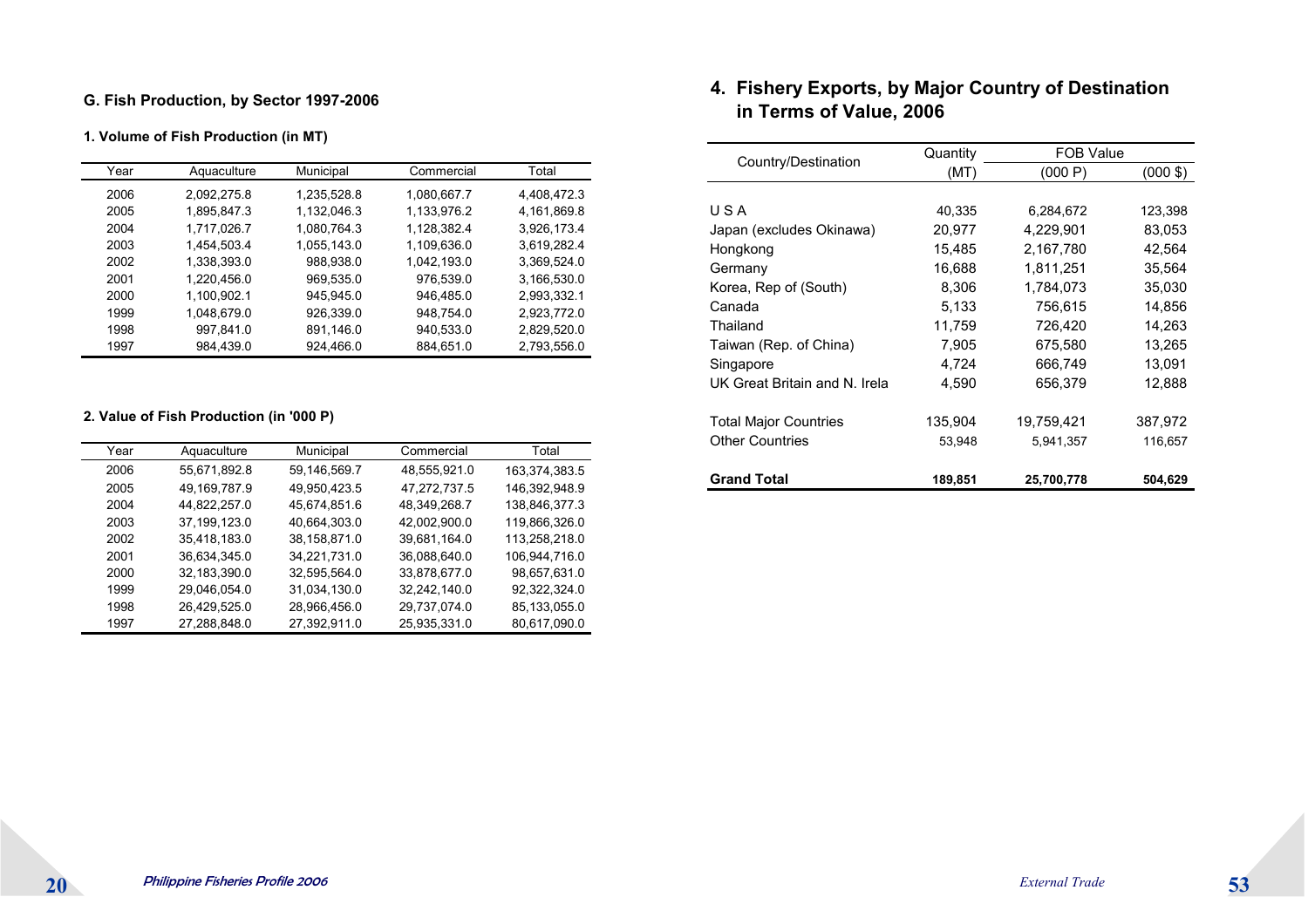#### **G. Fish Production, by Sector 1997-2006**

#### **1. Volume of Fish Production (in MT)**

| Year | Aquaculture | Municipal   | Commercial  | Total       |
|------|-------------|-------------|-------------|-------------|
| 2006 | 2,092,275.8 | 1,235,528.8 | 1,080,667.7 | 4,408,472.3 |
| 2005 | 1,895,847.3 | 1,132,046.3 | 1,133,976.2 | 4,161,869.8 |
| 2004 | 1,717,026.7 | 1,080,764.3 | 1,128,382.4 | 3,926,173.4 |
| 2003 | 1.454.503.4 | 1,055,143.0 | 1,109,636.0 | 3,619,282.4 |
| 2002 | 1,338,393.0 | 988,938.0   | 1,042,193.0 | 3,369,524.0 |
| 2001 | 1,220,456.0 | 969,535.0   | 976,539.0   | 3,166,530.0 |
| 2000 | 1,100,902.1 | 945,945.0   | 946,485.0   | 2,993,332.1 |
| 1999 | 1,048,679.0 | 926,339.0   | 948,754.0   | 2,923,772.0 |
| 1998 | 997,841.0   | 891,146.0   | 940,533.0   | 2,829,520.0 |
| 1997 | 984,439.0   | 924,466.0   | 884,651.0   | 2,793,556.0 |

#### **2. Value of Fish Production (in '000 P)**

| Year | Aquaculture  | Municipal    | Commercial   | Total         |
|------|--------------|--------------|--------------|---------------|
| 2006 | 55,671,892.8 | 59,146,569.7 | 48,555,921.0 | 163,374,383.5 |
| 2005 | 49,169,787.9 | 49,950,423.5 | 47,272,737.5 | 146,392,948.9 |
| 2004 | 44,822,257.0 | 45,674,851.6 | 48,349,268.7 | 138,846,377.3 |
| 2003 | 37,199,123.0 | 40,664,303.0 | 42,002,900.0 | 119,866,326.0 |
| 2002 | 35,418,183.0 | 38,158,871.0 | 39,681,164.0 | 113,258,218.0 |
| 2001 | 36,634,345.0 | 34,221,731.0 | 36,088,640.0 | 106,944,716.0 |
| 2000 | 32,183,390.0 | 32,595,564.0 | 33,878,677.0 | 98,657,631.0  |
| 1999 | 29,046,054.0 | 31,034,130.0 | 32,242,140.0 | 92,322,324.0  |
| 1998 | 26,429,525.0 | 28,966,456.0 | 29,737,074.0 | 85,133,055.0  |
| 1997 | 27,288,848.0 | 27,392,911.0 | 25,935,331.0 | 80,617,090.0  |
|      |              |              |              |               |

#### **4. Fishery Exports, by Major Country of Destination in Terms of Value, 2006**

| Country/Destination           | Quantity | <b>FOB Value</b> |                    |
|-------------------------------|----------|------------------|--------------------|
|                               | (MT)     | (000 P)          | $(000 \text{ } $)$ |
|                               |          |                  |                    |
| USA                           | 40,335   | 6,284,672        | 123,398            |
| Japan (excludes Okinawa)      | 20,977   | 4,229,901        | 83,053             |
| Hongkong                      | 15,485   | 2,167,780        | 42,564             |
| Germany                       | 16,688   | 1,811,251        | 35,564             |
| Korea, Rep of (South)         | 8,306    | 1,784,073        | 35,030             |
| Canada                        | 5,133    | 756,615          | 14,856             |
| Thailand                      | 11,759   | 726,420          | 14,263             |
| Taiwan (Rep. of China)        | 7,905    | 675,580          | 13,265             |
| Singapore                     | 4,724    | 666,749          | 13,091             |
| UK Great Britain and N. Irela | 4,590    | 656,379          | 12,888             |
|                               |          |                  |                    |
| <b>Total Major Countries</b>  | 135,904  | 19,759,421       | 387,972            |
| <b>Other Countries</b>        | 53,948   | 5,941,357        | 116,657            |
|                               |          |                  |                    |
| <b>Grand Total</b>            | 189,851  | 25,700,778       | 504,629            |

 $20<sub>1</sub>$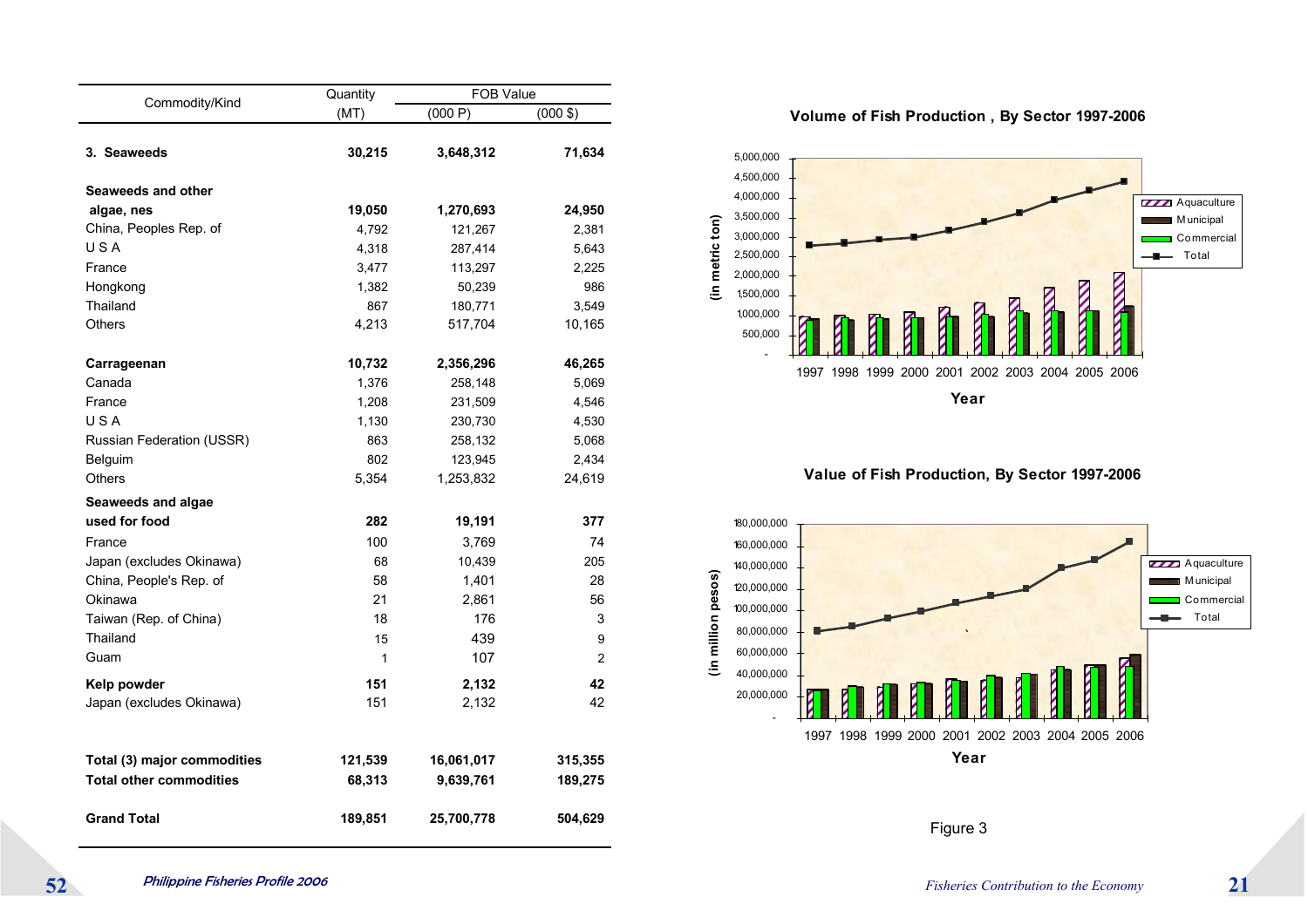|                                | Quantity | FOB Value  |                    |  |
|--------------------------------|----------|------------|--------------------|--|
| Commodity/Kind                 | (MT)     | (000 P)    | $(000 \text{ } $)$ |  |
|                                |          |            |                    |  |
| 3. Seaweeds                    | 30,215   | 3,648,312  | 71,634             |  |
| Seaweeds and other             |          |            |                    |  |
| algae, nes                     | 19,050   | 1,270,693  | 24,950             |  |
| China, Peoples Rep. of         | 4,792    | 121,267    | 2,381              |  |
| USA                            | 4,318    | 287,414    | 5,643              |  |
| France                         | 3,477    | 113,297    | 2,225              |  |
| Hongkong                       | 1,382    | 50,239     | 986                |  |
| Thailand                       | 867      | 180,771    | 3,549              |  |
| <b>Others</b>                  | 4,213    | 517,704    | 10,165             |  |
| Carrageenan                    | 10,732   | 2,356,296  | 46,265             |  |
| Canada                         | 1,376    | 258,148    | 5,069              |  |
| France                         | 1,208    | 231,509    | 4,546              |  |
| USA                            | 1,130    | 230,730    | 4,530              |  |
| Russian Federation (USSR)      | 863      | 258,132    | 5,068              |  |
| Belguim                        | 802      | 123,945    | 2,434              |  |
| <b>Others</b>                  | 5,354    | 1,253,832  | 24,619             |  |
| Seaweeds and algae             |          |            |                    |  |
| used for food                  | 282      | 19,191     | 377                |  |
| France                         | 100      | 3,769      | 74                 |  |
| Japan (excludes Okinawa)       | 68       | 10,439     | 205                |  |
| China, People's Rep. of        | 58       | 1,401      | 28                 |  |
| Okinawa                        | 21       | 2,861      | 56                 |  |
| Taiwan (Rep. of China)         | 18       | 176        | 3                  |  |
| Thailand                       | 15       | 439        | 9                  |  |
| Guam                           | 1        | 107        | $\overline{c}$     |  |
| Kelp powder                    | 151      | 2,132      | 42                 |  |
| Japan (excludes Okinawa)       | 151      | 2,132      | 42                 |  |
|                                |          |            |                    |  |
| Total (3) major commodities    | 121,539  | 16,061,017 | 315,355            |  |
| <b>Total other commodities</b> | 68,313   | 9,639,761  | 189,275            |  |
| <b>Grand Total</b>             | 189,851  | 25,700,778 | 504,629            |  |

#### **Volume of Fish Production , By Sector 1997-2006**



#### **Value of Fish Production, By Sector 1997-2006**



Figure 3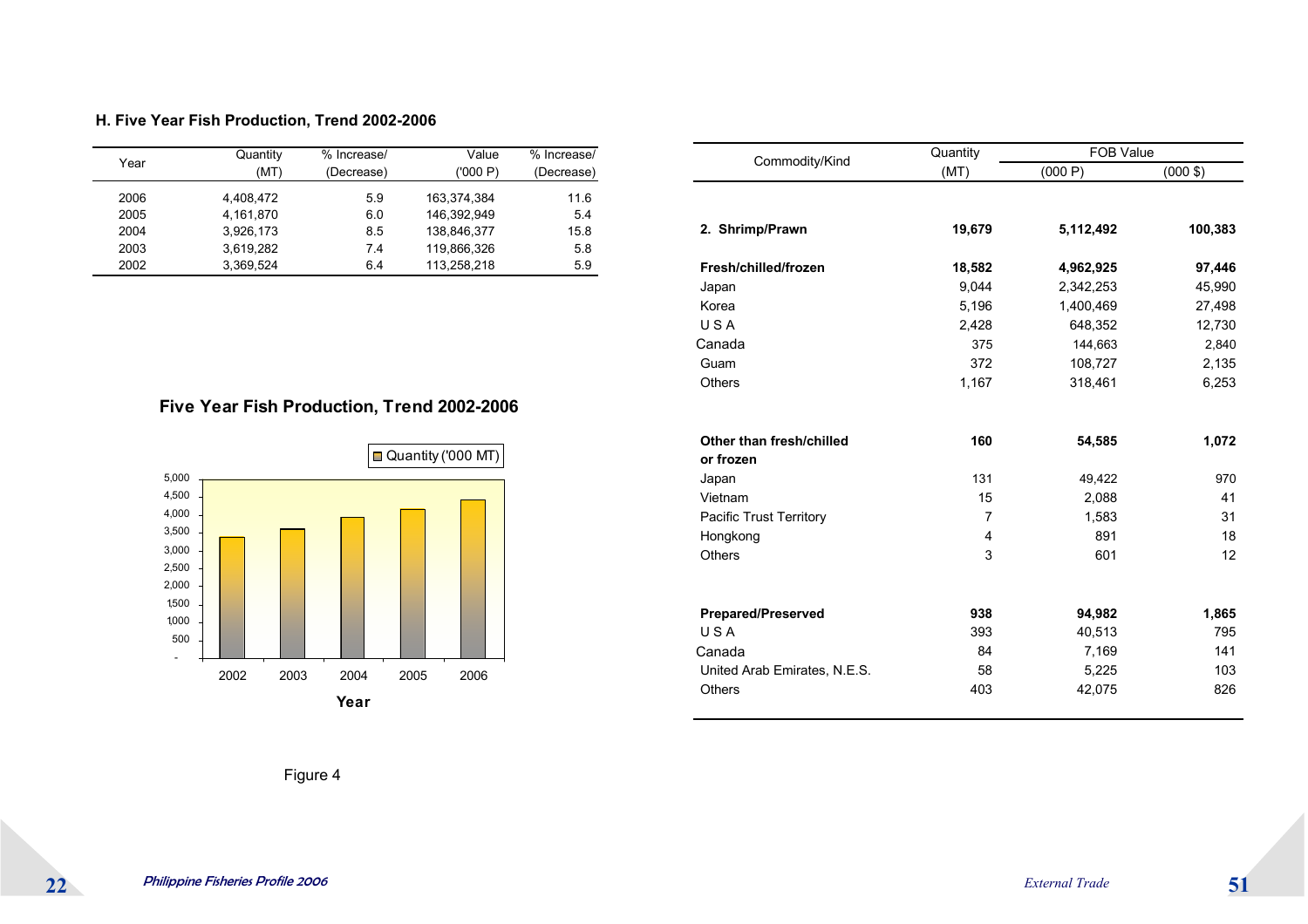#### **H. Five Year Fish Production, Trend 2002-2006**

| Year | Quantity<br>(MT) | % Increase/<br>(Decrease) | Value<br>('000 P) | % Increase/<br>(Decrease) |
|------|------------------|---------------------------|-------------------|---------------------------|
| 2006 | 4.408.472        | 5.9                       | 163.374.384       | 11.6                      |
| 2005 | 4,161,870        | 6.0                       | 146.392.949       | 5.4                       |
| 2004 | 3,926,173        | 8.5                       | 138.846.377       | 15.8                      |
| 2003 | 3.619.282        | 7.4                       | 119.866.326       | 5.8                       |
| 2002 | 3,369,524        | 6.4                       | 113,258,218       | 5.9                       |

|  |  |  | Five Year Fish Production, Trend 2002-2006 |  |  |
|--|--|--|--------------------------------------------|--|--|
|--|--|--|--------------------------------------------|--|--|



|                                | Quantity | <b>FOB Value</b> |                    |
|--------------------------------|----------|------------------|--------------------|
| Commodity/Kind                 | (MT)     | (000 P)          | $(000 \text{ } $)$ |
|                                |          |                  |                    |
| 2. Shrimp/Prawn                | 19,679   | 5,112,492        | 100,383            |
| Fresh/chilled/frozen           | 18,582   | 4,962,925        | 97,446             |
| Japan                          | 9.044    | 2,342,253        | 45,990             |
| Korea                          | 5,196    | 1,400,469        | 27,498             |
| USA                            | 2,428    | 648,352          | 12,730             |
| Canada                         | 375      | 144,663          | 2,840              |
| Guam                           | 372      | 108,727          | 2,135              |
| <b>Others</b>                  | 1,167    | 318,461          | 6,253              |
| Other than fresh/chilled       | 160      | 54,585           | 1,072              |
| or frozen                      |          |                  |                    |
| Japan                          | 131      | 49,422           | 970                |
| Vietnam                        | 15       | 2,088            | 41                 |
| <b>Pacific Trust Territory</b> | 7        | 1,583            | 31                 |
| Hongkong                       | 4        | 891              | 18                 |
| <b>Others</b>                  | 3        | 601              | 12                 |
|                                |          |                  |                    |
| <b>Prepared/Preserved</b>      | 938      | 94,982           | 1,865              |
| USA                            | 393      | 40,513           | 795                |
| Canada                         | 84       | 7,169            | 141                |
| United Arab Emirates, N.E.S.   | 58       | 5,225            | 103                |
| <b>Others</b>                  | 403      | 42,075           | 826                |
|                                |          |                  |                    |

Figure 4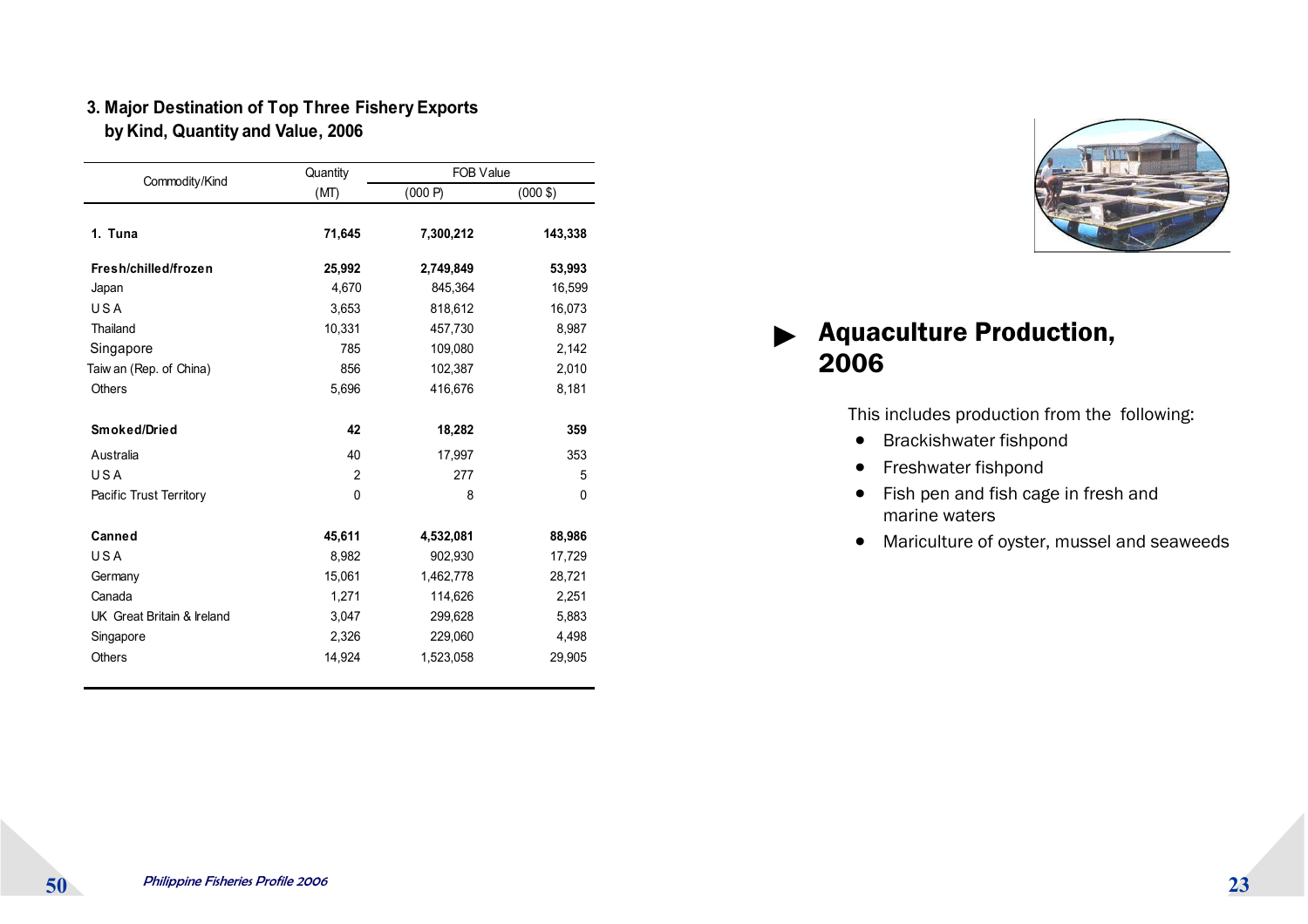#### **3. Major Destination of Top Three Fishery Exports by Kind, Quantity and Value, 2006**

|                            | Quantity | <b>FOB Value</b> |                    |
|----------------------------|----------|------------------|--------------------|
| Commodity/Kind             | (MT)     | (000 P)          | $(000 \text{ } $)$ |
| 1. Tuna                    | 71,645   | 7,300,212        | 143,338            |
| Fresh/chilled/frozen       | 25,992   | 2,749,849        | 53,993             |
| Japan                      | 4.670    | 845,364          | 16,599             |
| USA                        | 3,653    | 818,612          | 16,073             |
| Thailand                   | 10,331   | 457,730          | 8,987              |
| Singapore                  | 785      | 109,080          | 2,142              |
| Taiw an (Rep. of China)    | 856      | 102,387          | 2,010              |
| <b>Others</b>              | 5,696    | 416,676          | 8,181              |
| Smoked/Dried               | 42       | 18,282           | 359                |
| Australia                  | 40       | 17,997           | 353                |
| USA                        | 2        | 277              | 5                  |
| Pacific Trust Territory    | 0        | 8                | $\mathbf{0}$       |
| Canned                     | 45,611   | 4,532,081        | 88,986             |
| USA                        | 8,982    | 902,930          | 17,729             |
| Germany                    | 15,061   | 1,462,778        | 28,721             |
| Canada                     | 1,271    | 114,626          | 2,251              |
| UK Great Britain & Ireland | 3,047    | 299,628          | 5,883              |
| Singapore                  | 2,326    | 229,060          | 4,498              |
| <b>Others</b>              | 14,924   | 1,523,058        | 29,905             |



# ▶ Aquaculture Production, 2006

This includes production from the following:

- Brackishwater fishpond
- Freshwater fishpond
- Fish pen and fish cage in fresh and marine waters
- Mariculture of oyster, mussel and seaweeds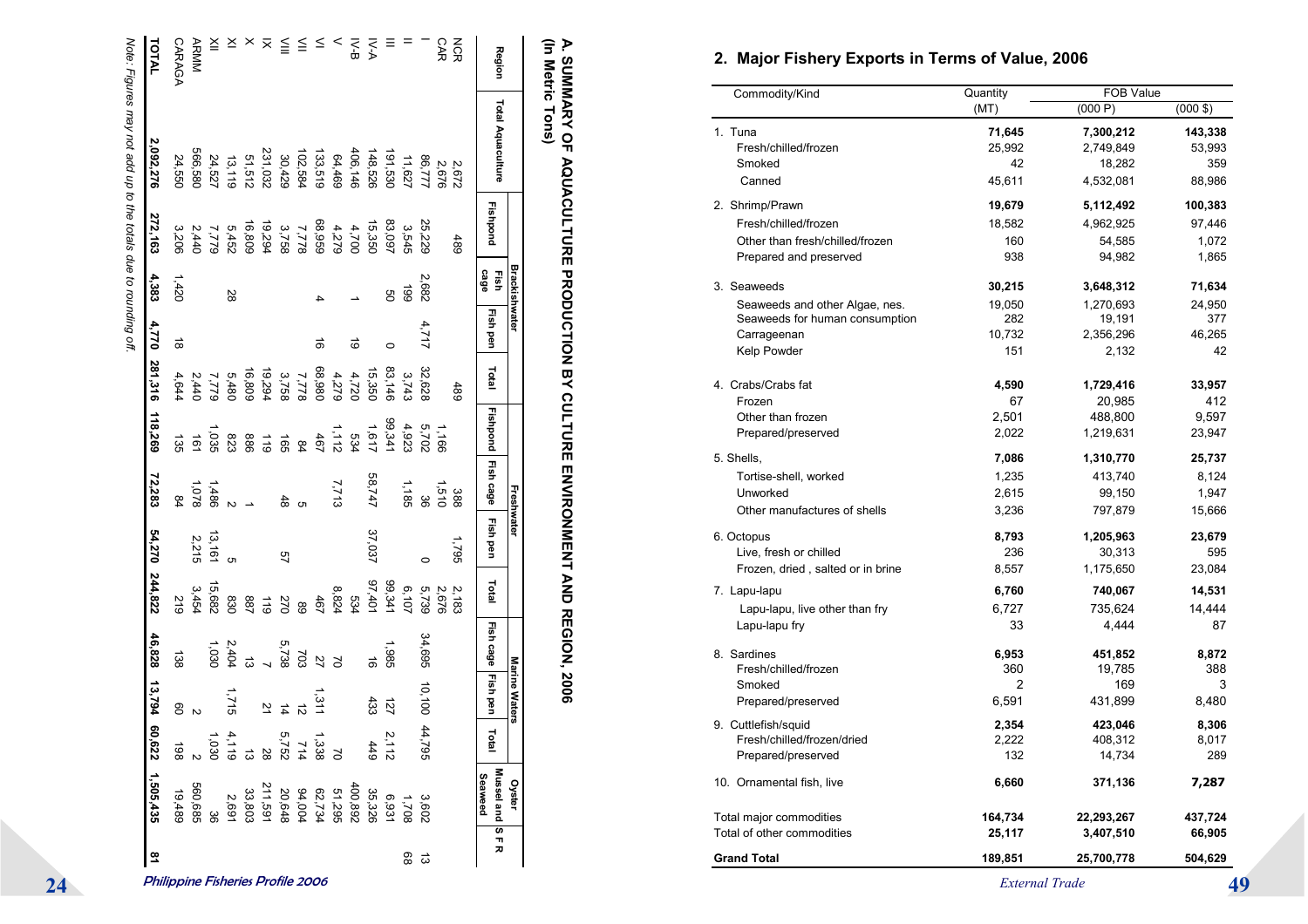|                   |                                                                 |          | <b>Brackishwater</b> |           |         |                  | Freshwater                  |        |                |                    | Marine Waters               |                     | Oyster                    |    |
|-------------------|-----------------------------------------------------------------|----------|----------------------|-----------|---------|------------------|-----------------------------|--------|----------------|--------------------|-----------------------------|---------------------|---------------------------|----|
| Region            | Total Aquaculture                                               | Fishpond | cage<br>Fish         | Fish pen  | Total   |                  | Fishpond Fish cage Fish pen |        | Total          | Fish cage Fish pen |                             | Total               | Mussel and SFR<br>Seaweed |    |
| NСR               | 2,672                                                           | 489      |                      |           | 489     |                  | 388                         | 1,795  | 2,183          |                    |                             |                     |                           |    |
| <b>CAR</b>        | 2,676                                                           |          |                      |           |         | 1,166            | 1,510                       |        | 2,676          |                    |                             |                     |                           |    |
|                   | 86,777                                                          | 25,229   | 2,682                | 4,717     | 32,628  | 5,702            | 86                          |        | 5,739          | 34,695             | 10,100                      | 44,795              |                           | ದ  |
|                   | 11,627                                                          | 3,545    | 489                  |           | 3,743   | 4,923            | 1,185                       |        | 6,107          |                    |                             |                     |                           | 88 |
| Ξ                 | 191,530                                                         | 83,097   | g                    |           | 83,146  | 99,341           |                             |        | 99,341         | ,985               | 121                         | $\frac{2,112}{449}$ |                           |    |
| $N-A$             | 148,526                                                         | 15,350   |                      |           | 15,350  | 1,617            | 58,747                      | 37,037 | 97,401         |                    | 433                         |                     |                           |    |
| N-B               | 406,146                                                         | 4,700    |                      | ಠ         | 4,720   |                  |                             |        | 534            |                    |                             |                     |                           |    |
| <                 | 64,469                                                          | 4,279    |                      |           | 4,279   | $534$<br>$1,112$ | 7,713                       |        | 8,824          | $\sim$             |                             |                     |                           |    |
| $\leq$            | 133,519                                                         | 68,959   |                      | ಹ         | 68,980  | 467              |                             |        | 467            |                    | 311                         |                     |                           |    |
| $\leq$            | 102,584                                                         | 7,778    |                      |           | 7,778   | $\frac{84}{4}$   |                             |        |                | $\frac{27}{703}$   | ನ                           |                     |                           |    |
| $\leqq$           | 30,429                                                          | 3,758    |                      |           | 3,758   | 165              | 48                          | 5h     | 89<br>270      | 5,738              |                             |                     |                           |    |
| $\bar{\times}$    | 231,032                                                         | 19,294   |                      |           | 19,294  | 611              |                             |        | 611            | $\overline{a}$     | $\frac{1}{4}$ $\frac{5}{4}$ |                     |                           |    |
|                   | 51,512                                                          | 16,809   |                      |           | 16,809  | 988              |                             |        | 287            | $\vec{3}$          |                             |                     |                           |    |
| $\times$ $\times$ | 13,119                                                          | 5,452    | 28                   |           | 5,480   | 823              |                             |        | 830            | 2,404              | 1,715                       |                     |                           |    |
| ≚                 | 24,527                                                          | 7,779    |                      |           | 7,779   | 355              | 1,486                       | 13,161 | 15,682         | 1,030              |                             |                     |                           |    |
| ARMM              | 566,580                                                         | 2,440    |                      |           | 2,440   | 191              | 1,078                       | 2,215  | 3,454          |                    |                             |                     |                           |    |
| <b>CARAGA</b>     | 24,550                                                          | 3,206    | 1,420                | $\vec{8}$ | 4,644   | 135              | 84                          |        | 219            | 138                | g                           |                     |                           |    |
| <b>TOTAL</b>      | 2,092,276                                                       | 272,163  | 4,383                | 4,770     | 281,316 | 118,269          | 72,283                      |        | 54,270 244,822 | 46,828             | 13,794                      |                     | 60,622 1,505,435          | ≌  |
|                   | Note: Figures may not add up to the totals due to rounding off. |          |                      |           |         |                  |                             |        |                |                    |                             |                     |                           |    |

A. SUMMARY OF AQUACULTURE PRODUCTION BY CULTURE ENVIRONMENT AND REGION, 2006<br>(In Metric Tons) **(In Metric Tons) A. SUMMARY OF AQUACULTURE PRODUCTION BY CULTURE ENVIRONMENT AND REGION, 2006** 

#### **2. Major Fishery Exports in Terms of Value, 2006**

| Commodity/Kind                    | Quantity | <b>FOB Value</b> |            |
|-----------------------------------|----------|------------------|------------|
|                                   | (MT)     | (000 P)          | $(000$ \$) |
| 1. Tuna                           | 71,645   | 7,300,212        | 143,338    |
| Fresh/chilled/frozen              | 25,992   | 2,749,849        | 53,993     |
| Smoked                            | 42       | 18,282           | 359        |
| Canned                            | 45,611   | 4,532,081        | 88,986     |
| 2. Shrimp/Prawn                   | 19,679   | 5,112,492        | 100,383    |
| Fresh/chilled/frozen              | 18,582   | 4,962,925        | 97,446     |
| Other than fresh/chilled/frozen   | 160      | 54,585           | 1,072      |
| Prepared and preserved            | 938      | 94,982           | 1,865      |
| 3. Seaweeds                       | 30,215   | 3,648,312        | 71,634     |
| Seaweeds and other Algae, nes.    | 19,050   | 1,270,693        | 24,950     |
| Seaweeds for human consumption    | 282      | 19,191           | 377        |
| Carrageenan                       | 10,732   | 2,356,296        | 46,265     |
| Kelp Powder                       | 151      | 2,132            | 42         |
| 4. Crabs/Crabs fat                | 4,590    | 1,729,416        | 33,957     |
| Frozen                            | 67       | 20,985           | 412        |
| Other than frozen                 | 2,501    | 488,800          | 9,597      |
| Prepared/preserved                | 2,022    | 1,219,631        | 23,947     |
| 5. Shells,                        | 7,086    | 1,310,770        | 25,737     |
| Tortise-shell, worked             | 1,235    | 413,740          | 8,124      |
| Unworked                          | 2,615    | 99,150           | 1,947      |
| Other manufactures of shells      | 3,236    | 797,879          | 15,666     |
| 6. Octopus                        | 8,793    | 1,205,963        | 23,679     |
| Live, fresh or chilled            | 236      | 30,313           | 595        |
| Frozen, dried, salted or in brine | 8,557    | 1,175,650        | 23,084     |
| 7. Lapu-lapu                      | 6,760    | 740,067          | 14,531     |
| Lapu-lapu, live other than fry    | 6.727    | 735,624          | 14.444     |
| Lapu-lapu fry                     | 33       | 4,444            | 87         |
| 8. Sardines                       | 6,953    | 451,852          | 8,872      |
| Fresh/chilled/frozen              | 360      | 19,785           | 388        |
| Smoked                            | 2        | 169              | 3          |
| Prepared/preserved                | 6,591    | 431,899          | 8,480      |
| 9. Cuttlefish/squid               | 2,354    | 423,046          | 8,306      |
| Fresh/chilled/frozen/dried        | 2,222    | 408,312          | 8,017      |
| Prepared/preserved                | 132      | 14,734           | 289        |
| 10. Ornamental fish, live         | 6,660    | 371,136          | 7,287      |
| Total major commodities           | 164,734  | 22,293,267       | 437,724    |
| Total of other commodities        | 25,117   | 3,407,510        | 66,905     |
| <b>Grand Total</b>                | 189,851  | 25,700,778       | 504,629    |

**Philippine Fisheries Profile 2006** 

 $24$ 

 $External Trade$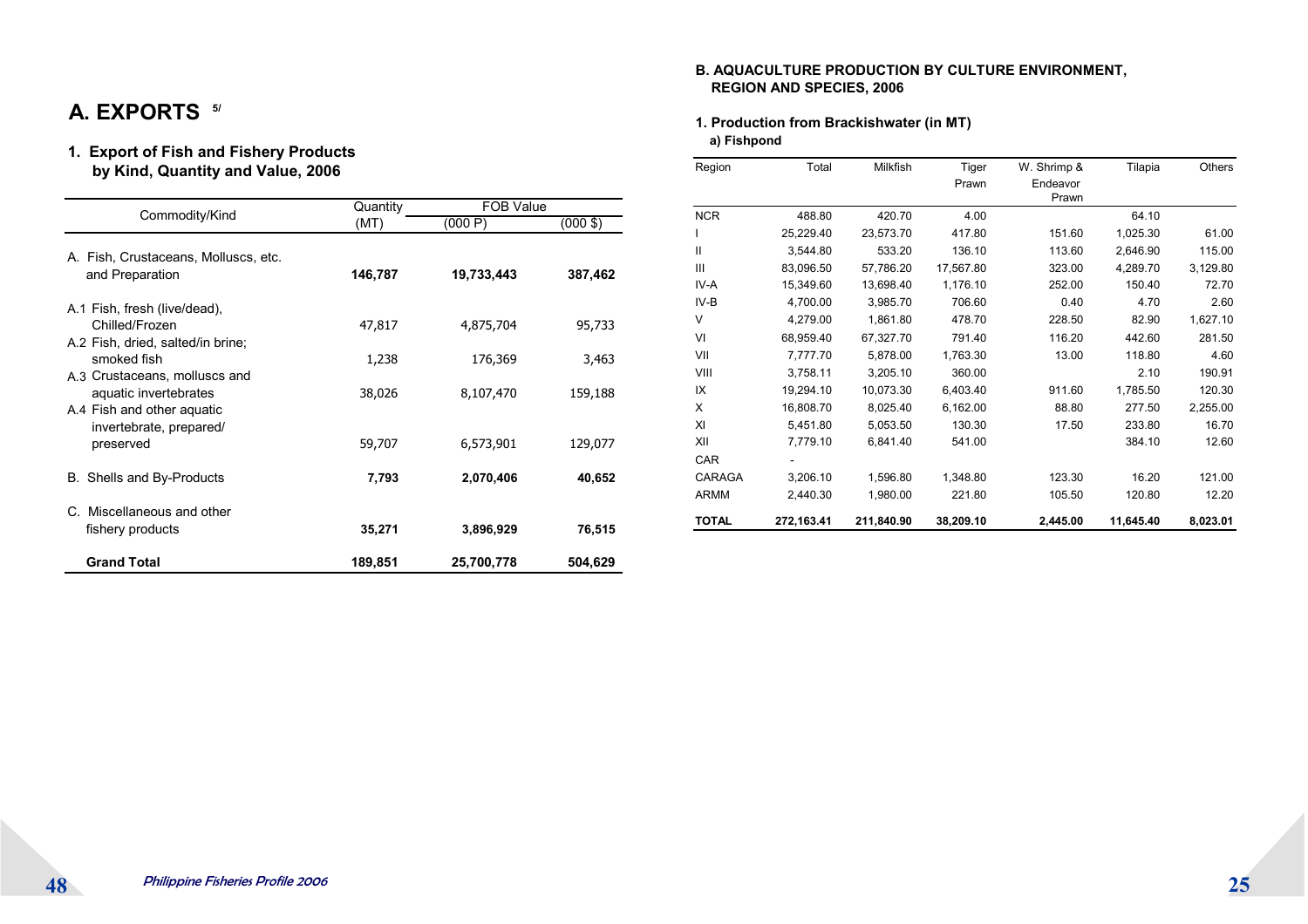## **A. EXPORTS 5/**

#### **1. Export of Fish and Fishery Products by Kind, Quantity and Value, 2006**

|                                                         | Quantity | <b>FOB Value</b> |                    |
|---------------------------------------------------------|----------|------------------|--------------------|
| Commodity/Kind                                          | (MT)     | (000 P)          | $(000 \text{ } $)$ |
| A. Fish, Crustaceans, Molluscs, etc.<br>and Preparation | 146,787  | 19,733,443       | 387,462            |
|                                                         |          |                  |                    |
| A.1 Fish, fresh (live/dead),                            |          |                  |                    |
| Chilled/Frozen                                          | 47,817   | 4,875,704        | 95,733             |
| A.2 Fish, dried, salted/in brine.                       |          |                  |                    |
| smoked fish                                             | 1,238    | 176,369          | 3,463              |
| A.3 Crustaceans, molluscs and                           |          |                  |                    |
| aquatic invertebrates                                   | 38,026   | 8,107,470        | 159,188            |
| A.4 Fish and other aquatic                              |          |                  |                    |
| invertebrate, prepared/                                 |          |                  |                    |
| preserved                                               | 59,707   | 6,573,901        | 129,077            |
| B. Shells and By-Products                               | 7,793    | 2,070,406        | 40,652             |
| C. Miscellaneous and other                              |          |                  |                    |
| fishery products                                        | 35,271   | 3,896,929        | 76,515             |
|                                                         |          |                  |                    |
| <b>Grand Total</b>                                      | 189,851  | 25,700,778       | 504,629            |

#### **B. AQUACULTURE PRODUCTION BY CULTURE ENVIRONMENT, REGION AND SPECIES, 2006**

#### **1. Production from Brackishwater (in MT) a) Fishpond**

| Region       | Total      | Milkfish   | Tiger     | W. Shrimp & | Tilapia   | Others   |
|--------------|------------|------------|-----------|-------------|-----------|----------|
|              |            |            | Prawn     | Endeavor    |           |          |
|              |            |            |           | Prawn       |           |          |
| <b>NCR</b>   | 488.80     | 420.70     | 4.00      |             | 64.10     |          |
| L            | 25,229.40  | 23,573.70  | 417.80    | 151.60      | 1,025.30  | 61.00    |
| Ш            | 3,544.80   | 533.20     | 136.10    | 113.60      | 2,646.90  | 115.00   |
| Ш            | 83,096.50  | 57,786.20  | 17,567.80 | 323.00      | 4,289.70  | 3,129.80 |
| IV-A         | 15,349.60  | 13,698.40  | 1,176.10  | 252.00      | 150.40    | 72.70    |
| IV-B         | 4,700.00   | 3,985.70   | 706.60    | 0.40        | 4.70      | 2.60     |
| V            | 4,279.00   | 1,861.80   | 478.70    | 228.50      | 82.90     | 1,627.10 |
| VI           | 68,959.40  | 67,327.70  | 791.40    | 116.20      | 442.60    | 281.50   |
| VII          | 7,777.70   | 5,878.00   | 1,763.30  | 13.00       | 118.80    | 4.60     |
| VIII         | 3,758.11   | 3,205.10   | 360.00    |             | 2.10      | 190.91   |
| IX           | 19,294.10  | 10,073.30  | 6,403.40  | 911.60      | 1,785.50  | 120.30   |
| X            | 16,808.70  | 8,025.40   | 6,162.00  | 88.80       | 277.50    | 2,255.00 |
| XI           | 5,451.80   | 5,053.50   | 130.30    | 17.50       | 233.80    | 16.70    |
| XII          | 7,779.10   | 6,841.40   | 541.00    |             | 384.10    | 12.60    |
| CAR          |            |            |           |             |           |          |
| CARAGA       | 3,206.10   | 1,596.80   | 1,348.80  | 123.30      | 16.20     | 121.00   |
| <b>ARMM</b>  | 2,440.30   | 1,980.00   | 221.80    | 105.50      | 120.80    | 12.20    |
| <b>TOTAL</b> | 272,163.41 | 211,840.90 | 38,209.10 | 2,445.00    | 11,645.40 | 8,023.01 |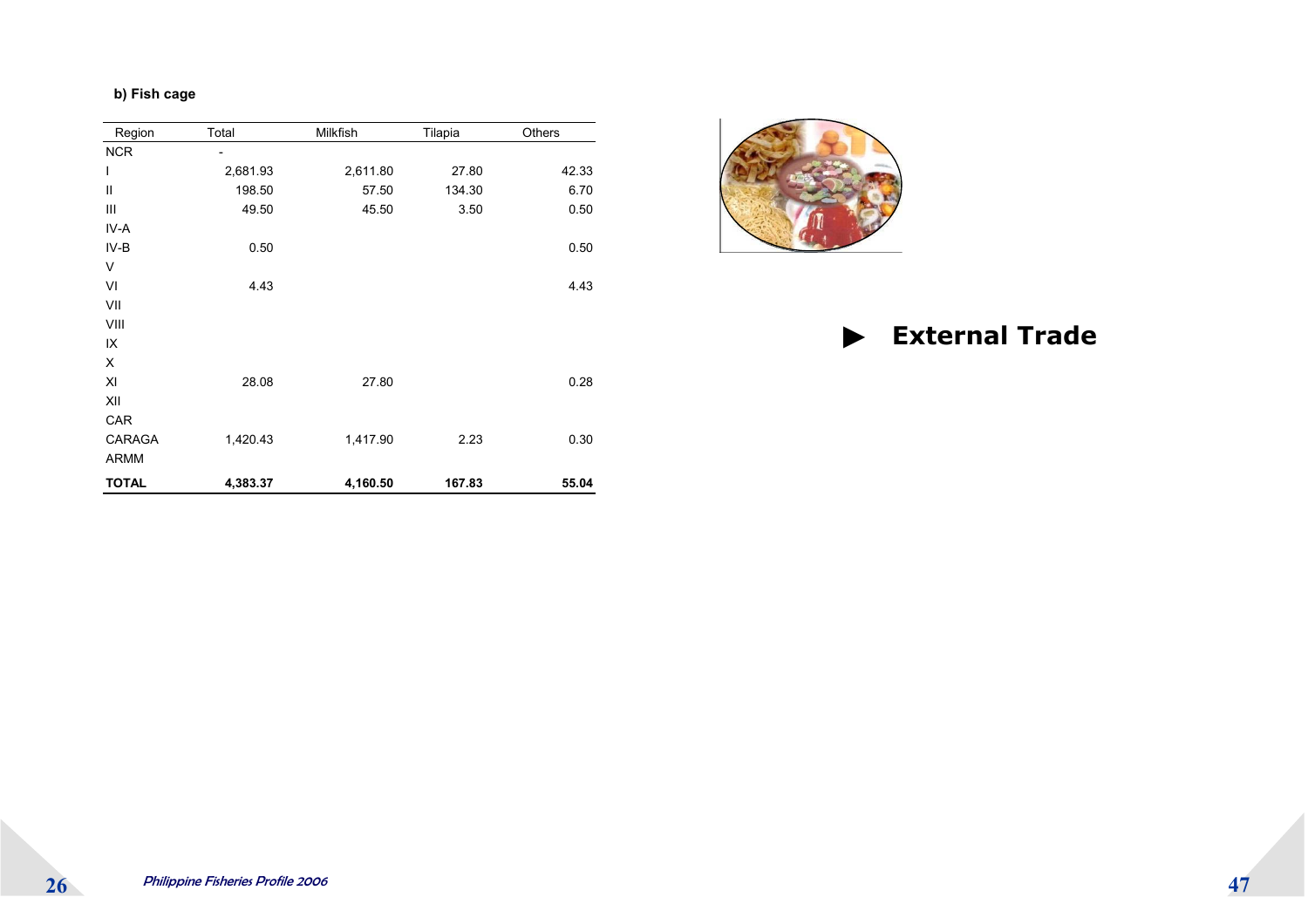#### **b) Fish cage**

| Region       | Total    | Milkfish | Tilapia | Others |
|--------------|----------|----------|---------|--------|
| <b>NCR</b>   |          |          |         |        |
| T            | 2,681.93 | 2,611.80 | 27.80   | 42.33  |
| $\mathbf{I}$ | 198.50   | 57.50    | 134.30  | 6.70   |
| Ш            | 49.50    | 45.50    | 3.50    | 0.50   |
| IV-A         |          |          |         |        |
| $IV-B$       | 0.50     |          |         | 0.50   |
| V            |          |          |         |        |
| VI           | 4.43     |          |         | 4.43   |
| VII          |          |          |         |        |
| VIII         |          |          |         |        |
| IX           |          |          |         |        |
| X            |          |          |         |        |
| XI           | 28.08    | 27.80    |         | 0.28   |
| XII          |          |          |         |        |
| CAR          |          |          |         |        |
| CARAGA       | 1,420.43 | 1,417.90 | 2.23    | 0.30   |
| <b>ARMM</b>  |          |          |         |        |
| <b>TOTAL</b> | 4,383.37 | 4,160.50 | 167.83  | 55.04  |



► **External Trade**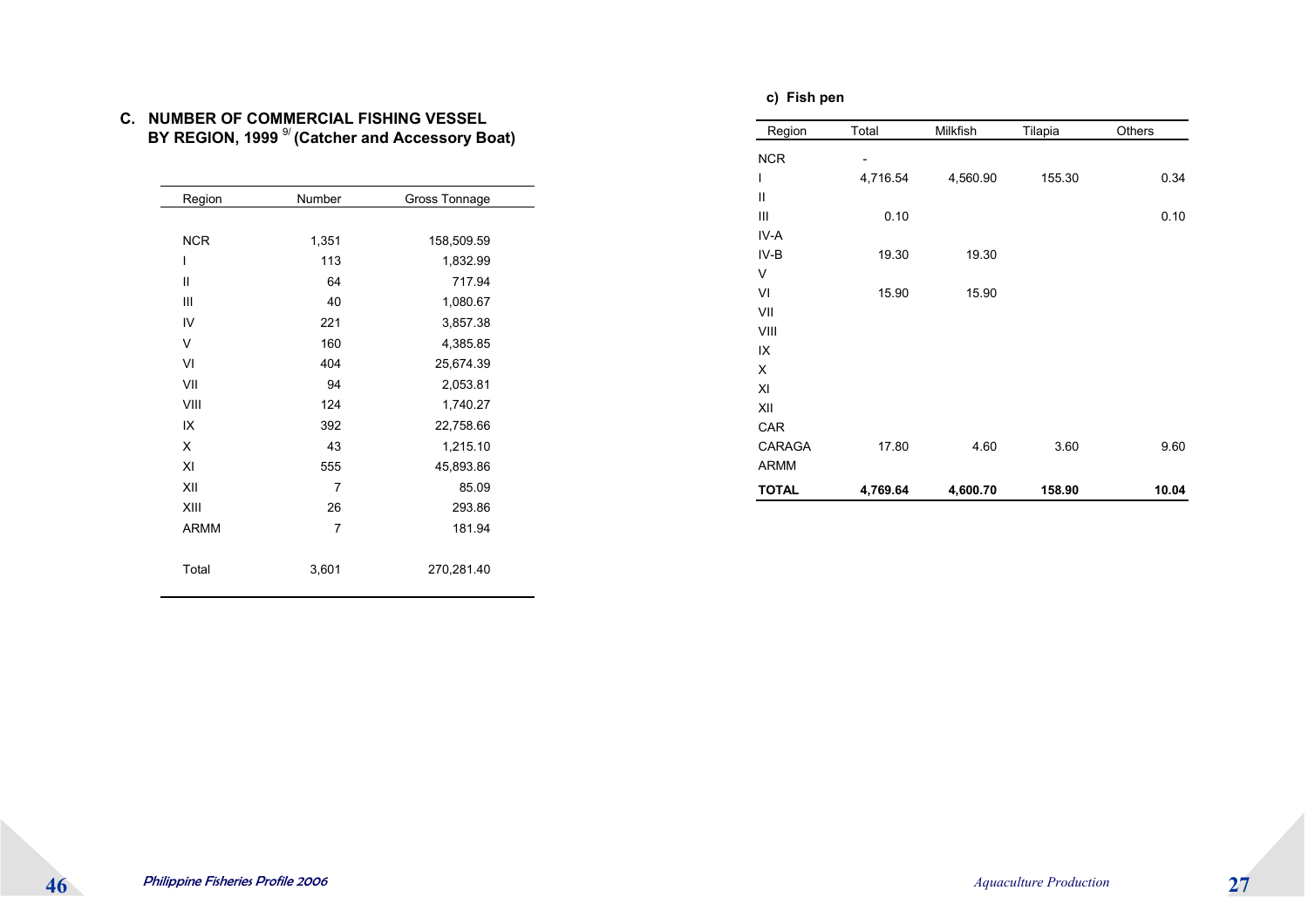#### **C. NUMBER OF COMMERCIAL FISHING VESSEL BY REGION, 1999** 9/ **(Catcher and Accessory Boat)**

| Region       | Number         | Gross Tonnage |
|--------------|----------------|---------------|
|              |                |               |
| <b>NCR</b>   | 1,351          | 158,509.59    |
| ı            | 113            | 1,832.99      |
| $\mathbf{I}$ | 64             | 717.94        |
| Ш            | 40             | 1,080.67      |
| IV           | 221            | 3,857.38      |
| V            | 160            | 4,385.85      |
| VI           | 404            | 25,674.39     |
| VII          | 94             | 2,053.81      |
| VIII         | 124            | 1,740.27      |
| IX           | 392            | 22,758.66     |
| X            | 43             | 1,215.10      |
| XI           | 555            | 45,893.86     |
| XII          | $\overline{7}$ | 85.09         |
| XIII         | 26             | 293.86        |
| <b>ARMM</b>  | $\overline{7}$ | 181.94        |
| Total        | 3,601          | 270,281.40    |

 **c) Fish pen**

| Region        | Total    | Milkfish | Tilapia | Others |
|---------------|----------|----------|---------|--------|
| <b>NCR</b>    |          |          |         |        |
| ı             | 4,716.54 | 4,560.90 | 155.30  | 0.34   |
| $\mathsf{II}$ |          |          |         |        |
| Ш             | 0.10     |          |         | 0.10   |
| IV-A          |          |          |         |        |
| IV-B          | 19.30    | 19.30    |         |        |
| V             |          |          |         |        |
| VI            | 15.90    | 15.90    |         |        |
| VII           |          |          |         |        |
| VIII          |          |          |         |        |
| IX            |          |          |         |        |
| X             |          |          |         |        |
| XI            |          |          |         |        |
| XII           |          |          |         |        |
| CAR           |          |          |         |        |
| CARAGA        | 17.80    | 4.60     | 3.60    | 9.60   |
| <b>ARMM</b>   |          |          |         |        |
| <b>TOTAL</b>  | 4,769.64 | 4,600.70 | 158.90  | 10.04  |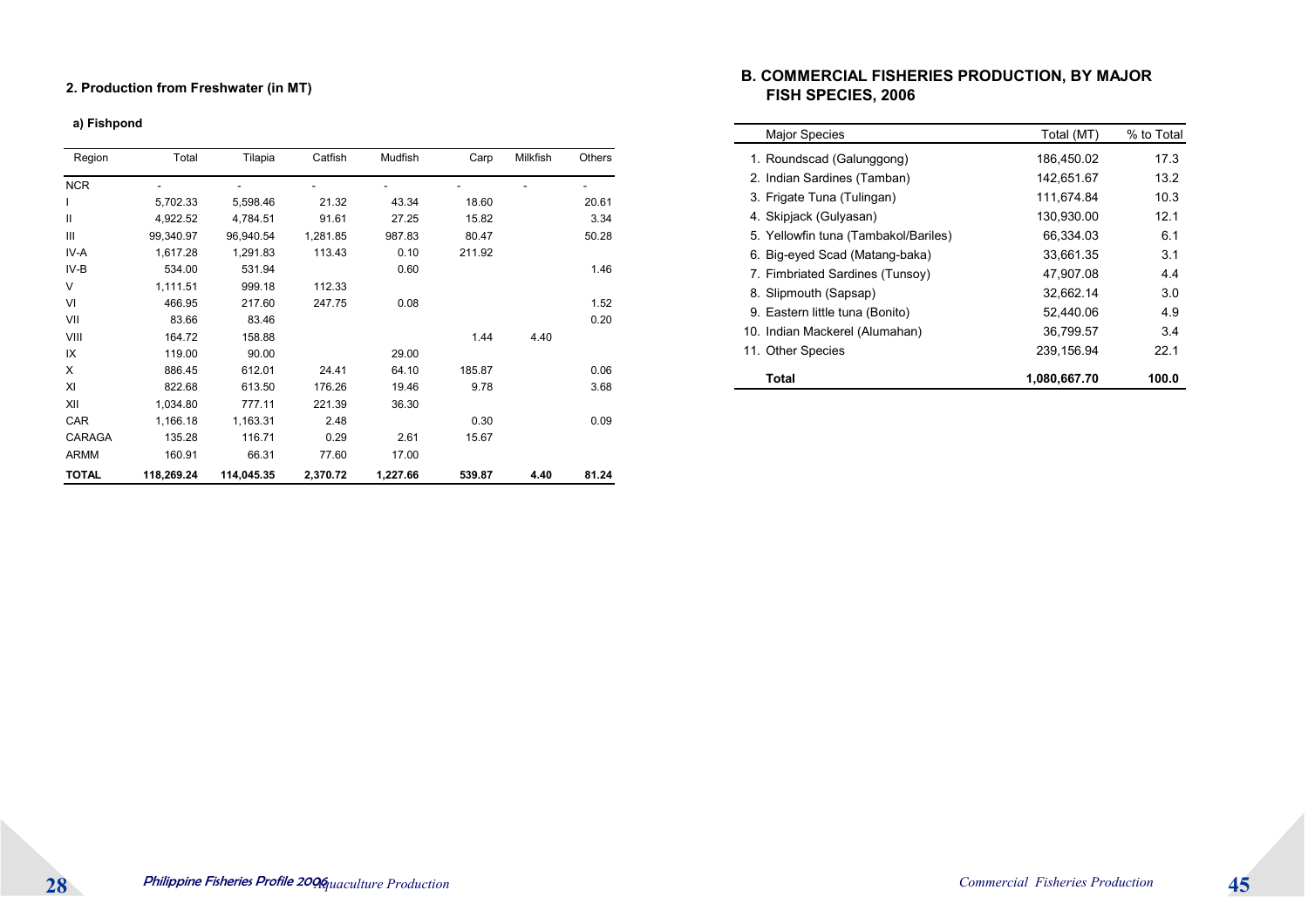#### **2. Production from Freshwater (in MT)**

#### **a) Fishpond**

| Region       | Total      | Tilapia    | Catfish  | Mudfish  | Carp   | Milkfish | <b>Others</b> |
|--------------|------------|------------|----------|----------|--------|----------|---------------|
| <b>NCR</b>   |            |            |          |          |        |          |               |
| L            | 5,702.33   | 5,598.46   | 21.32    | 43.34    | 18.60  |          | 20.61         |
| Ш            | 4,922.52   | 4,784.51   | 91.61    | 27.25    | 15.82  |          | 3.34          |
| Ш            | 99,340.97  | 96,940.54  | 1,281.85 | 987.83   | 80.47  |          | 50.28         |
| IV-A         | 1,617.28   | 1,291.83   | 113.43   | 0.10     | 211.92 |          |               |
| $IV-B$       | 534.00     | 531.94     |          | 0.60     |        |          | 1.46          |
| $\vee$       | 1,111.51   | 999.18     | 112.33   |          |        |          |               |
| VI           | 466.95     | 217.60     | 247.75   | 0.08     |        |          | 1.52          |
| VII          | 83.66      | 83.46      |          |          |        |          | 0.20          |
| VIII         | 164.72     | 158.88     |          |          | 1.44   | 4.40     |               |
| IX           | 119.00     | 90.00      |          | 29.00    |        |          |               |
| X            | 886.45     | 612.01     | 24.41    | 64.10    | 185.87 |          | 0.06          |
| XI           | 822.68     | 613.50     | 176.26   | 19.46    | 9.78   |          | 3.68          |
| XII          | 1,034.80   | 777.11     | 221.39   | 36.30    |        |          |               |
| CAR          | 1,166.18   | 1,163.31   | 2.48     |          | 0.30   |          | 0.09          |
| CARAGA       | 135.28     | 116.71     | 0.29     | 2.61     | 15.67  |          |               |
| <b>ARMM</b>  | 160.91     | 66.31      | 77.60    | 17.00    |        |          |               |
| <b>TOTAL</b> | 118,269.24 | 114,045.35 | 2,370.72 | 1,227.66 | 539.87 | 4.40     | 81.24         |

#### **B. COMMERCIAL FISHERIES PRODUCTION, BY MAJOR FISH SPECIES, 2006**

| <b>Major Species</b>                 | Total (MT)   | % to Total |
|--------------------------------------|--------------|------------|
| 1. Roundscad (Galunggong)            | 186,450.02   | 17.3       |
| 2. Indian Sardines (Tamban)          | 142.651.67   | 13.2       |
| 3. Frigate Tuna (Tulingan)           | 111.674.84   | 10.3       |
| 4. Skipjack (Gulyasan)               | 130.930.00   | 12.1       |
| 5. Yellowfin tuna (Tambakol/Bariles) | 66,334.03    | 6.1        |
| 6. Big-eyed Scad (Matang-baka)       | 33.661.35    | 3.1        |
| 7. Fimbriated Sardines (Tunsoy)      | 47.907.08    | 4.4        |
| 8. Slipmouth (Sapsap)                | 32.662.14    | 3.0        |
| 9. Eastern little tuna (Bonito)      | 52,440.06    | 4.9        |
| 10. Indian Mackerel (Alumahan)       | 36.799.57    | 3.4        |
| 11. Other Species                    | 239.156.94   | 22.1       |
| Total                                | 1,080,667.70 | 100.0      |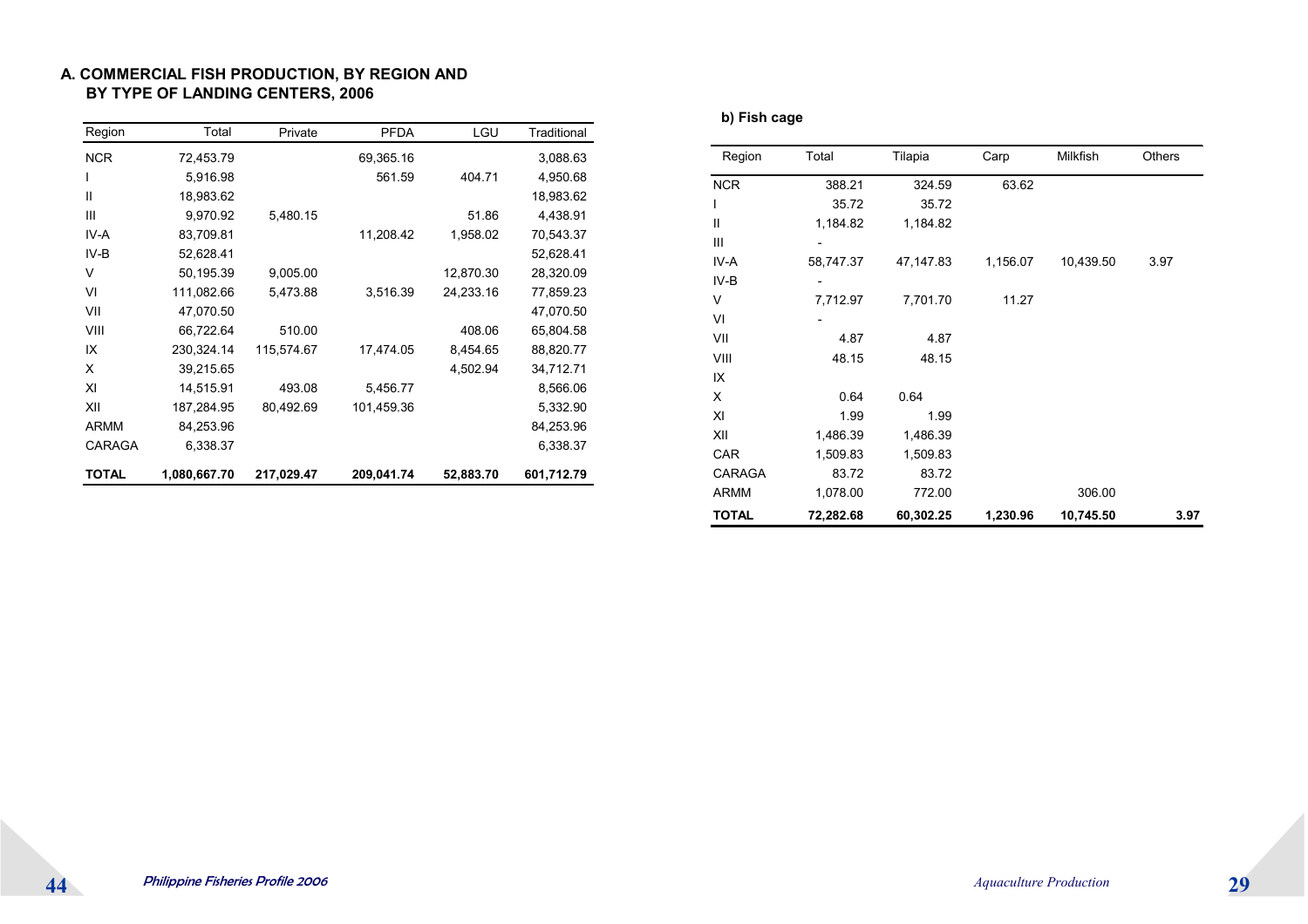#### **A. COMMERCIAL FISH PRODUCTION, BY REGION AND BY TYPE OF LANDING CENTERS, 2006**

| <b>NCR</b><br>Ш | 72,453.79<br>5,916.98<br>18,983.62<br>9,970.92 |            | 69,365.16<br>561.59 | 404.71    | 3,088.63<br>4,950.68 |
|-----------------|------------------------------------------------|------------|---------------------|-----------|----------------------|
|                 |                                                |            |                     |           |                      |
|                 |                                                |            |                     |           |                      |
|                 |                                                |            |                     |           | 18,983.62            |
| Ш               |                                                | 5,480.15   |                     | 51.86     | 4,438.91             |
| IV-A            | 83,709.81                                      |            | 11,208.42           | 1,958.02  | 70,543.37            |
| $IV-B$          | 52,628.41                                      |            |                     |           | 52,628.41            |
| V               | 50,195.39                                      | 9,005.00   |                     | 12,870.30 | 28,320.09            |
| VI              | 111,082.66                                     | 5,473.88   | 3,516.39            | 24,233.16 | 77,859.23            |
| VII             | 47,070.50                                      |            |                     |           | 47,070.50            |
| VIII            | 66,722.64                                      | 510.00     |                     | 408.06    | 65,804.58            |
| IX              | 230,324.14                                     | 115,574.67 | 17,474.05           | 8,454.65  | 88,820.77            |
| X               | 39,215.65                                      |            |                     | 4,502.94  | 34,712.71            |
| XI              | 14,515.91                                      | 493.08     | 5,456.77            |           | 8,566.06             |
| XII             | 187,284.95                                     | 80,492.69  | 101,459.36          |           | 5,332.90             |
| ARMM            | 84,253.96                                      |            |                     |           | 84,253.96            |
| CARAGA          | 6,338.37                                       |            |                     |           | 6,338.37             |
| <b>TOTAL</b>    | 1,080,667.70                                   | 217,029.47 | 209,041.74          | 52,883.70 | 601,712.79           |

#### **b) Fish cage**

| Region       | Total     | Tilapia   | Carp     | Milkfish  | Others |
|--------------|-----------|-----------|----------|-----------|--------|
| <b>NCR</b>   | 388.21    | 324.59    | 63.62    |           |        |
| ı            | 35.72     | 35.72     |          |           |        |
| $\mathbf{I}$ | 1,184.82  | 1,184.82  |          |           |        |
| Ш            |           |           |          |           |        |
| IV-A         | 58,747.37 | 47,147.83 | 1,156.07 | 10,439.50 | 3.97   |
| IV-B         |           |           |          |           |        |
| V            | 7,712.97  | 7,701.70  | 11.27    |           |        |
| VI           |           |           |          |           |        |
| VII          | 4.87      | 4.87      |          |           |        |
| VIII         | 48.15     | 48.15     |          |           |        |
| IX           |           |           |          |           |        |
| X            | 0.64      | 0.64      |          |           |        |
| XI           | 1.99      | 1.99      |          |           |        |
| XII          | 1,486.39  | 1,486.39  |          |           |        |
| CAR          | 1,509.83  | 1,509.83  |          |           |        |
| CARAGA       | 83.72     | 83.72     |          |           |        |
| <b>ARMM</b>  | 1,078.00  | 772.00    |          | 306.00    |        |
| <b>TOTAL</b> | 72,282.68 | 60,302.25 | 1,230.96 | 10,745.50 | 3.97   |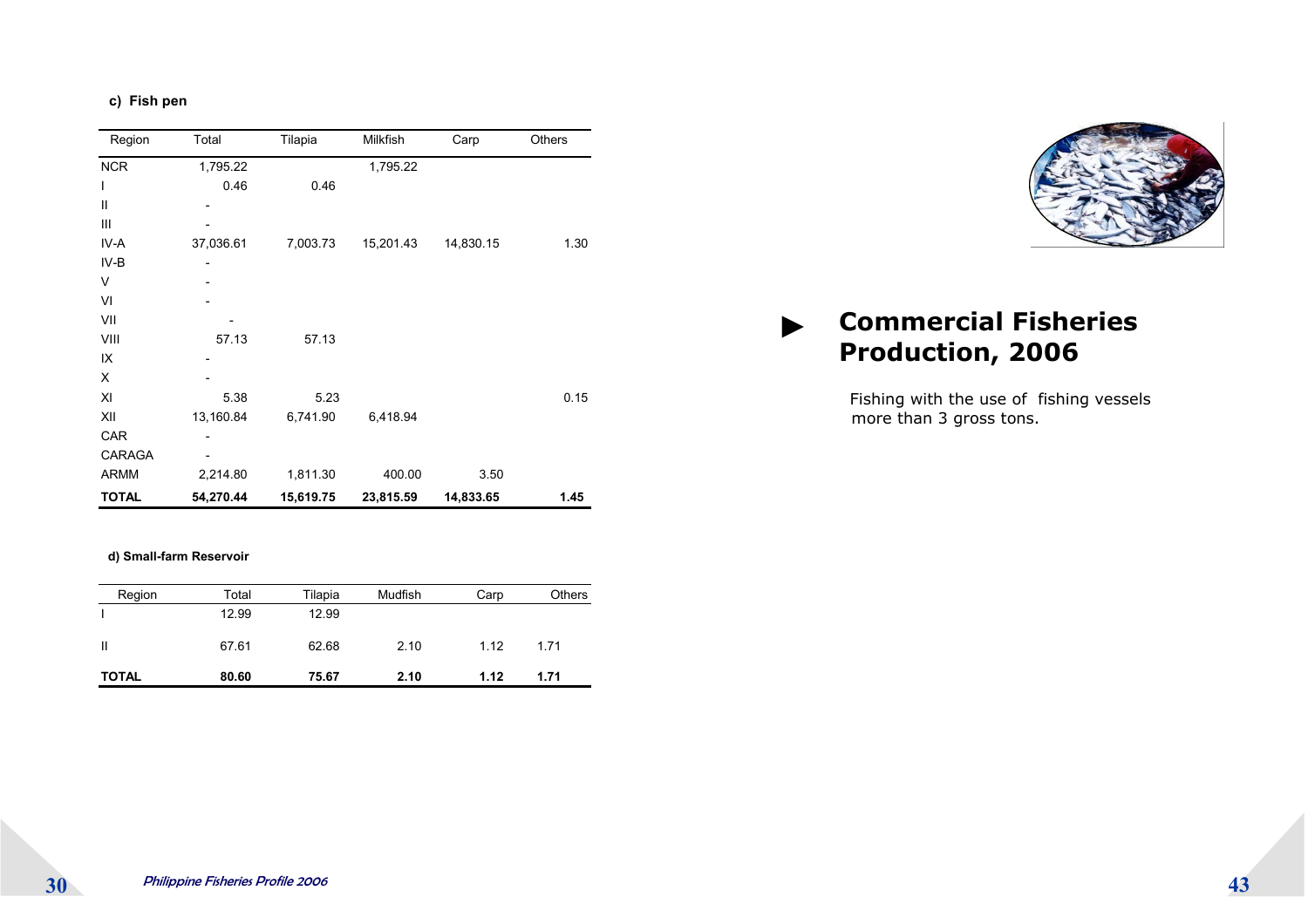#### **c) Fish pen**

| Region       | Total     | Tilapia   | Milkfish  | Carp      | Others |
|--------------|-----------|-----------|-----------|-----------|--------|
| <b>NCR</b>   | 1,795.22  |           | 1,795.22  |           |        |
| L            | 0.46      | 0.46      |           |           |        |
| Ш            |           |           |           |           |        |
| Ш            |           |           |           |           |        |
| IV-A         | 37,036.61 | 7,003.73  | 15,201.43 | 14,830.15 | 1.30   |
| IV-B         |           |           |           |           |        |
| V            |           |           |           |           |        |
| VI           |           |           |           |           |        |
| VII          |           |           |           |           |        |
| VIII         | 57.13     | 57.13     |           |           |        |
| IX           |           |           |           |           |        |
| X            |           |           |           |           |        |
| XI           | 5.38      | 5.23      |           |           | 0.15   |
| XII          | 13,160.84 | 6,741.90  | 6,418.94  |           |        |
| CAR          |           |           |           |           |        |
| CARAGA       |           |           |           |           |        |
| <b>ARMM</b>  | 2,214.80  | 1,811.30  | 400.00    | 3.50      |        |
| <b>TOTAL</b> | 54,270.44 | 15,619.75 | 23,815.59 | 14,833.65 | 1.45   |

#### **d) Small-farm Reservoir**

| Region       | Total | Tilapia | Mudfish | Carp | Others |
|--------------|-------|---------|---------|------|--------|
|              | 12.99 | 12.99   |         |      |        |
| Ш            | 67.61 | 62.68   | 2.10    | 1.12 | 1.71   |
| <b>TOTAL</b> | 80.60 | 75.67   | 2.10    | 1.12 | 1.71   |



#### **Commercial Fisheries Production, 2006**  ►

 Fishing with the use of fishing vessels more than 3 gross tons.

 $30<sub>1</sub>$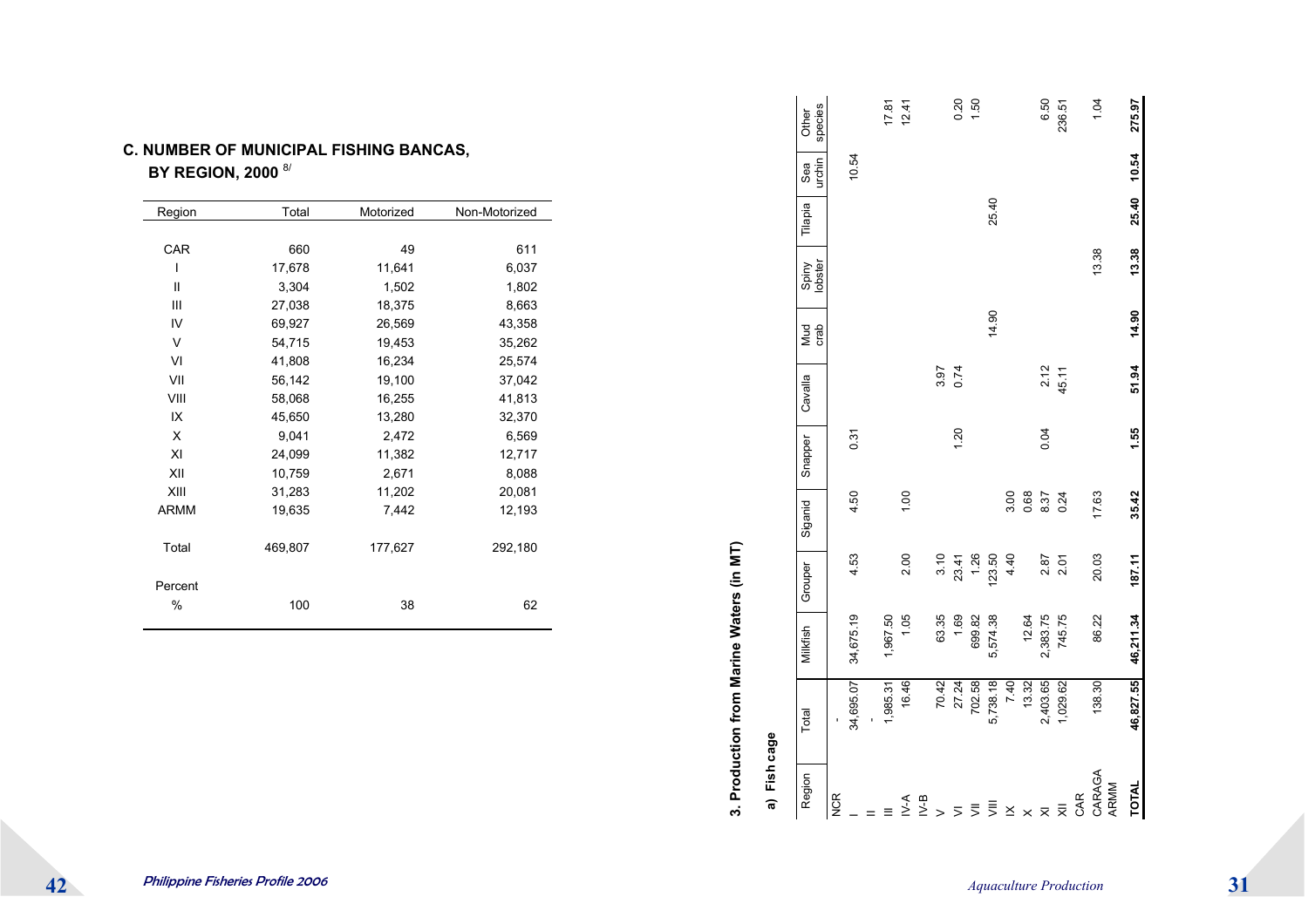|                           | <b>C. NUMBER OF MUNICIPAL FISHING BANCAS,</b> |
|---------------------------|-----------------------------------------------|
| <b>BY REGION, 2000 8/</b> |                                               |

| Region      | Total   | Motorized | Non-Motorized |
|-------------|---------|-----------|---------------|
|             |         |           |               |
| <b>CAR</b>  | 660     | 49        | 611           |
| ı           | 17,678  | 11,641    | 6,037         |
| Ш           | 3,304   | 1,502     | 1,802         |
| Ш           | 27,038  | 18,375    | 8,663         |
| IV          | 69,927  | 26,569    | 43,358        |
| v           | 54,715  | 19,453    | 35,262        |
| VI          | 41,808  | 16,234    | 25,574        |
| VII         | 56,142  | 19,100    | 37,042        |
| VIII        | 58,068  | 16,255    | 41,813        |
| IX          | 45,650  | 13,280    | 32,370        |
| X           | 9,041   | 2,472     | 6,569         |
| XI          | 24,099  | 11,382    | 12,717        |
| XII         | 10,759  | 2,671     | 8,088         |
| XIII        | 31,283  | 11,202    | 20,081        |
| <b>ARMM</b> | 19,635  | 7,442     | 12,193        |
| Total       | 469,807 | 177,627   | 292,180       |
| Percent     |         |           |               |
| %           | 100     | 38        | 62            |

# 3. Production from Marine Waters (in MT) **3. Production from Marine Waters (in MT)**

# a) Fish cage  **a) Fish cage**

| ה<br>:<br>ה :                      |           |           |         |         |         |         |             |                  |         |               |                  |
|------------------------------------|-----------|-----------|---------|---------|---------|---------|-------------|------------------|---------|---------------|------------------|
| Region                             | Total     | Milkfish  | Grouper | Siganid | Snapper | Cavalla | Mud<br>crab | Spiny<br>lobster | Tilapia | urchin<br>Sea | species<br>Other |
| <b>NCR</b>                         |           |           |         |         |         |         |             |                  |         |               |                  |
|                                    | 34,695.07 | 34,675.19 | 4.53    | 4.50    | 0.31    |         |             |                  |         | 10.54         |                  |
|                                    |           |           |         |         |         |         |             |                  |         |               |                  |
|                                    | 1,985.31  | 1,967.50  |         |         |         |         |             |                  |         |               | 17.81            |
| $\forall$ -V                       | 16.46     | 1.05      | 2.00    | 1.00    |         |         |             |                  |         |               | 12.41            |
| $N-B$                              |           |           |         |         |         |         |             |                  |         |               |                  |
| $\geq$                             | 70.42     | 63.35     | 3.10    |         |         | 3.97    |             |                  |         |               |                  |
| $\overline{z}$                     | 27.24     | 1.69      | 23.41   |         | 1.20    | 0.74    |             |                  |         |               | 0.20             |
| $\equiv$                           | 702.58    | 699.82    | 1.26    |         |         |         |             |                  |         |               | 1.50             |
| $\bar{z}$                          | 5,738.18  | 5,574.38  | 123.50  |         |         |         | 14.90       |                  | 25.40   |               |                  |
| $\leq$                             | 7.40      |           | 4.40    | 3.00    |         |         |             |                  |         |               |                  |
| $\times$                           | 13.32     | 12.64     |         | 0.68    |         |         |             |                  |         |               |                  |
| $\overline{\times}$                | 2,403.65  | 2,383.75  | 2.87    | 8.37    | 0.04    | 2.12    |             |                  |         |               | 6.50             |
| $\overline{\overline{\mathsf{x}}}$ | 1,029.62  | 745.75    | 2.01    | 0.24    |         | 45.11   |             |                  |         |               | 236.51           |
| CAR                                |           |           |         |         |         |         |             |                  |         |               |                  |
| CARAGA<br>ARMM                     | 138.30    | 86.22     | 20.03   | 17.63   |         |         |             | 13.38            |         |               | 1.04             |
| <b>TOTAL</b>                       | 46,827.55 | 46,211.34 | 187.11  | 35.42   | 1.55    | 51.94   | 14.90       | 13.38            | 25.40   | 10.54         | 275.97           |
|                                    |           |           |         |         |         |         |             |                  |         |               |                  |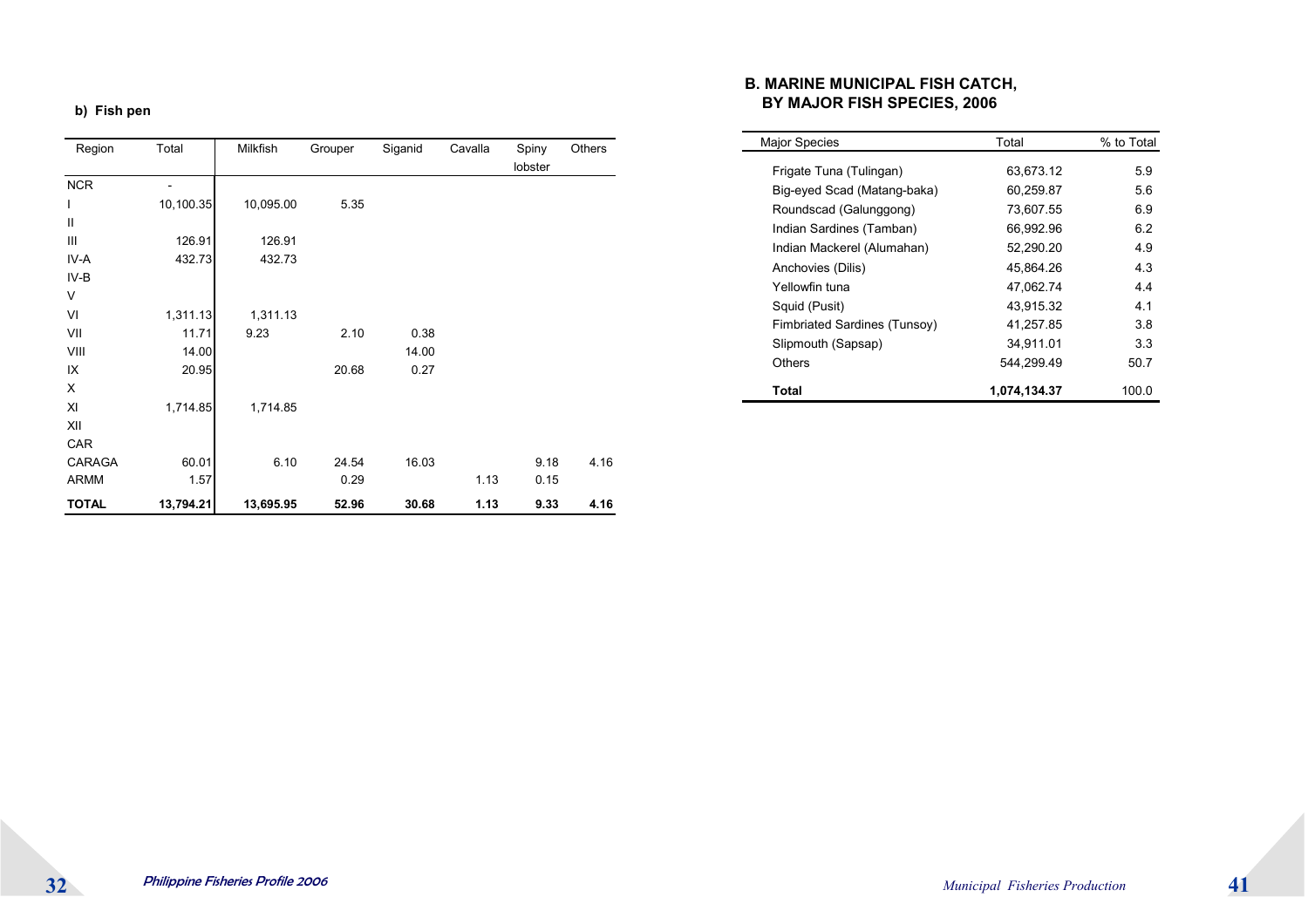#### **b) Fish pen**

| Region         | Total     | Milkfish  | Grouper | Siganid | Cavalla | Spiny   | Others |
|----------------|-----------|-----------|---------|---------|---------|---------|--------|
|                |           |           |         |         |         | lobster |        |
| <b>NCR</b>     |           |           |         |         |         |         |        |
| $\mathsf{I}$   | 10,100.35 | 10,095.00 | 5.35    |         |         |         |        |
| $\mathbf{  }$  |           |           |         |         |         |         |        |
| $\mathbf{III}$ | 126.91    | 126.91    |         |         |         |         |        |
| IV-A           | 432.73    | 432.73    |         |         |         |         |        |
| IV-B           |           |           |         |         |         |         |        |
| V              |           |           |         |         |         |         |        |
| VI             | 1,311.13  | 1,311.13  |         |         |         |         |        |
| VII            | 11.71     | 9.23      | 2.10    | 0.38    |         |         |        |
| VIII           | 14.00     |           |         | 14.00   |         |         |        |
| IX             | 20.95     |           | 20.68   | 0.27    |         |         |        |
| X              |           |           |         |         |         |         |        |
| XI             | 1,714.85  | 1,714.85  |         |         |         |         |        |
| XII            |           |           |         |         |         |         |        |
| CAR            |           |           |         |         |         |         |        |
| CARAGA         | 60.01     | 6.10      | 24.54   | 16.03   |         | 9.18    | 4.16   |
| <b>ARMM</b>    | 1.57      |           | 0.29    |         | 1.13    | 0.15    |        |
| <b>TOTAL</b>   | 13,794.21 | 13,695.95 | 52.96   | 30.68   | 1.13    | 9.33    | 4.16   |

#### **B. MARINE MUNICIPAL FISH CATCH, BY MAJOR FISH SPECIES, 2006**

| <b>Major Species</b>         | Total        | % to Total |
|------------------------------|--------------|------------|
| Frigate Tuna (Tulingan)      | 63.673.12    | 5.9        |
| Big-eyed Scad (Matang-baka)  | 60.259.87    | 5.6        |
| Roundscad (Galunggong)       | 73.607.55    | 6.9        |
| Indian Sardines (Tamban)     | 66.992.96    | 6.2        |
| Indian Mackerel (Alumahan)   | 52.290.20    | 4.9        |
| Anchovies (Dilis)            | 45.864.26    | 4.3        |
| Yellowfin tuna               | 47.062.74    | 44         |
| Squid (Pusit)                | 43.915.32    | 41         |
| Fimbriated Sardines (Tunsoy) | 41,257.85    | 3.8        |
| Slipmouth (Sapsap)           | 34,911.01    | 3.3        |
| Others                       | 544,299.49   | 50.7       |
| Total                        | 1,074,134.37 | 100.0      |

 $32<sup>2</sup>$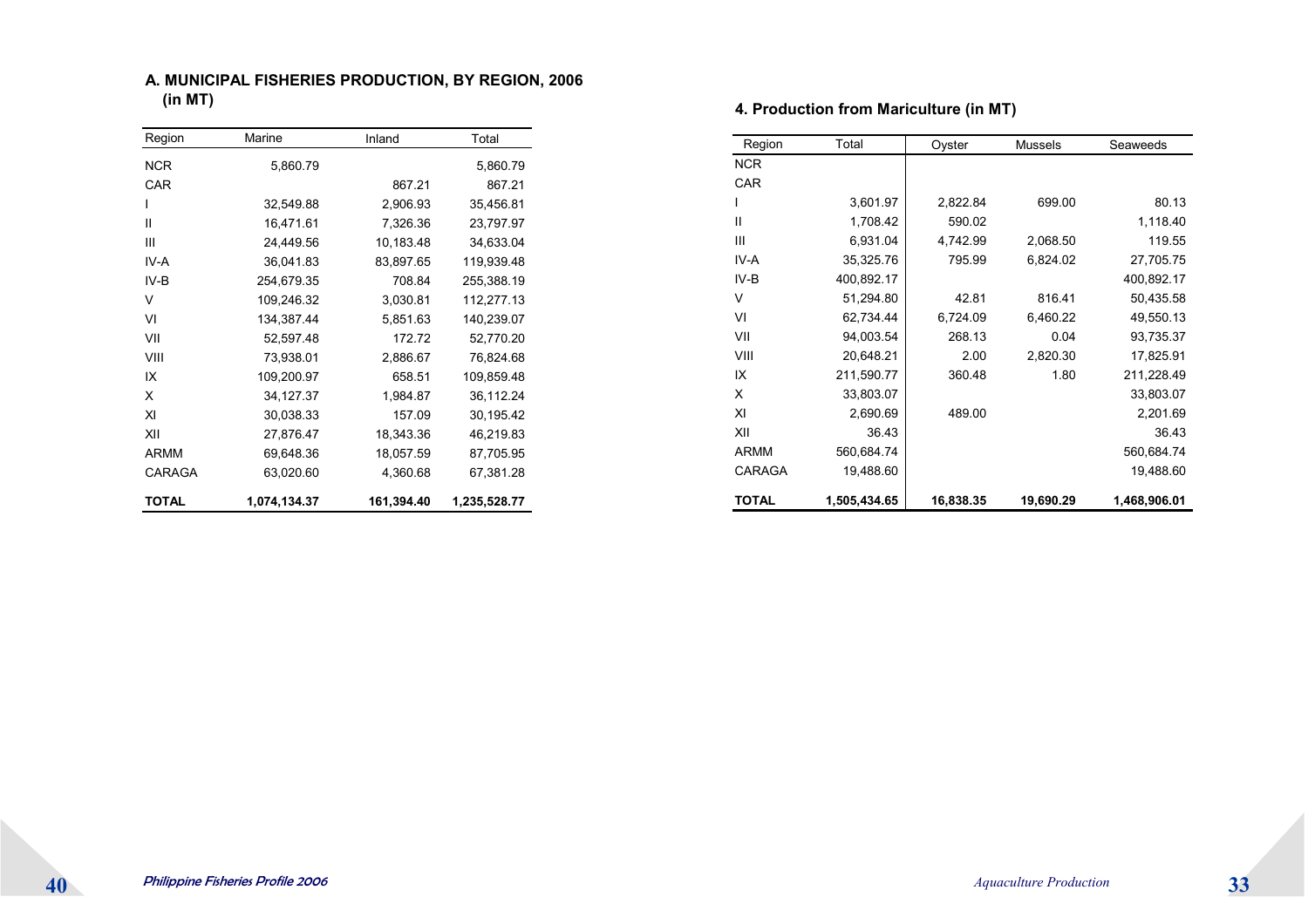**A. MUNICIPAL FISHERIES PRODUCTION, BY REGION, 2006 (in MT)**

| Region      | Marine       | Inland     | Total        |
|-------------|--------------|------------|--------------|
| <b>NCR</b>  | 5,860.79     |            | 5,860.79     |
| CAR         |              | 867.21     | 867.21       |
| I           | 32,549.88    | 2,906.93   | 35,456.81    |
| Ш           | 16,471.61    | 7,326.36   | 23,797.97    |
| Ш           | 24,449.56    | 10,183.48  | 34,633.04    |
| IV-A        | 36,041.83    | 83,897.65  | 119,939.48   |
| IV-B        | 254,679.35   | 708.84     | 255,388.19   |
| V           | 109,246.32   | 3,030.81   | 112,277.13   |
| VI          | 134,387.44   | 5,851.63   | 140,239.07   |
| VII         | 52,597.48    | 172.72     | 52,770.20    |
| VIII        | 73,938.01    | 2,886.67   | 76,824.68    |
| IX          | 109,200.97   | 658.51     | 109,859.48   |
| X           | 34,127.37    | 1,984.87   | 36,112.24    |
| XI          | 30,038.33    | 157.09     | 30,195.42    |
| XII         | 27,876.47    | 18,343.36  | 46,219.83    |
| <b>ARMM</b> | 69,648.36    | 18,057.59  | 87,705.95    |
| CARAGA      | 63,020.60    | 4,360.68   | 67,381.28    |
| TOTAL       | 1,074,134.37 | 161,394.40 | 1,235,528.77 |

#### **4. Production from Mariculture (in MT)**

| Region       | Total        | Oyster    | <b>Mussels</b> | Seaweeds     |
|--------------|--------------|-----------|----------------|--------------|
| <b>NCR</b>   |              |           |                |              |
| <b>CAR</b>   |              |           |                |              |
| I            | 3,601.97     | 2,822.84  | 699.00         | 80.13        |
| Ш            | 1,708.42     | 590.02    |                | 1,118.40     |
| Ш            | 6,931.04     | 4,742.99  | 2,068.50       | 119.55       |
| IV-A         | 35,325.76    | 795.99    | 6,824.02       | 27,705.75    |
| IV-B         | 400,892.17   |           |                | 400,892.17   |
| $\vee$       | 51,294.80    | 42.81     | 816.41         | 50,435.58    |
| VI           | 62,734.44    | 6,724.09  | 6,460.22       | 49,550.13    |
| VII          | 94,003.54    | 268.13    | 0.04           | 93,735.37    |
| VIII         | 20,648.21    | 2.00      | 2,820.30       | 17,825.91    |
| IX           | 211,590.77   | 360.48    | 1.80           | 211,228.49   |
| X            | 33,803.07    |           |                | 33,803.07    |
| XI           | 2,690.69     | 489.00    |                | 2,201.69     |
| XII          | 36.43        |           |                | 36.43        |
| <b>ARMM</b>  | 560,684.74   |           |                | 560,684.74   |
| CARAGA       | 19,488.60    |           |                | 19,488.60    |
| <b>TOTAL</b> | 1,505,434.65 | 16,838.35 | 19,690.29      | 1,468,906.01 |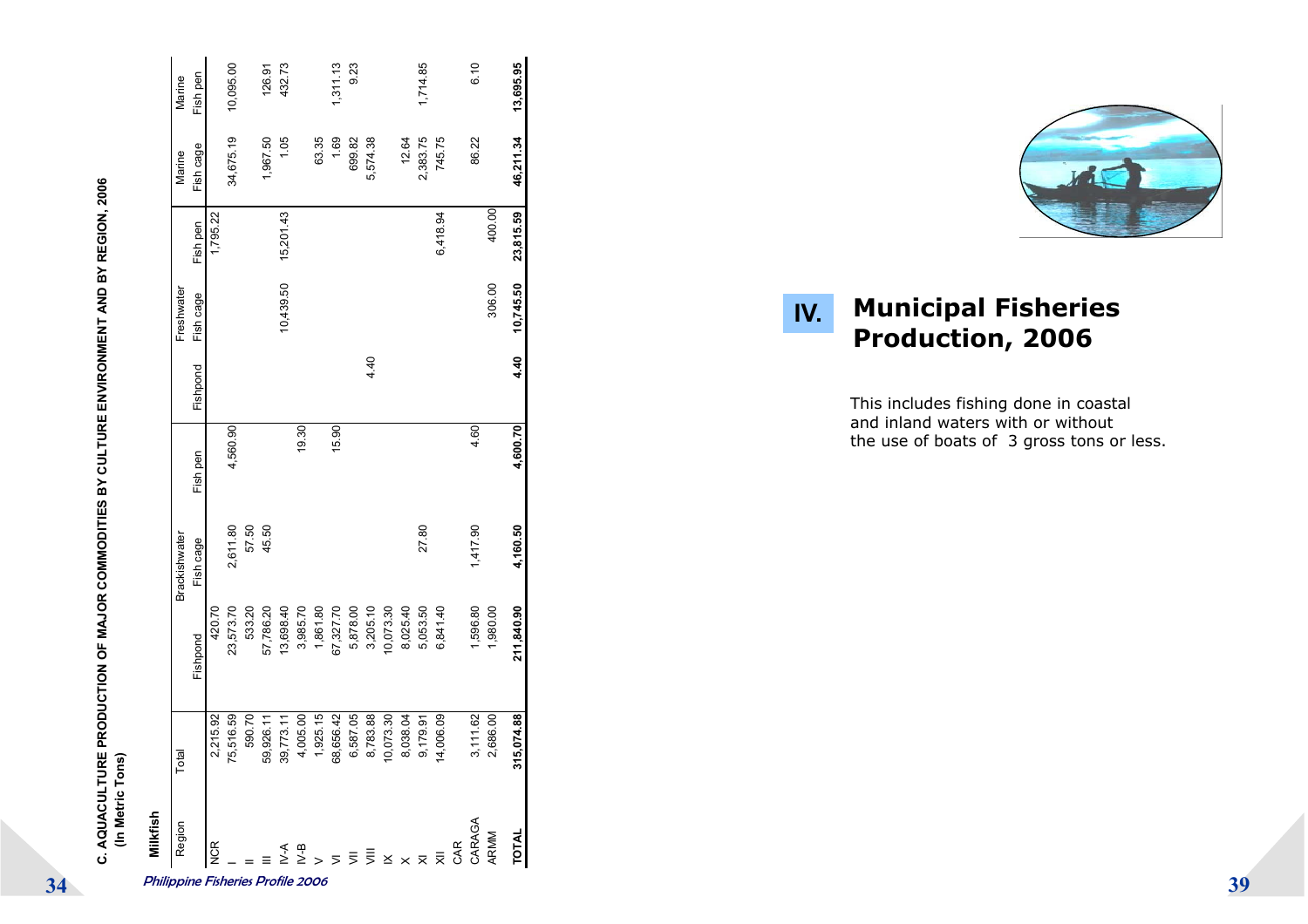# C. AQUACULTURE PRODUCTION OF MAJOR COMMODITIES BY CULTURE ENVIRONMENT AND BY REGION, 2006<br>(In Metric Tons) **C. AQUACULTURE PRODUCTION OF MAJOR COMMODITIES BY CULTURE ENVIRONMENT AND BY REGION, 2006 (In Metric Tons)**

| 34                                |                                                                     |                                                                       |                                                                            |               |          |          |            |           |           |           |
|-----------------------------------|---------------------------------------------------------------------|-----------------------------------------------------------------------|----------------------------------------------------------------------------|---------------|----------|----------|------------|-----------|-----------|-----------|
|                                   | C. AQUACULTURE<br>(In Metric Tons)                                  |                                                                       | PRODUCTION OF MAJOR COMMODITIES BY CULTURE ENVIRONMENT AND BY REGION, 2006 |               |          |          |            |           |           |           |
| Philippine Fisheries Profile 2006 | Milkfish                                                            |                                                                       |                                                                            |               |          |          |            |           |           |           |
|                                   | Region                                                              | Total                                                                 |                                                                            | Brackishwater |          |          | Freshwater |           | Marine    | Marine    |
|                                   |                                                                     |                                                                       | Fishpond                                                                   | Fish cage     | Fish pen | Fishpond | Fish cage  | Fish pen  | Fish cage | Fish pen  |
|                                   | NCR                                                                 | ,215.92<br>$\mathbf{N}$                                               | 420.70                                                                     |               |          |          |            | 1,795.22  |           |           |
|                                   |                                                                     | ,516.59<br>kö.                                                        | 23,573.70                                                                  | 2,611.80      | 4,560.90 |          |            |           | 34,675.19 | 10,095.00 |
|                                   |                                                                     | 590.70                                                                | 533.20                                                                     | 57.50         |          |          |            |           |           |           |
|                                   |                                                                     |                                                                       | 57,786.20                                                                  | 45.50         |          |          |            |           | 1,967.50  | 126.91    |
|                                   |                                                                     | 59,926.11<br>39,773.11                                                | 13,698.40                                                                  |               |          |          | 10,439.50  | 15,201.43 | 1.05      | 432.73    |
|                                   | ۹-y                                                                 |                                                                       | 3,985.70                                                                   |               | 19.30    |          |            |           |           |           |
|                                   |                                                                     | 4,005.00<br>1,925.15<br>68,656.42                                     | 1,861.80                                                                   |               |          |          |            |           | 63.35     |           |
|                                   |                                                                     |                                                                       | 67,327.70                                                                  |               | 15.90    |          |            |           | 1.69      | 1,311.13  |
|                                   |                                                                     |                                                                       | 5,878.00                                                                   |               |          |          |            |           | 699.82    | 9.23      |
|                                   |                                                                     |                                                                       | 3,205.10                                                                   |               |          | 4.40     |            |           | 5,574.38  |           |
|                                   | $\overline{5}$ $\overline{5}$ $\times$ $\times$ $\overline{\times}$ | 6,587.05<br>8,783.88<br>0,073.30<br>8,038.04<br>8,006.09<br>14,006.09 | 10,073.30                                                                  |               |          |          |            |           |           |           |
|                                   |                                                                     |                                                                       | 8,025.40                                                                   |               |          |          |            |           | 12.64     |           |
|                                   |                                                                     |                                                                       | 5,053.50                                                                   | 27.80         |          |          |            |           | 2,383.75  | 1,714.85  |
|                                   |                                                                     |                                                                       | 6,841.40                                                                   |               |          |          |            | 6,418.94  | 745.75    |           |
|                                   | CAR                                                                 |                                                                       |                                                                            |               |          |          |            |           |           |           |
|                                   | CARAGA                                                              | 3,111.62<br>2,686.00                                                  | 1,596.80                                                                   | 1,417.90      | 4.60     |          |            |           | 86.22     | 6.10      |
|                                   | ARMM                                                                |                                                                       | 1,980.00                                                                   |               |          |          | 306.00     | 400.00    |           |           |
|                                   | TOTAL                                                               | 315,074.88                                                            | 211,840.90                                                                 | 4,160.50      | 4,600.70 | 4.40     | 10,745.50  | 23,815.59 | 46,211.34 | 13,695.95 |
|                                   |                                                                     |                                                                       |                                                                            |               |          |          |            |           |           |           |



**Municipal Fisheries Production, 2006 IV.** 

> This includes fishing done in coastal and inland waters with or without the use of boats of 3 gross tons or less.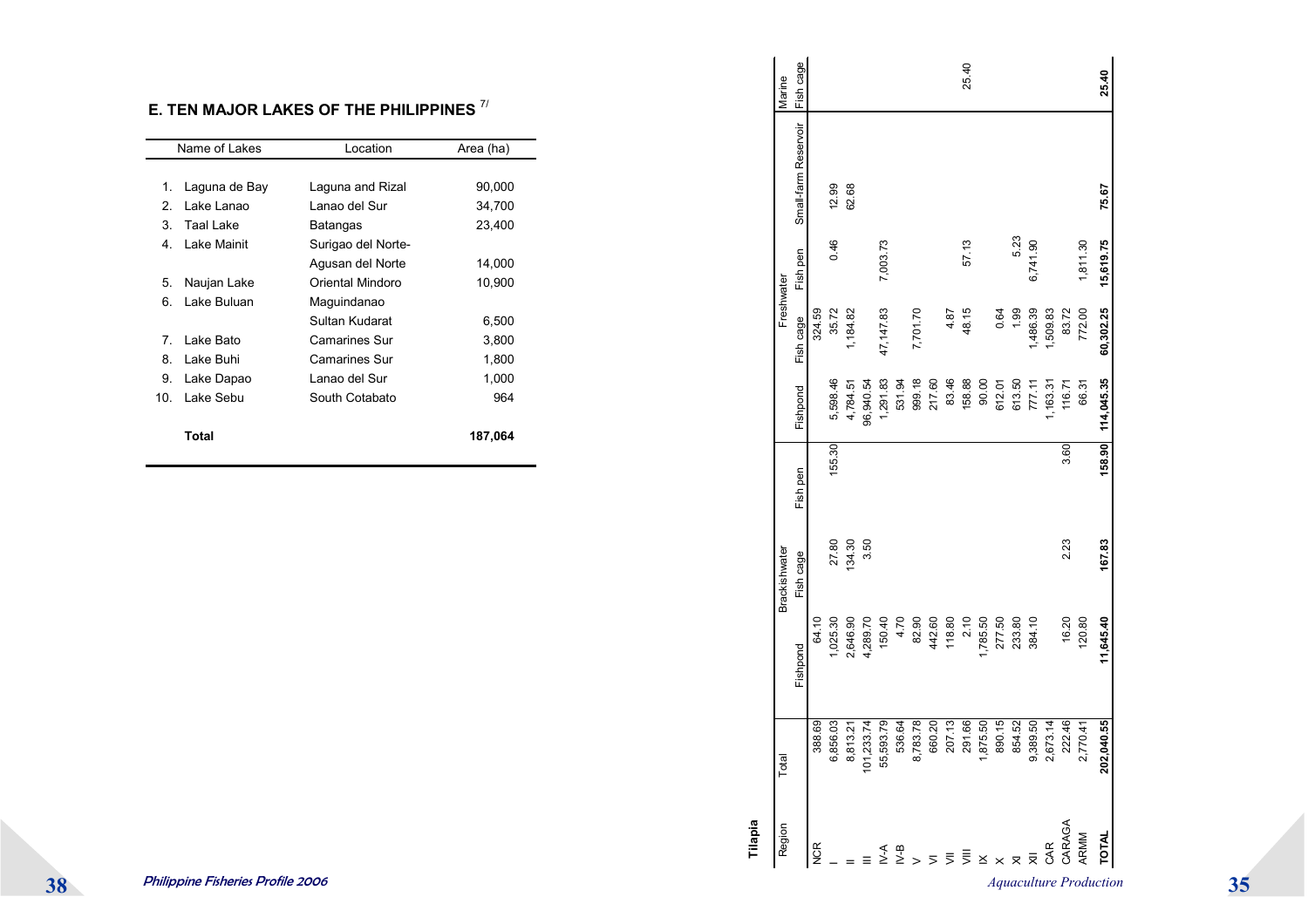#### **E. TEN MAJOR LAKES OF THE PHILIPPINES** 7/

|                | Name of Lakes | Location           | Area (ha) |
|----------------|---------------|--------------------|-----------|
|                |               |                    |           |
| 1.             | Laguna de Bay | Laguna and Rizal   | 90,000    |
| 2              | Lake Lanao    | Lanao del Sur      | 34,700    |
| 3              | Taal Lake     | Batangas           | 23,400    |
| 4              | Lake Mainit   | Surigao del Norte- |           |
|                |               | Agusan del Norte   | 14,000    |
| 5.             | Naujan Lake   | Oriental Mindoro   | 10,900    |
| 6.             | Lake Buluan   | Maguindanao        |           |
|                |               | Sultan Kudarat     | 6,500     |
| $\overline{7}$ | Lake Bato     | Camarines Sur      | 3,800     |
| 8              | Lake Buhi     | Camarines Sur      | 1,800     |
| 9.             | Lake Dapao    | Lanao del Sur      | 1,000     |
| 10.            | Lake Sebu     | South Cotabato     | 964       |
|                |               |                    |           |
|                | Total         |                    | 187,064   |

| and the state of the state of the state of the state of the state of the state of the state of the state of th |
|----------------------------------------------------------------------------------------------------------------|

| <b>Tlapia</b> |                                          |           |               |          |            |            |           |                      |           |
|---------------|------------------------------------------|-----------|---------------|----------|------------|------------|-----------|----------------------|-----------|
| Region        | Total                                    |           | Brackishwater |          |            | Freshwater |           |                      | Marine    |
|               |                                          | Fishpond  | Fish cage     | Fish pen | Fishpond   | Fish cage  | Fish pen  | Small-farm Reservoir | Fish cage |
| NCR           | 388.69                                   | 64.10     |               |          |            | 324.59     |           |                      |           |
|               | 6,856.03                                 | ,025.30   | 27.80         | 155.30   | 5,598.46   | 35.72      | 0.46      | 12.99                |           |
|               | 8,813.21                                 | 2,646.90  | 134.30        |          | 4,784.51   | 1,184.82   |           | 62.68                |           |
|               | 101,233.74                               | 4,289.70  | 3.50          |          | 96,940.54  |            |           |                      |           |
|               | 55,593.79                                | 150.40    |               |          | 1,291.83   | 47, 147.83 | 7,003.73  |                      |           |
|               | 536.64                                   | 4.70      |               |          | 531.94     |            |           |                      |           |
|               | 8,783.78                                 | 82.90     |               |          | 999.18     | 7,701.70   |           |                      |           |
|               |                                          | 442.60    |               |          | 217.60     |            |           |                      |           |
|               | 660.20<br>207.13<br>291.66               | 118.80    |               |          | 83.46      | 4.87       |           |                      |           |
|               |                                          | 2.10      |               |          | 158.88     | 48.15      | 57.13     |                      | 25.40     |
|               | 1,875.50                                 | 1,785.50  |               |          | 90.00      |            |           |                      |           |
|               |                                          | 277.50    |               |          | 612.01     | 0.64       |           |                      |           |
|               | 890.15<br>854.52<br>9.389.50<br>2.673.14 | 233.80    |               |          | 613.50     | 1.99       | 5.23      |                      |           |
|               |                                          | 384.10    |               |          | 777.11     | ,486.39    | 6,741.90  |                      |           |
|               |                                          |           |               |          | ,163.31    | ,509.83    |           |                      |           |
|               | 222.46                                   | 16.20     | 2.23          | 3.60     | 116.71     | 83.72      |           |                      |           |
| ARMM          | 2,770.41                                 | 120.80    |               |          | 66.31      | 772.00     | 1,811.30  |                      |           |
| <b>TOTAL</b>  | 202,040.55                               | 11,645.40 | 167.83        | 158.90   | 114,045.35 | 60,302.25  | 15,619.75 | 75.67                | 25.40     |
|               |                                          |           |               |          |            |            |           |                      |           |